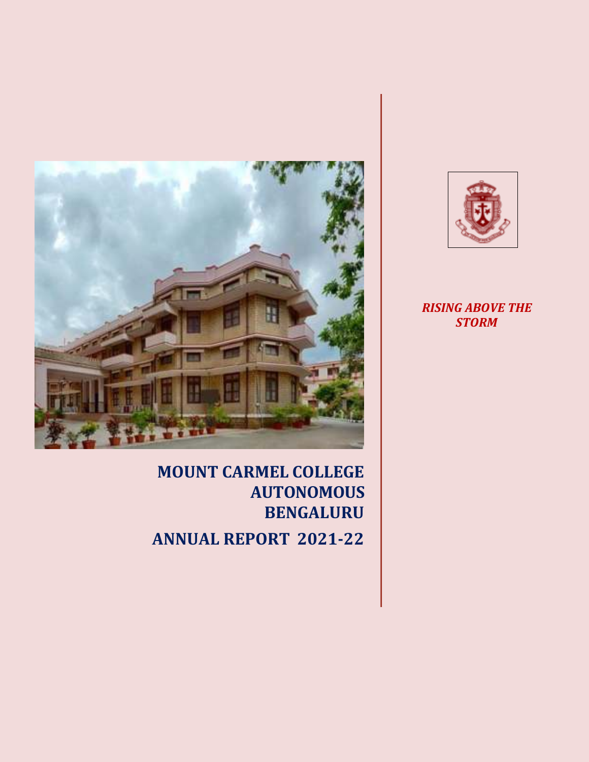

**MOUNT CARMEL COLLEGE AUTONOMOUS BENGALURU ANNUAL REPORT 2021-22**



*RISING ABOVE THE STORM*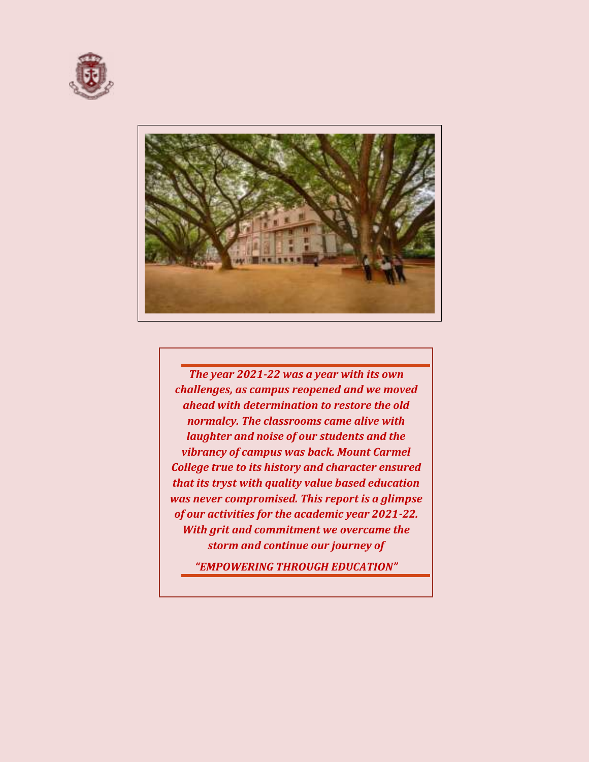



*The year 2021-22 was a year with its own challenges, as campus reopened and we moved ahead with determination to restore the old normalcy. The classrooms came alive with laughter and noise of our students and the vibrancy of campus was back. Mount Carmel College true to its history and character ensured that its tryst with quality value based education was never compromised. This report is a glimpse of our activities for the academic year 2021-22. With grit and commitment we overcame the storm and continue our journey of* 

*"EMPOWERING THROUGH EDUCATION"*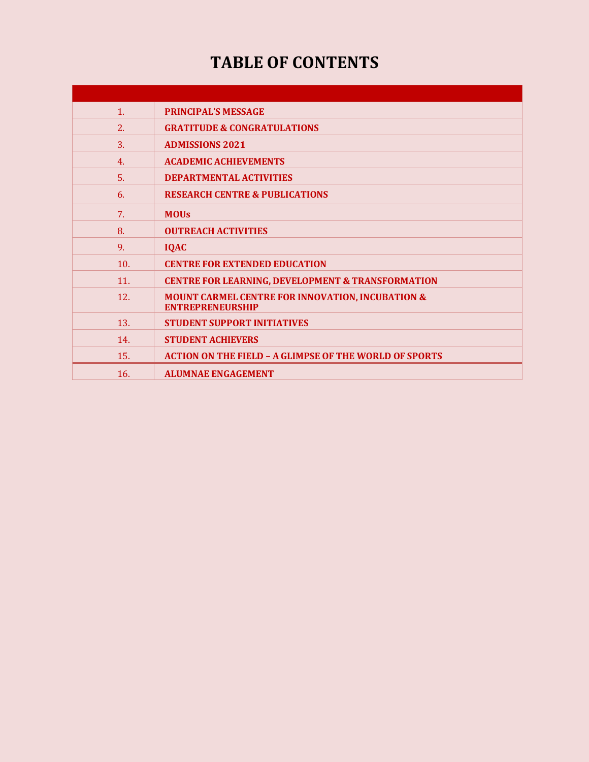# **TABLE OF CONTENTS**

| 1.  | <b>PRINCIPAL'S MESSAGE</b>                                                             |
|-----|----------------------------------------------------------------------------------------|
| 2.  | <b>GRATITUDE &amp; CONGRATULATIONS</b>                                                 |
| 3.  | <b>ADMISSIONS 2021</b>                                                                 |
| 4.  | <b>ACADEMIC ACHIEVEMENTS</b>                                                           |
| 5.  | <b>DEPARTMENTAL ACTIVITIES</b>                                                         |
| 6.  | <b>RESEARCH CENTRE &amp; PUBLICATIONS</b>                                              |
| 7.  | <b>MOUS</b>                                                                            |
| 8.  | <b>OUTREACH ACTIVITIES</b>                                                             |
| 9.  | <b>IQAC</b>                                                                            |
| 10. | <b>CENTRE FOR EXTENDED EDUCATION</b>                                                   |
| 11. | <b>CENTRE FOR LEARNING, DEVELOPMENT &amp; TRANSFORMATION</b>                           |
| 12. | <b>MOUNT CARMEL CENTRE FOR INNOVATION, INCUBATION &amp;</b><br><b>ENTREPRENEURSHIP</b> |
| 13. | <b>STUDENT SUPPORT INITIATIVES</b>                                                     |
| 14. | <b>STUDENT ACHIEVERS</b>                                                               |
| 15. | <b>ACTION ON THE FIELD - A GLIMPSE OF THE WORLD OF SPORTS</b>                          |
| 16. | <b>ALUMNAE ENGAGEMENT</b>                                                              |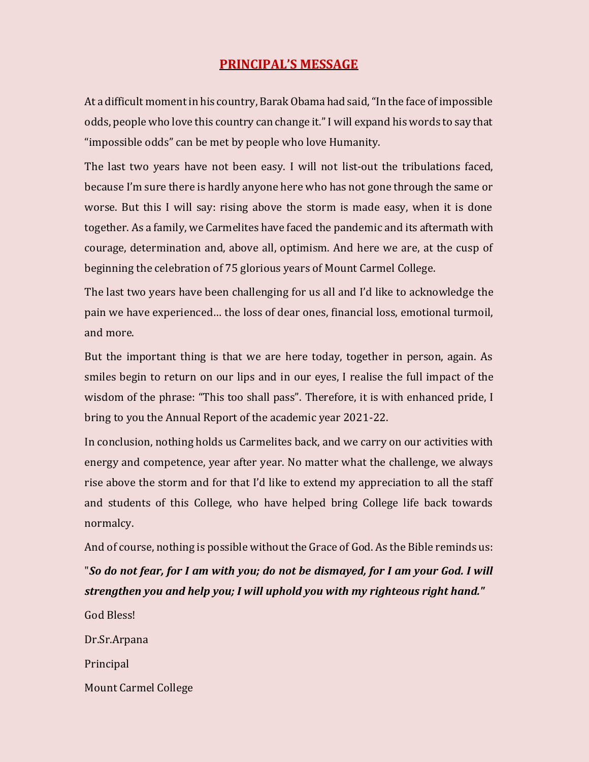## **PRINCIPAL'S MESSAGE**

At a difficult moment in his country, Barak Obama had said, "In the face of impossible odds, people who love this country can change it." I will expand his words to say that "impossible odds" can be met by people who love Humanity.

The last two years have not been easy. I will not list-out the tribulations faced, because I'm sure there is hardly anyone here who has not gone through the same or worse. But this I will say: rising above the storm is made easy, when it is done together. As a family, we Carmelites have faced the pandemic and its aftermath with courage, determination and, above all, optimism. And here we are, at the cusp of beginning the celebration of 75 glorious years of Mount Carmel College.

The last two years have been challenging for us all and I'd like to acknowledge the pain we have experienced… the loss of dear ones, financial loss, emotional turmoil, and more.

But the important thing is that we are here today, together in person, again. As smiles begin to return on our lips and in our eyes, I realise the full impact of the wisdom of the phrase: "This too shall pass". Therefore, it is with enhanced pride, I bring to you the Annual Report of the academic year 2021-22.

In conclusion, nothing holds us Carmelites back, and we carry on our activities with energy and competence, year after year. No matter what the challenge, we always rise above the storm and for that I'd like to extend my appreciation to all the staff and students of this College, who have helped bring College life back towards normalcy.

And of course, nothing is possible without the Grace of God. As the Bible reminds us: "*So do not fear, for I am with you; do not be dismayed, for I am your God. I will*

- *strengthen you and help you; I will uphold you with my righteous right hand."*
- God Bless! Dr.Sr.Arpana Principal Mount Carmel College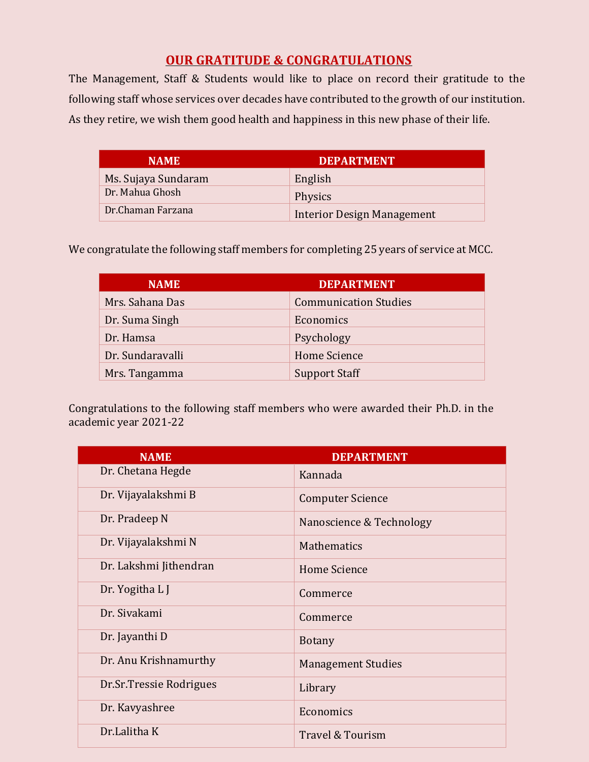## **OUR GRATITUDE & CONGRATULATIONS**

The Management, Staff & Students would like to place on record their gratitude to the following staff whose services over decades have contributed to the growth of our institution. As they retire, we wish them good health and happiness in this new phase of their life.

| <b>NAME</b>         | <b>DEPARTMENT</b>                 |
|---------------------|-----------------------------------|
| Ms. Sujaya Sundaram | English                           |
| Dr. Mahua Ghosh     | Physics                           |
| Dr.Chaman Farzana   | <b>Interior Design Management</b> |

We congratulate the following staff members for completing 25 years of service at MCC.

| <b>NAME</b>      | <b>DEPARTMENT</b>            |
|------------------|------------------------------|
| Mrs. Sahana Das  | <b>Communication Studies</b> |
| Dr. Suma Singh   | Economics                    |
| Dr. Hamsa        | Psychology                   |
| Dr. Sundaravalli | Home Science                 |
| Mrs. Tangamma    | <b>Support Staff</b>         |

Congratulations to the following staff members who were awarded their Ph.D. in the academic year 2021-22

| <b>NAME</b>             | <b>DEPARTMENT</b>         |
|-------------------------|---------------------------|
| Dr. Chetana Hegde       | Kannada                   |
| Dr. Vijayalakshmi B     | <b>Computer Science</b>   |
| Dr. Pradeep N           | Nanoscience & Technology  |
| Dr. Vijayalakshmi N     | Mathematics               |
| Dr. Lakshmi Jithendran  | <b>Home Science</b>       |
| Dr. Yogitha L J         | Commerce                  |
| Dr. Sivakami            | Commerce                  |
| Dr. Jayanthi D          | <b>Botany</b>             |
| Dr. Anu Krishnamurthy   | <b>Management Studies</b> |
| Dr.Sr.Tressie Rodrigues | Library                   |
| Dr. Kavyashree          | Economics                 |
| Dr.Lalitha K            | Travel & Tourism          |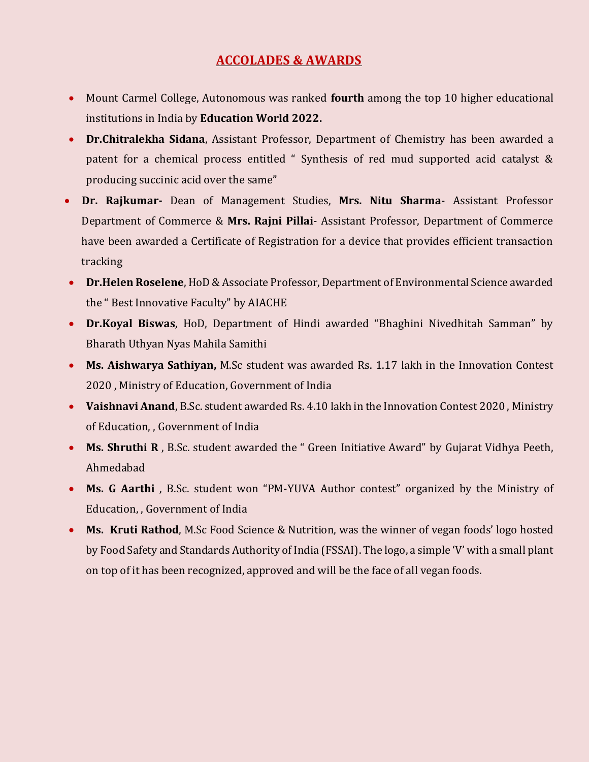## **ACCOLADES & AWARDS**

- Mount Carmel College, Autonomous was ranked **fourth** among the top 10 higher educational institutions in India by **Education World 2022.**
- **Dr.Chitralekha Sidana**, Assistant Professor, Department of Chemistry has been awarded a patent for a chemical process entitled " Synthesis of red mud supported acid catalyst & producing succinic acid over the same"
- **Dr. Rajkumar-** Dean of Management Studies, **Mrs. Nitu Sharma** Assistant Professor Department of Commerce & **Mrs. Rajni Pillai**- Assistant Professor, Department of Commerce have been awarded a Certificate of Registration for a device that provides efficient transaction tracking
- **Dr.Helen Roselene**, HoD & Associate Professor, Department of Environmental Science awarded the " Best Innovative Faculty" by AIACHE
- **Dr.Koyal Biswas**, HoD, Department of Hindi awarded "Bhaghini Nivedhitah Samman" by Bharath Uthyan Nyas Mahila Samithi
- **Ms. Aishwarya Sathiyan,** M.Sc student was awarded Rs. 1.17 lakh in the Innovation Contest 2020 , Ministry of Education, Government of India
- **Vaishnavi Anand**, B.Sc. student awarded Rs. 4.10 lakh in the Innovation Contest 2020 , Ministry of Education, , Government of India
- **Ms. Shruthi R** , B.Sc. student awarded the " Green Initiative Award" by Gujarat Vidhya Peeth, Ahmedabad
- **Ms. G Aarthi** , B.Sc. student won "PM-YUVA Author contest" organized by the Ministry of Education, , Government of India
- **Ms. Kruti Rathod**, M.Sc Food Science & Nutrition, was the winner of vegan foods' logo hosted by Food Safety and Standards Authority of India (FSSAI). The logo, a simple 'V' with a small plant on top of it has been recognized, approved and will be the face of all vegan foods.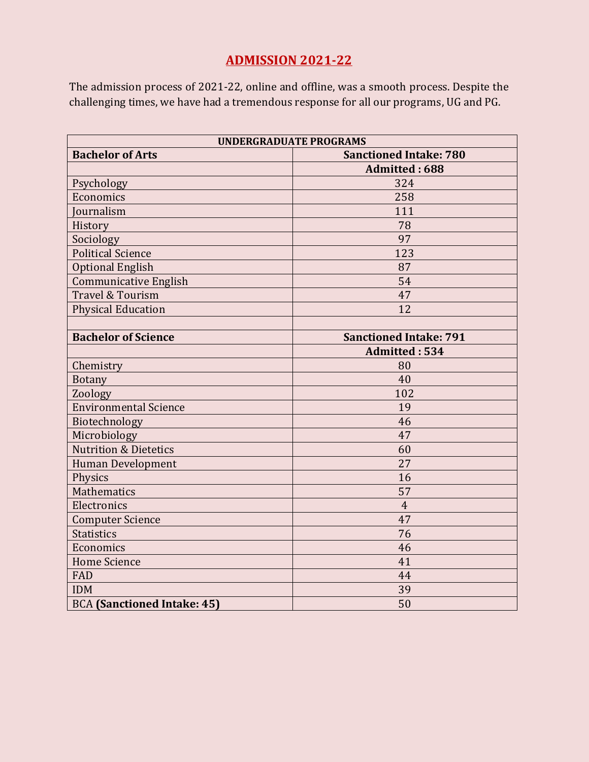## **ADMISSION 2021-22**

The admission process of 2021-22, online and offline, was a smooth process. Despite the challenging times, we have had a tremendous response for all our programs, UG and PG.

| <b>UNDERGRADUATE PROGRAMS</b>      |                               |  |  |  |
|------------------------------------|-------------------------------|--|--|--|
| <b>Bachelor of Arts</b>            | <b>Sanctioned Intake: 780</b> |  |  |  |
|                                    | <b>Admitted: 688</b>          |  |  |  |
| Psychology                         | 324                           |  |  |  |
| Economics                          | 258                           |  |  |  |
| <b>Journalism</b>                  | 111                           |  |  |  |
| History                            | 78                            |  |  |  |
| Sociology                          | 97                            |  |  |  |
| <b>Political Science</b>           | 123                           |  |  |  |
| <b>Optional English</b>            | 87                            |  |  |  |
| <b>Communicative English</b>       | 54                            |  |  |  |
| Travel & Tourism                   | 47                            |  |  |  |
| <b>Physical Education</b>          | 12                            |  |  |  |
|                                    |                               |  |  |  |
| <b>Bachelor of Science</b>         | <b>Sanctioned Intake: 791</b> |  |  |  |
|                                    | Admitted: 534                 |  |  |  |
| Chemistry                          | 80                            |  |  |  |
| <b>Botany</b>                      | 40                            |  |  |  |
| Zoology                            | 102                           |  |  |  |
| <b>Environmental Science</b>       | 19                            |  |  |  |
| Biotechnology                      | 46                            |  |  |  |
| Microbiology                       | 47                            |  |  |  |
| <b>Nutrition &amp; Dietetics</b>   | 60                            |  |  |  |
| Human Development                  | 27                            |  |  |  |
| Physics                            | 16                            |  |  |  |
| <b>Mathematics</b>                 | 57                            |  |  |  |
| Electronics                        | $\overline{4}$                |  |  |  |
| <b>Computer Science</b>            | 47                            |  |  |  |
| <b>Statistics</b>                  | 76                            |  |  |  |
| Economics                          | 46                            |  |  |  |
| <b>Home Science</b>                | 41                            |  |  |  |
| FAD                                | 44                            |  |  |  |
| <b>IDM</b>                         | 39                            |  |  |  |
| <b>BCA</b> (Sanctioned Intake: 45) | 50                            |  |  |  |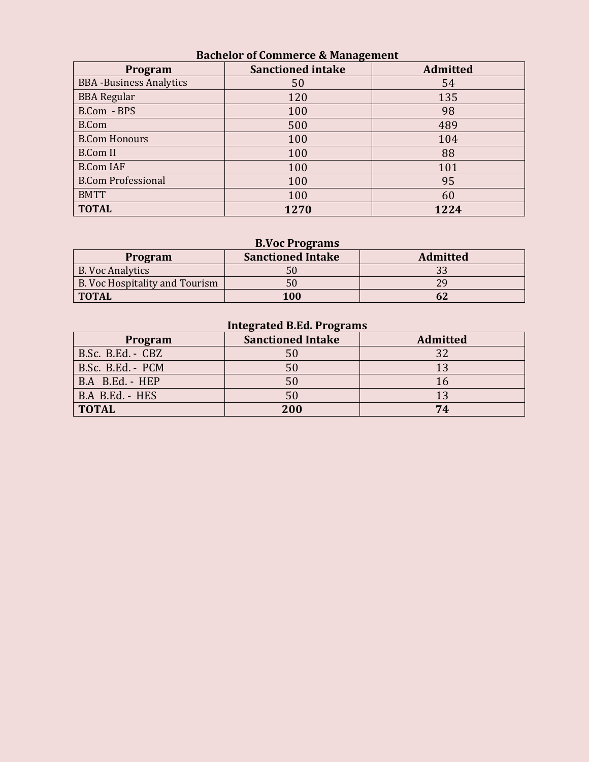| Bachelor of Commerce & Management |                          |                 |  |  |  |  |  |
|-----------------------------------|--------------------------|-----------------|--|--|--|--|--|
| Program                           | <b>Sanctioned intake</b> | <b>Admitted</b> |  |  |  |  |  |
| <b>BBA</b> -Business Analytics    | 50                       | 54              |  |  |  |  |  |
| <b>BBA Regular</b>                | 120                      | 135             |  |  |  |  |  |
| B.Com - BPS                       | 100                      | 98              |  |  |  |  |  |
| <b>B.Com</b>                      | 500                      | 489             |  |  |  |  |  |
| <b>B.Com Honours</b>              | 100                      | 104             |  |  |  |  |  |
| <b>B.Com II</b>                   | 100                      | 88              |  |  |  |  |  |
| <b>B.Com IAF</b>                  | 100                      | 101             |  |  |  |  |  |
| <b>B.Com Professional</b>         | 100                      | 95              |  |  |  |  |  |
| <b>BMTT</b>                       | 100                      | 60              |  |  |  |  |  |
| <b>TOTAL</b>                      | 1270                     | 1224            |  |  |  |  |  |

#### **Bachelor of Commerce & Management**

### **B.Voc Programs**

| Program                        | <b>Sanctioned Intake</b> | <b>Admitted</b> |
|--------------------------------|--------------------------|-----------------|
| <b>B. Voc Analytics</b>        | 50                       |                 |
| B. Voc Hospitality and Tourism | 50                       |                 |
| <b>TOTAL</b>                   | <b>100</b>               |                 |

## **Integrated B.Ed. Programs**

| Program           | <b>Sanctioned Intake</b> | <b>Admitted</b> |
|-------------------|--------------------------|-----------------|
| B.Sc. B.Ed. - CBZ | 50                       | 32              |
| B.Sc. B.Ed. - PCM | 50                       | 13              |
| B.A B.Ed. - HEP   | 50                       |                 |
| B.A B.Ed. - HES   | 50                       |                 |
| <b>TOTAL</b>      | 200                      | 74              |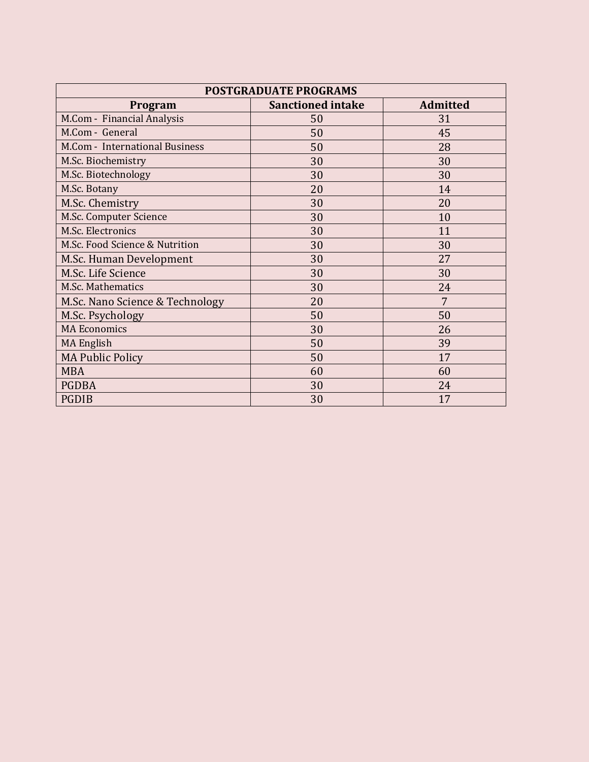| <b>POSTGRADUATE PROGRAMS</b>    |                                             |    |  |  |  |  |  |  |
|---------------------------------|---------------------------------------------|----|--|--|--|--|--|--|
| Program                         | <b>Admitted</b><br><b>Sanctioned intake</b> |    |  |  |  |  |  |  |
| M.Com - Financial Analysis      | 50                                          | 31 |  |  |  |  |  |  |
| M.Com - General                 | 50                                          | 45 |  |  |  |  |  |  |
| M.Com - International Business  | 50                                          | 28 |  |  |  |  |  |  |
| M.Sc. Biochemistry              | 30                                          | 30 |  |  |  |  |  |  |
| M.Sc. Biotechnology             | 30                                          | 30 |  |  |  |  |  |  |
| M.Sc. Botany                    | 20                                          | 14 |  |  |  |  |  |  |
| M.Sc. Chemistry                 | 30                                          | 20 |  |  |  |  |  |  |
| M.Sc. Computer Science          | 30                                          | 10 |  |  |  |  |  |  |
| M.Sc. Electronics               | 30                                          | 11 |  |  |  |  |  |  |
| M.Sc. Food Science & Nutrition  | 30                                          | 30 |  |  |  |  |  |  |
| M.Sc. Human Development         | 30                                          | 27 |  |  |  |  |  |  |
| M.Sc. Life Science              | 30                                          | 30 |  |  |  |  |  |  |
| M.Sc. Mathematics               | 30                                          | 24 |  |  |  |  |  |  |
| M.Sc. Nano Science & Technology | 20                                          | 7  |  |  |  |  |  |  |
| M.Sc. Psychology                | 50                                          | 50 |  |  |  |  |  |  |
| <b>MA Economics</b>             | 30                                          | 26 |  |  |  |  |  |  |
| <b>MA English</b>               | 50                                          | 39 |  |  |  |  |  |  |
| <b>MA Public Policy</b>         | 50                                          | 17 |  |  |  |  |  |  |
| <b>MBA</b>                      | 60                                          | 60 |  |  |  |  |  |  |
| <b>PGDBA</b>                    | 30                                          | 24 |  |  |  |  |  |  |
| <b>PGDIB</b>                    | 30                                          | 17 |  |  |  |  |  |  |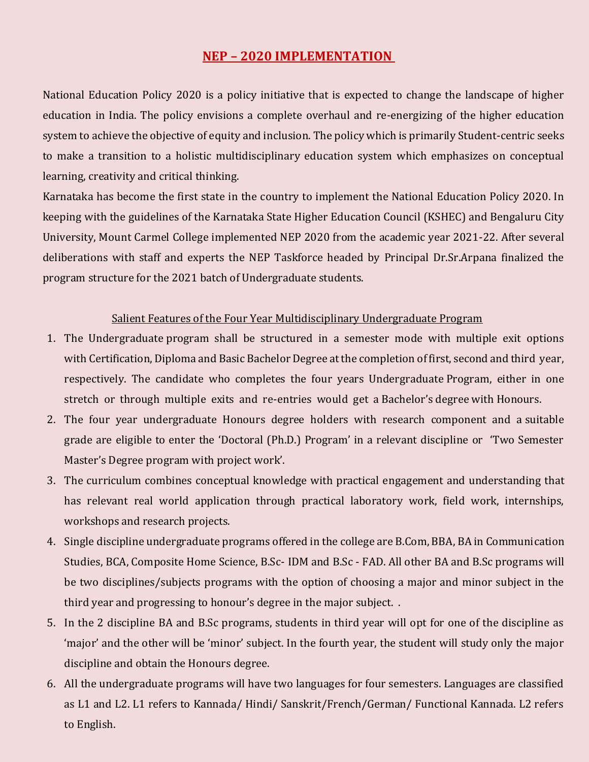## **NEP – 2020 IMPLEMENTATION**

National Education Policy 2020 is a policy initiative that is expected to change the landscape of higher education in India. The policy envisions a complete overhaul and re-energizing of the higher education system to achieve the objective of equity and inclusion. The policy which is primarily Student-centric seeks to make a transition to a holistic multidisciplinary education system which emphasizes on conceptual learning, creativity and critical thinking.

Karnataka has become the first state in the country to implement the National Education Policy 2020. In keeping with the guidelines of the Karnataka State Higher Education Council (KSHEC) and Bengaluru City University, Mount Carmel College implemented NEP 2020 from the academic year 2021-22. After several deliberations with staff and experts the NEP Taskforce headed by Principal Dr.Sr.Arpana finalized the program structure for the 2021 batch of Undergraduate students.

#### Salient Features of the Four Year Multidisciplinary Undergraduate Program

- 1. The Undergraduate program shall be structured in a semester mode with multiple exit options with Certification, Diploma and Basic Bachelor Degree at the completion of first, second and third year, respectively. The candidate who completes the four years Undergraduate Program, either in one stretch or through multiple exits and re-entries would get a Bachelor's degree with Honours.
- 2. The four year undergraduate Honours degree holders with research component and a suitable grade are eligible to enter the 'Doctoral (Ph.D.) Program' in a relevant discipline or 'Two Semester Master's Degree program with project work'.
- 3. The curriculum combines conceptual knowledge with practical engagement and understanding that has relevant real world application through practical laboratory work, field work, internships, workshops and research projects.
- 4. Single discipline undergraduate programs offered in the college are B.Com, BBA, BA in Communication Studies, BCA, Composite Home Science, B.Sc- IDM and B.Sc - FAD. All other BA and B.Sc programs will be two disciplines/subjects programs with the option of choosing a major and minor subject in the third year and progressing to honour's degree in the major subject. .
- 5. In the 2 discipline BA and B.Sc programs, students in third year will opt for one of the discipline as 'major' and the other will be 'minor' subject. In the fourth year, the student will study only the major discipline and obtain the Honours degree.
- 6. All the undergraduate programs will have two languages for four semesters. Languages are classified as L1 and L2. L1 refers to Kannada/ Hindi/ Sanskrit/French/German/ Functional Kannada. L2 refers to English.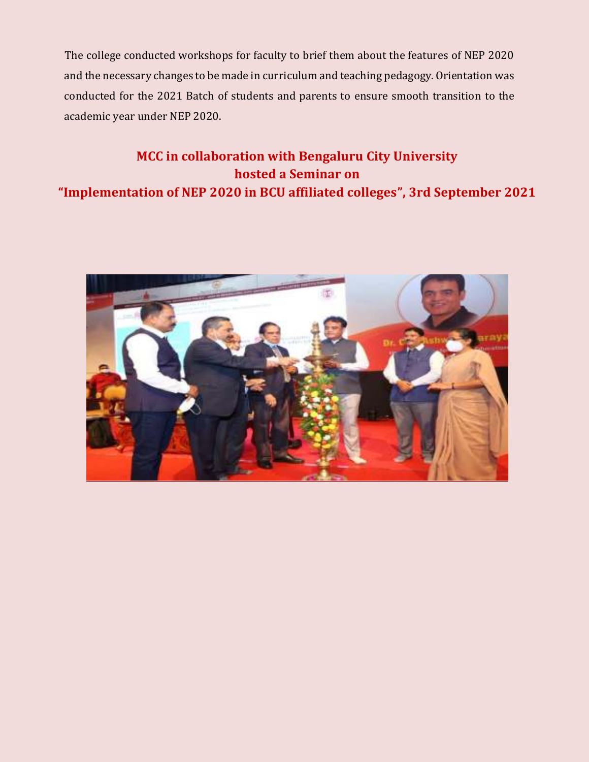The college conducted workshops for faculty to brief them about the features of NEP 2020 and the necessary changes to be made in curriculum and teaching pedagogy. Orientation was conducted for the 2021 Batch of students and parents to ensure smooth transition to the academic year under NEP 2020.

## **MCC in collaboration with Bengaluru City University hosted a Seminar on "Implementation of NEP 2020 in BCU affiliated colleges", 3rd September 2021**

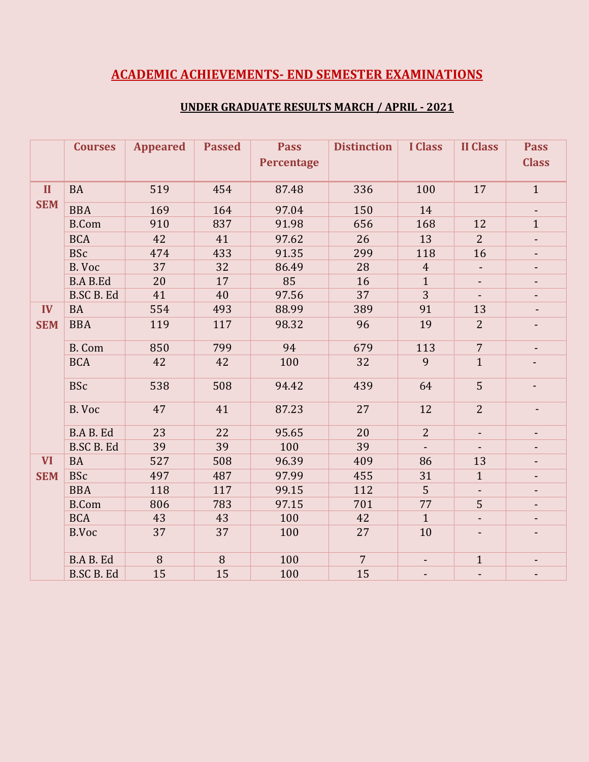## **ACADEMIC ACHIEVEMENTS- END SEMESTER EXAMINATIONS**

|              | <b>Courses</b>    | <b>Appeared</b> | <b>Passed</b> | <b>Pass</b><br><b>Percentage</b> | <b>Distinction</b> | <b>I</b> Class           | <b>II Class</b>          | <b>Pass</b><br><b>Class</b> |
|--------------|-------------------|-----------------|---------------|----------------------------------|--------------------|--------------------------|--------------------------|-----------------------------|
| $\mathbf{I}$ | <b>BA</b>         | 519             | 454           | 87.48                            | 336                | 100                      | 17                       | $\mathbf{1}$                |
| <b>SEM</b>   | <b>BBA</b>        | 169             | 164           | 97.04                            | 150                | 14                       |                          | $\blacksquare$              |
|              | <b>B.Com</b>      | 910             | 837           | 91.98                            | 656                | 168                      | 12                       | $\mathbf{1}$                |
|              | <b>BCA</b>        | 42              | 41            | 97.62                            | 26                 | 13                       | $\overline{2}$           | $\blacksquare$              |
|              | <b>BSc</b>        | 474             | 433           | 91.35                            | 299                | 118                      | 16                       | $\overline{\phantom{a}}$    |
|              | B. Voc            | 37              | 32            | 86.49                            | 28                 | $\overline{4}$           |                          | $\blacksquare$              |
|              | <b>B.A B.Ed</b>   | 20              | 17            | 85                               | 16                 | $\mathbf{1}$             | $\blacksquare$           | $\blacksquare$              |
|              | <b>B.SC B. Ed</b> | 41              | 40            | 97.56                            | 37                 | $\overline{3}$           |                          | $\overline{\phantom{a}}$    |
| IV           | <b>BA</b>         | 554             | 493           | 88.99                            | 389                | 91                       | 13                       | $\blacksquare$              |
| <b>SEM</b>   | <b>BBA</b>        | 119             | 117           | 98.32                            | 96                 | 19                       | $\overline{2}$           | $\overline{\phantom{a}}$    |
|              | <b>B.</b> Com     | 850             | 799           | 94                               | 679                | 113                      | $\overline{7}$           | $\overline{\phantom{a}}$    |
|              | <b>BCA</b>        | 42              | 42            | 100                              | 32                 | 9                        | $\mathbf{1}$             |                             |
|              | <b>BSc</b>        | 538             | 508           | 94.42                            | 439                | 64                       | 5                        | $\overline{\phantom{0}}$    |
|              | B. Voc            | 47              | 41            | 87.23                            | 27                 | 12                       | $\overline{2}$           | $\overline{\phantom{a}}$    |
|              | <b>B.A B. Ed</b>  | 23              | 22            | 95.65                            | 20                 | $\overline{2}$           | $\overline{\phantom{a}}$ | $\blacksquare$              |
|              | <b>B.SC B. Ed</b> | 39              | 39            | 100                              | 39                 |                          |                          | $\blacksquare$              |
| <b>VI</b>    | <b>BA</b>         | 527             | 508           | 96.39                            | 409                | 86                       | 13                       | $\overline{\phantom{a}}$    |
| <b>SEM</b>   | <b>BSc</b>        | 497             | 487           | 97.99                            | 455                | 31                       | $\mathbf{1}$             | $\blacksquare$              |
|              | <b>BBA</b>        | 118             | 117           | 99.15                            | 112                | 5                        | $\blacksquare$           | $\overline{\phantom{a}}$    |
|              | <b>B.Com</b>      | 806             | 783           | 97.15                            | 701                | 77                       | 5                        | $\blacksquare$              |
|              | <b>BCA</b>        | 43              | 43            | 100                              | 42                 | $\mathbf{1}$             | $\blacksquare$           | $\blacksquare$              |
|              | <b>B.Voc</b>      | 37              | 37            | 100                              | 27                 | 10                       | $\overline{\phantom{a}}$ | $\blacksquare$              |
|              | <b>B.A B. Ed</b>  | 8               | 8             | 100                              | $\overline{7}$     | $\overline{\phantom{a}}$ | $\mathbf{1}$             | $\overline{\phantom{0}}$    |
|              | <b>B.SC B. Ed</b> | 15              | 15            | 100                              | 15                 |                          | $\blacksquare$           | $\overline{\phantom{a}}$    |

#### **UNDER GRADUATE RESULTS MARCH / APRIL - 2021**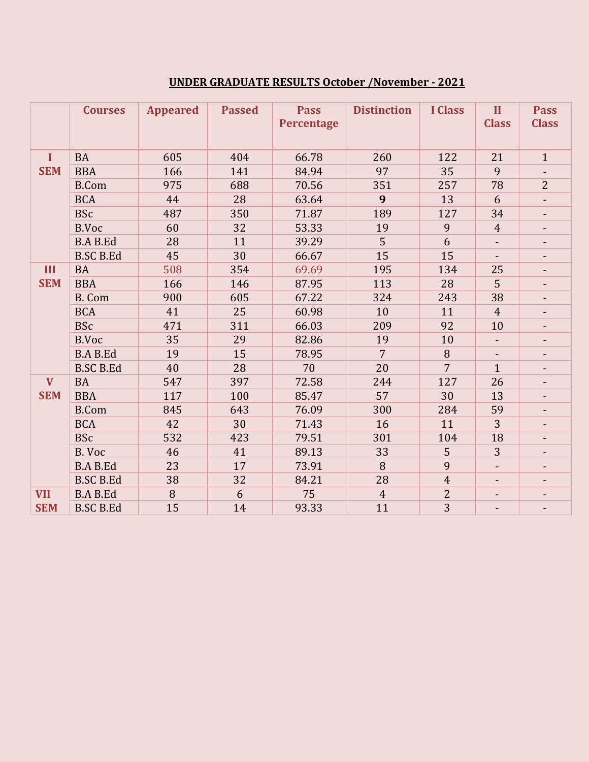## **UNDER GRADUATE RESULTS October /November - 2021**

|              | <b>Courses</b>   | <b>Appeared</b> | <b>Passed</b> | <b>Pass</b><br><b>Percentage</b> | <b>Distinction</b> | <b>I</b> Class | $\mathbf{I}$<br><b>Class</b> | <b>Pass</b><br><b>Class</b> |
|--------------|------------------|-----------------|---------------|----------------------------------|--------------------|----------------|------------------------------|-----------------------------|
| $\bf{I}$     | <b>BA</b>        | 605             | 404           | 66.78                            | 260                | 122            | 21                           | $\mathbf{1}$                |
| <b>SEM</b>   | <b>BBA</b>       | 166             | 141           | 84.94                            | 97                 | 35             | 9                            |                             |
|              | <b>B.Com</b>     | 975             | 688           | 70.56                            | 351                | 257            | 78                           | $\overline{2}$              |
|              | <b>BCA</b>       | 44              | 28            | 63.64                            | 9                  | 13             | 6                            | $\overline{\phantom{m}}$    |
|              | <b>BSc</b>       | 487             | 350           | 71.87                            | 189                | 127            | 34                           |                             |
|              | B.Voc            | 60              | 32            | 53.33                            | 19                 | 9              | $\overline{4}$               | $\blacksquare$              |
|              | <b>B.A B.Ed</b>  | 28              | 11            | 39.29                            | 5                  | 6              |                              | ٠                           |
|              | <b>B.SC B.Ed</b> | 45              | 30            | 66.67                            | 15                 | 15             |                              | $\blacksquare$              |
| III          | <b>BA</b>        | 508             | 354           | 69.69                            | 195                | 134            | 25                           |                             |
| <b>SEM</b>   | <b>BBA</b>       | 166             | 146           | 87.95                            | 113                | 28             | 5                            | $\blacksquare$              |
|              | <b>B.</b> Com    | 900             | 605           | 67.22                            | 324                | 243            | 38                           |                             |
|              | <b>BCA</b>       | 41              | 25            | 60.98                            | 10                 | 11             | $\overline{4}$               | $\blacksquare$              |
|              | <b>BSc</b>       | 471             | 311           | 66.03                            | 209                | 92             | 10                           |                             |
|              | <b>B.Voc</b>     | 35              | 29            | 82.86                            | 19                 | 10             |                              |                             |
|              | <b>B.A B.Ed</b>  | 19              | 15            | 78.95                            | $\overline{7}$     | 8              |                              |                             |
|              | <b>B.SC B.Ed</b> | 40              | 28            | 70                               | 20                 | $\overline{7}$ | $\mathbf{1}$                 | $\sim$                      |
| $\mathbf{V}$ | <b>BA</b>        | 547             | 397           | 72.58                            | 244                | 127            | 26                           |                             |
| <b>SEM</b>   | <b>BBA</b>       | 117             | 100           | 85.47                            | 57                 | 30             | 13                           |                             |
|              | <b>B.Com</b>     | 845             | 643           | 76.09                            | 300                | 284            | 59                           |                             |
|              | <b>BCA</b>       | 42              | 30            | 71.43                            | 16                 | 11             | 3                            |                             |
|              | <b>BSc</b>       | 532             | 423           | 79.51                            | 301                | 104            | 18                           |                             |
|              | B. Voc           | 46              | 41            | 89.13                            | 33                 | 5              | 3                            |                             |
|              | <b>B.A B.Ed</b>  | 23              | 17            | 73.91                            | 8                  | 9              | $\overline{\phantom{a}}$     | ٠                           |
|              | <b>B.SC B.Ed</b> | 38              | 32            | 84.21                            | 28                 | $\overline{4}$ | $\blacksquare$               | ٠                           |
| <b>VII</b>   | <b>B.A B.Ed</b>  | 8               | 6             | 75                               | $\overline{4}$     | $\overline{2}$ |                              |                             |
| <b>SEM</b>   | <b>B.SC B.Ed</b> | 15              | 14            | 93.33                            | 11                 | 3              |                              | $\blacksquare$              |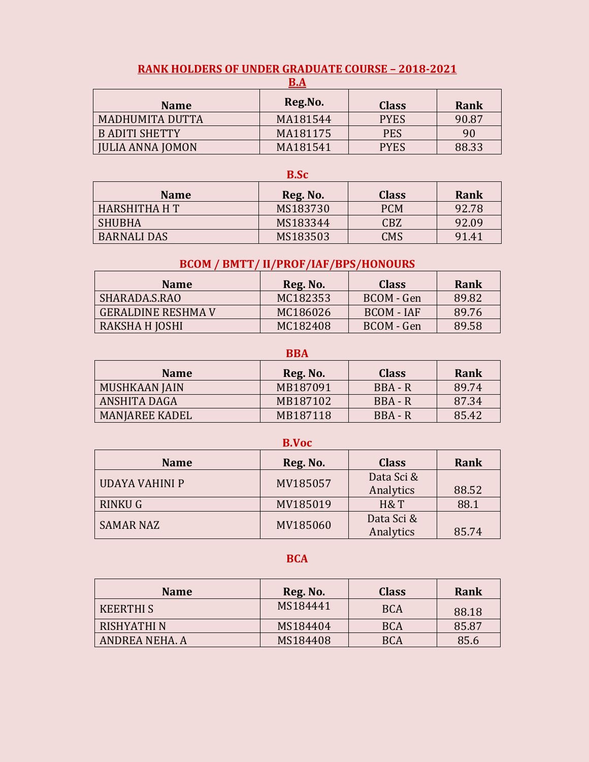| <u>B.A</u>             |          |              |       |  |  |  |  |
|------------------------|----------|--------------|-------|--|--|--|--|
| <b>Name</b>            | Reg.No.  | <b>Class</b> | Rank  |  |  |  |  |
| <b>MADHUMITA DUTTA</b> | MA181544 | <b>PYES</b>  | 90.87 |  |  |  |  |
| <b>B ADITI SHETTY</b>  | MA181175 | <b>PES</b>   | 90    |  |  |  |  |
| JULIA ANNA JOMON       | MA181541 | <b>PYES</b>  | 88.33 |  |  |  |  |

## **RANK HOLDERS OF UNDER GRADUATE COURSE – 2018-2021**

#### **B.Sc**

| <b>Name</b>        | Reg. No. | <b>Class</b> | Rank  |
|--------------------|----------|--------------|-------|
| HARSHITHA H T      | MS183730 | <b>PCM</b>   | 92.78 |
| <b>SHUBHA</b>      | MS183344 | CBZ          | 92.09 |
| <b>BARNALI DAS</b> | MS183503 | <b>CMS</b>   | 91.41 |

### **BCOM / BMTT/ II/PROF/IAF/BPS/HONOURS**

| <b>Name</b>        | Reg. No. | <b>Class</b> | Rank  |
|--------------------|----------|--------------|-------|
| SHARADA.S.RAO      | MC182353 | BCOM - Gen   | 89.82 |
| GERALDINE RESHMA V | MC186026 | BCOM - IAF   | 89.76 |
| RAKSHA H JOSHI     | MC182408 | BCOM - Gen   | 89.58 |

#### **BBA**

| <b>Name</b>           | Reg. No. | <b>Class</b> | Rank  |
|-----------------------|----------|--------------|-------|
| MUSHKAAN JAIN         | MB187091 | BBA - R      | 89.74 |
| ANSHITA DAGA          | MB187102 | $BBA - R$    | 87.34 |
| <b>MANIAREE KADEL</b> | MB187118 | BBA - R      | 85.42 |

#### **B.Voc**

| <b>Name</b>      | Reg. No. | <b>Class</b> | Rank  |
|------------------|----------|--------------|-------|
| UDAYA VAHINI P   | MV185057 | Data Sci &   |       |
|                  |          | Analytics    | 88.52 |
| RINKU G          | MV185019 | H&T          | 88.1  |
| <b>SAMAR NAZ</b> | MV185060 | Data Sci &   |       |
|                  |          | Analytics    | 85.74 |

#### **BCA**

| <b>Name</b>      | Reg. No. | <b>Class</b> | Rank  |
|------------------|----------|--------------|-------|
| <b>KEERTHI S</b> | MS184441 | <b>BCA</b>   | 88.18 |
| RISHYATHI N      | MS184404 | <b>BCA</b>   | 85.87 |
| ANDREA NEHA, A   | MS184408 | BCA          | 85.6  |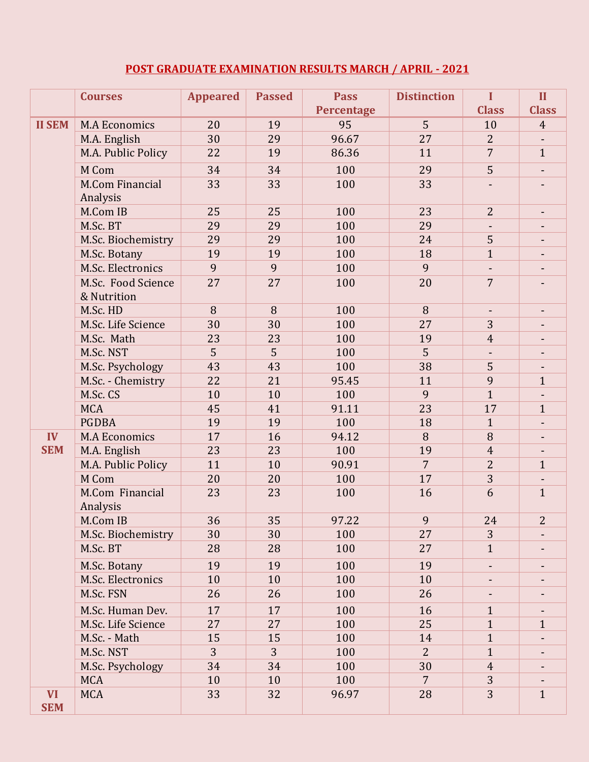## **POST GRADUATE EXAMINATION RESULTS MARCH / APRIL - 2021**

|               | <b>Courses</b>         | <b>Appeared</b> | <b>Passed</b> | <b>Pass</b> | <b>Distinction</b> | I                        | $\mathbf{I}$             |
|---------------|------------------------|-----------------|---------------|-------------|--------------------|--------------------------|--------------------------|
|               |                        |                 |               | Percentage  |                    | <b>Class</b>             | <b>Class</b>             |
| <b>II SEM</b> | <b>M.A Economics</b>   | 20              | 19            | 95          | 5                  | 10                       | $\overline{4}$           |
|               | M.A. English           | 30              | 29            | 96.67       | 27                 | $\overline{2}$           |                          |
|               | M.A. Public Policy     | 22              | 19            | 86.36       | 11                 | $\overline{7}$           | $\mathbf{1}$             |
|               | M Com                  | 34              | 34            | 100         | 29                 | 5                        |                          |
|               | <b>M.Com Financial</b> | 33              | 33            | 100         | 33                 |                          |                          |
|               | Analysis               |                 |               |             |                    |                          |                          |
|               | M.Com IB               | 25              | 25            | 100         | 23                 | $\overline{2}$           | $\overline{\phantom{a}}$ |
|               | M.Sc. BT               | 29              | 29            | 100         | 29                 |                          |                          |
|               | M.Sc. Biochemistry     | 29              | 29            | 100         | 24                 | 5                        |                          |
|               | M.Sc. Botany           | 19              | 19            | 100         | 18                 | $\mathbf{1}$             |                          |
|               | M.Sc. Electronics      | 9               | 9             | 100         | 9                  | $\blacksquare$           |                          |
|               | M.Sc. Food Science     | 27              | 27            | 100         | 20                 | $\overline{7}$           |                          |
|               | & Nutrition            |                 |               |             |                    |                          |                          |
|               | M.Sc. HD               | 8               | 8             | 100         | 8                  |                          |                          |
|               | M.Sc. Life Science     | 30              | 30            | 100         | 27                 | 3                        |                          |
|               | M.Sc. Math             | 23              | 23            | 100         | 19                 | $\overline{4}$           |                          |
|               | M.Sc. NST              | 5               | 5             | 100         | 5                  | $\overline{\phantom{a}}$ |                          |
|               | M.Sc. Psychology       | 43              | 43            | 100         | 38                 | 5                        |                          |
|               | M.Sc. - Chemistry      | 22              | 21            | 95.45       | 11                 | 9                        | $\mathbf{1}$             |
|               | M.Sc. CS               | 10              | 10            | 100         | 9                  | $\mathbf{1}$             |                          |
|               | <b>MCA</b>             | 45              | 41            | 91.11       | 23                 | 17                       | $\mathbf{1}$             |
|               | <b>PGDBA</b>           | 19              | 19            | 100         | 18                 | $\mathbf{1}$             |                          |
| IV            | <b>M.A Economics</b>   | 17              | 16            | 94.12       | 8                  | 8                        |                          |
| <b>SEM</b>    | M.A. English           | 23              | 23            | 100         | 19                 | $\overline{4}$           |                          |
|               | M.A. Public Policy     | 11              | 10            | 90.91       | $\overline{7}$     | $\overline{2}$           | $\mathbf{1}$             |
|               | M Com                  | 20              | 20            | 100         | 17                 | 3                        |                          |
|               | M.Com Financial        | 23              | 23            | 100         | 16                 | 6                        | $\mathbf{1}$             |
|               | Analysis               |                 |               |             |                    |                          |                          |
|               | M.Com IB               | 36              | 35            | 97.22       | 9                  | 24                       | $\overline{2}$           |
|               | M.Sc. Biochemistry     | 30              | 30            | 100         | 27                 | 3                        |                          |
|               | M.Sc. BT               | 28              | 28            | 100         | 27                 | $\mathbf{1}$             |                          |
|               | M.Sc. Botany           | 19              | 19            | 100         | 19                 | $\blacksquare$           |                          |
|               | M.Sc. Electronics      | 10              | 10            | 100         | 10                 | $\overline{\phantom{a}}$ |                          |
|               | M.Sc. FSN              | 26              | 26            | 100         | 26                 |                          |                          |
|               | M.Sc. Human Dev.       | 17              | 17            | 100         | 16                 | $\mathbf{1}$             |                          |
|               | M.Sc. Life Science     | 27              | 27            | 100         | 25                 | $\mathbf{1}$             | $\mathbf{1}$             |
|               | M.Sc. - Math           | 15              | 15            | 100         | 14                 | $\mathbf{1}$             |                          |
|               | M.Sc. NST              | 3               | 3             | 100         | $\overline{2}$     | $\mathbf{1}$             |                          |
|               | M.Sc. Psychology       | 34              | 34            | 100         | 30                 | $\overline{4}$           |                          |
|               | <b>MCA</b>             | 10              | 10            | 100         | $\overline{7}$     | 3                        |                          |
| <b>VI</b>     | <b>MCA</b>             | 33              | 32            | 96.97       | 28                 | 3                        | $\mathbf{1}$             |
| <b>SEM</b>    |                        |                 |               |             |                    |                          |                          |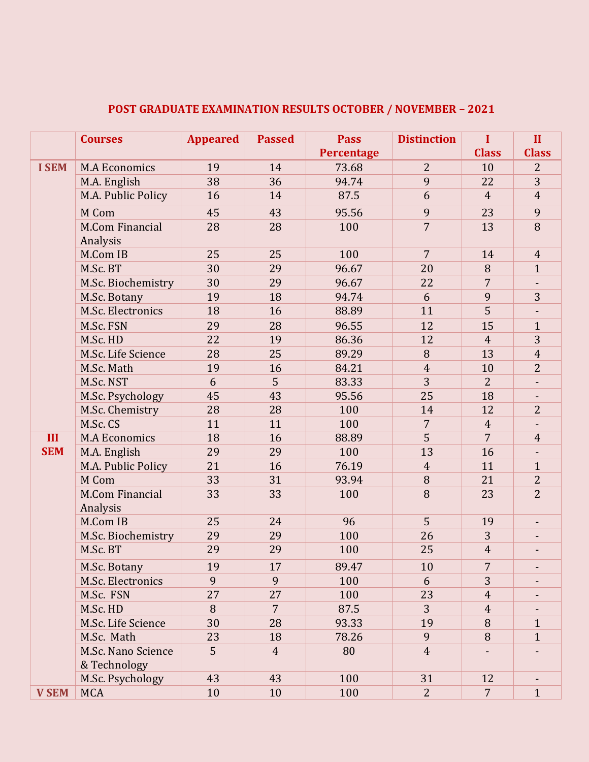|              | <b>Courses</b>                     | <b>Appeared</b> | <b>Passed</b>  | <b>Pass</b><br><b>Percentage</b> | <b>Distinction</b> | $\mathbf I$<br><b>Class</b> | $\mathbf{II}$<br><b>Class</b> |
|--------------|------------------------------------|-----------------|----------------|----------------------------------|--------------------|-----------------------------|-------------------------------|
| <b>I SEM</b> | <b>M.A Economics</b>               | 19              | 14             | 73.68                            | $\overline{2}$     | 10                          | $\overline{2}$                |
|              | M.A. English                       | 38              | 36             | 94.74                            | 9                  | 22                          | 3                             |
|              | M.A. Public Policy                 | 16              | 14             | 87.5                             | 6                  | $\overline{4}$              | $\overline{4}$                |
|              |                                    |                 |                |                                  |                    |                             |                               |
|              | M Com                              | 45              | 43             | 95.56                            | 9                  | 23                          | 9<br>8                        |
|              | <b>M.Com Financial</b><br>Analysis | 28              | 28             | 100                              | $\overline{7}$     | 13                          |                               |
|              | M.Com IB                           | 25              | 25             | 100                              | $\overline{7}$     | 14                          | $\overline{4}$                |
|              | M.Sc. BT                           | 30              | 29             | 96.67                            | 20                 | 8                           | $\mathbf{1}$                  |
|              | M.Sc. Biochemistry                 | 30              | 29             | 96.67                            | 22                 | $\overline{7}$              |                               |
|              | M.Sc. Botany                       | 19              | 18             | 94.74                            | 6                  | 9                           | 3                             |
|              | M.Sc. Electronics                  | 18              | 16             | 88.89                            | 11                 | 5                           |                               |
|              | M.Sc. FSN                          | 29              | 28             | 96.55                            | 12                 | 15                          | $\mathbf{1}$                  |
|              | M.Sc. HD                           | 22              | 19             | 86.36                            | 12                 | $\overline{4}$              | 3                             |
|              | M.Sc. Life Science                 | 28              | 25             | 89.29                            | 8                  | 13                          | $\overline{4}$                |
|              | M.Sc. Math                         | 19              | 16             | 84.21                            | $\overline{4}$     | 10                          | $\overline{2}$                |
|              | M.Sc. NST                          | 6               | 5              | 83.33                            | 3                  | $\overline{2}$              |                               |
|              | M.Sc. Psychology                   | 45              | 43             | 95.56                            | 25                 | 18                          |                               |
|              | M.Sc. Chemistry                    | 28              | 28             | 100                              | 14                 | 12                          | $\overline{2}$                |
|              | M.Sc. CS                           | 11              | 11             | 100                              | 7                  | $\overline{4}$              |                               |
| III          | <b>M.A Economics</b>               | 18              | 16             | 88.89                            | 5                  | $\overline{7}$              | $\overline{4}$                |
| <b>SEM</b>   | M.A. English                       | 29              | 29             | 100                              | 13                 | 16                          |                               |
|              | M.A. Public Policy                 | 21              | 16             | 76.19                            | $\overline{4}$     | 11                          | $\mathbf{1}$                  |
|              | M Com                              | 33              | 31             | 93.94                            | 8                  | 21                          | $\overline{2}$                |
|              | <b>M.Com Financial</b><br>Analysis | 33              | 33             | 100                              | 8                  | 23                          | $\overline{2}$                |
|              | M.Com IB                           | 25              | 24             | 96                               | 5                  | 19                          |                               |
|              | M.Sc. Biochemistry                 | 29              | 29             | 100                              | 26                 | 3                           |                               |
|              | M.Sc. BT                           | 29              | 29             | 100                              | 25                 | $\overline{4}$              |                               |
|              |                                    |                 |                |                                  |                    | 7                           |                               |
|              | M.Sc. Botany<br>M.Sc. Electronics  | 19<br>9         | 17<br>9        | 89.47<br>100                     | 10<br>6            | 3                           |                               |
|              | M.Sc. FSN                          | 27              | 27             | 100                              | 23                 | $\overline{4}$              |                               |
|              | M.Sc. HD                           | 8               | $\overline{7}$ | 87.5                             | 3                  | $\overline{4}$              |                               |
|              |                                    |                 |                |                                  |                    |                             |                               |
|              | M.Sc. Life Science                 | 30              | 28             | 93.33                            | 19<br>9            | 8                           | $\mathbf{1}$<br>$\mathbf{1}$  |
|              | M.Sc. Math                         | 23<br>5         | 18             | 78.26                            | $\overline{4}$     | 8                           |                               |
|              | M.Sc. Nano Science<br>& Technology |                 | $\overline{4}$ | 80                               |                    |                             |                               |
|              | M.Sc. Psychology                   | 43              | 43             | 100                              | 31                 | 12                          | $\blacksquare$                |
| <b>V SEM</b> | <b>MCA</b>                         | 10              | 10             | 100                              | $\overline{2}$     | $\overline{7}$              | $\mathbf{1}$                  |

## **POST GRADUATE EXAMINATION RESULTS OCTOBER / NOVEMBER – 2021**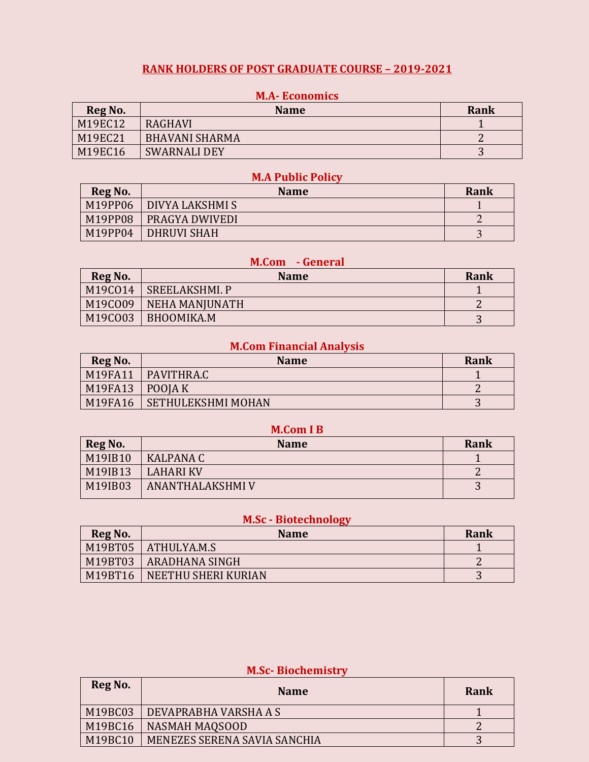### **RANK HOLDERS OF POST GRADUATE COURSE – 2019-2021**

| Reg No. | <b>Name</b>           | Rank |
|---------|-----------------------|------|
| M19EC12 | <b>RAGHAVI</b>        |      |
| M19EC21 | <b>BHAVANI SHARMA</b> |      |
| M19EC16 | <b>SWARNALI DEY</b>   | ັ    |

#### **M.A- Economics**

#### **M.A Public Policy**

| Reg No. | <b>Name</b>            | Rank |
|---------|------------------------|------|
| M19PP06 | <b>DIVYA LAKSHMI S</b> |      |
| M19PP08 | PRAGYA DWIVEDI         |      |
| M19PP04 | <b>DHRUVI SHAH</b>     |      |

### **M.Com - General**

| Reg No. | <b>Name</b>    | Rank |
|---------|----------------|------|
| M19C014 | SREELAKSHMI. P |      |
| M19C009 | NEHA MANJUNATH |      |
| M19C003 | BHOOMIKA.M     | ັ    |

## **M.Com Financial Analysis**

| Reg No.             | <b>Name</b>               | Rank |
|---------------------|---------------------------|------|
| M19FA11             | PAVITHRA.C                |      |
| $M19FA13$   POOJA K |                           |      |
| M19FA16             | <b>SETHULEKSHMI MOHAN</b> |      |

#### **M.Com I B**

| Reg No. | <b>Name</b>             | Rank                     |
|---------|-------------------------|--------------------------|
| M19IB10 | <b>KALPANA C</b>        |                          |
| M19IB13 | <b>LAHARI KV</b>        |                          |
| M19IB03 | <b>ANANTHALAKSHMI V</b> | $\overline{\phantom{a}}$ |

## **M.Sc - Biotechnology**

| Reg No. | <b>Name</b>           | Rank |
|---------|-----------------------|------|
|         | M19BT05   ATHULYA.M.S |      |
| M19BT03 | <b>ARADHANA SINGH</b> |      |
| M19BT16 | NEETHU SHERI KURIAN   |      |

| Reg No. | <b>Name</b>                  | Rank |
|---------|------------------------------|------|
| M19BC03 | DEVAPRABHA VARSHA A S        |      |
| M19BC16 | <b>NASMAH MAQSOOD</b>        |      |
| M19BC10 | MENEZES SERENA SAVIA SANCHIA |      |

#### **M.Sc- Biochemistry**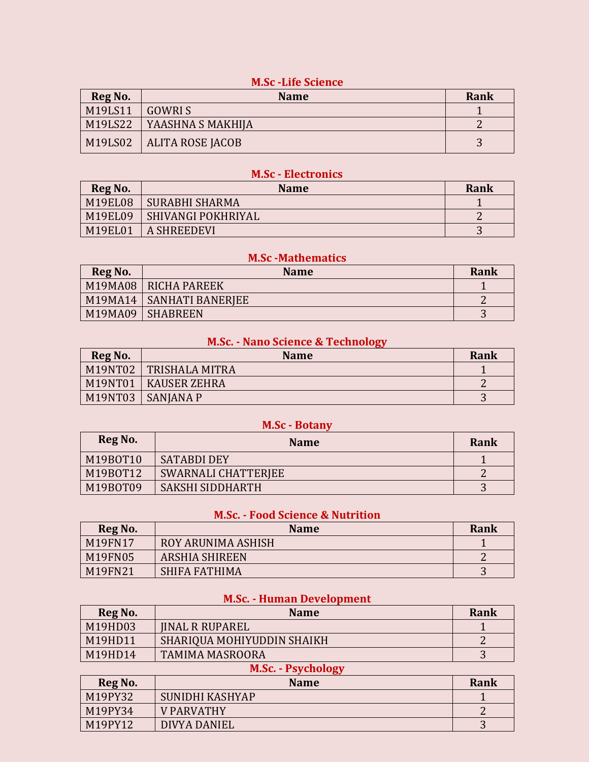## **M.Sc -Life Science**

| Reg No. | <b>Name</b>                | Rank |
|---------|----------------------------|------|
| M19LS11 | GOWRI S                    |      |
| M19LS22 | YAASHNA S MAKHIJA          |      |
|         | M19LS02   ALITA ROSE JACOB |      |

#### **M.Sc - Electronics**

| Reg No.        | <b>Name</b>           | Rank |
|----------------|-----------------------|------|
| <b>M19EL08</b> | <b>SURABHI SHARMA</b> |      |
| M19EL09        | SHIVANGI POKHRIYAL    |      |
| <b>M19EL01</b> | A SHREEDEVI           | . .  |

### **M.Sc -Mathematics**

| Reg No. | <b>Name</b>             | Rank |
|---------|-------------------------|------|
|         | M19MA08   RICHA PAREEK  |      |
| M19MA14 | <b>SANHATI BANERIEE</b> |      |
| M19MA09 | <b>SHABREEN</b>         |      |

### **M.Sc. - Nano Science & Technology**

| Reg No. | <b>Name</b>         | Rank   |
|---------|---------------------|--------|
| M19NT02 | TRISHALA MITRA      |        |
| M19NT01 | <b>KAUSER ZEHRA</b> |        |
| M19NT03 | <b>SANIANA P</b>    | $\sim$ |

#### **M.Sc - Botany**

| Reg No.  | <b>Name</b>         | Rank |
|----------|---------------------|------|
| M19B0T10 | <b>SATABDI DEY</b>  |      |
| M19B0T12 | SWARNALI CHATTERIEE |      |
| M19B0T09 | SAKSHI SIDDHARTH    | ັ    |

#### **M.Sc. - Food Science & Nutrition**

| <b>Reg No.</b> | <b>Name</b>           | Rank |
|----------------|-----------------------|------|
| M19FN17        | ROY ARUNIMA ASHISH    |      |
| <b>M19FN05</b> | <b>ARSHIA SHIREEN</b> |      |
| M19FN21        | SHIFA FATHIMA         | ັ    |

## **M.Sc. - Human Development**

| Reg No. | <b>Name</b>                | <b>Rank</b> |
|---------|----------------------------|-------------|
| M19HD03 | <b>JINAL R RUPAREL</b>     |             |
| M19HD11 | SHARIQUA MOHIYUDDIN SHAIKH |             |
| M19HD14 | <b>TAMIMA MASROORA</b>     | 3           |
|         | <b>M.Sc. - Psychology</b>  |             |
| Reg No. | <b>Name</b>                | <b>Rank</b> |
| M19PY32 | SUNIDHI KASHYAP            |             |
| M19PY34 | <b>V PARVATHY</b>          |             |
| M19PY12 |                            |             |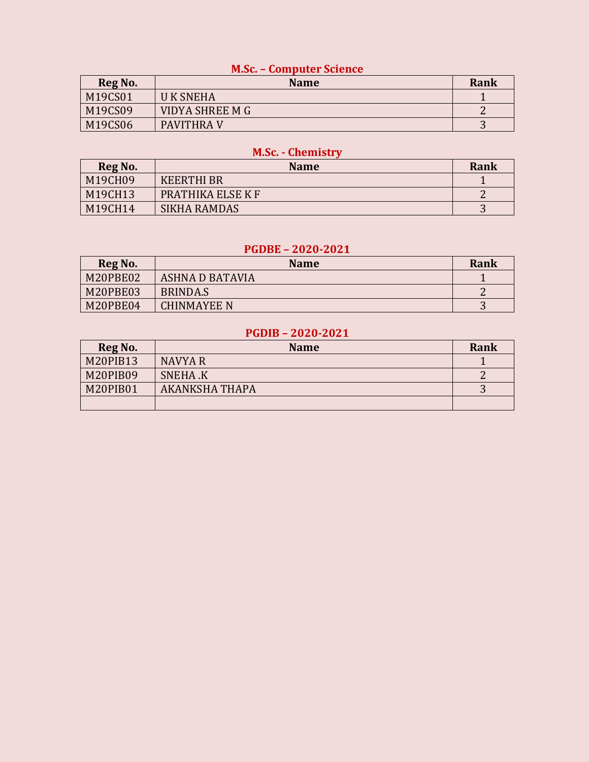#### **M.Sc. – Computer Science**

| Reg No. | <b>Name</b>       | Rank |
|---------|-------------------|------|
| M19CS01 | <b>UK SNEHA</b>   |      |
| M19CS09 | VIDYA SHREE M G   |      |
| M19CS06 | <b>PAVITHRA V</b> | ັ    |

## **M.Sc. - Chemistry**

| Reg No. | <b>Name</b>       | Rank |
|---------|-------------------|------|
| M19CH09 | <b>KEERTHI BR</b> |      |
| M19CH13 | PRATHIKA ELSE K F |      |
| M19CH14 | SIKHA RAMDAS      | ັ    |

#### **PGDBE – 2020-2021**

| Reg No.  | <b>Name</b>     | Rank |
|----------|-----------------|------|
| M20PBE02 | ASHNA D BATAVIA |      |
| M20PBE03 | BRINDA.S        |      |
| M20PBE04 | CHINMAYEE N     | ັ    |

### **PGDIB – 2020-2021**

| Reg No.  | <b>Name</b>     | Rank |
|----------|-----------------|------|
| M20PIB13 | <b>NAVYA R</b>  |      |
| M20PIB09 | <b>SNEHA .K</b> |      |
| M20PIB01 | AKANKSHA THAPA  | . .  |
|          |                 |      |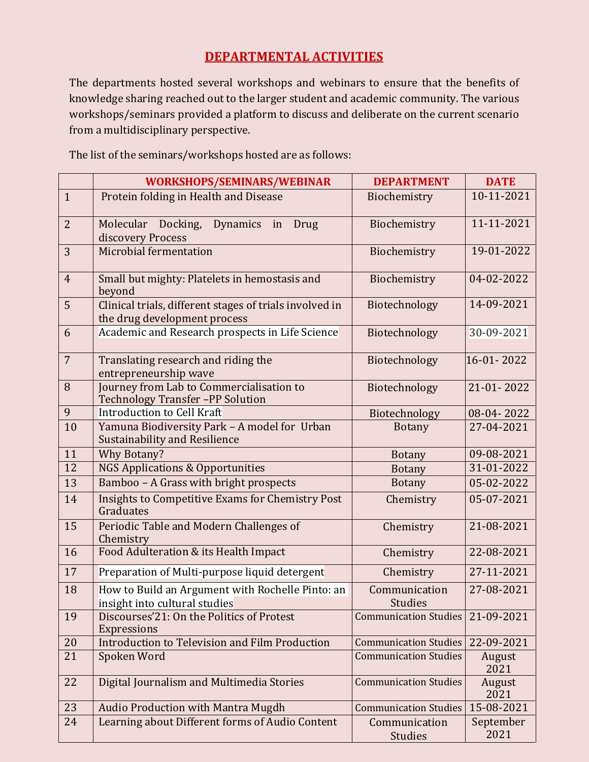## **DEPARTMENTAL ACTIVITIES**

The departments hosted several workshops and webinars to ensure that the benefits of knowledge sharing reached out to the larger student and academic community. The various workshops/seminars provided a platform to discuss and deliberate on the current scenario from a multidisciplinary perspective.

WORKSHOPS/SEMINARS/WEBINAR DEPARTMENT DATE 1 Protein folding in Health and Disease Biochemistry 10-11-2021 2 Molecular Docking, Dynamics in Drug discovery Process Biochemistry 11-11-2021 3 Microbial fermentation Biochemistry 19-01-2022 4 Small but mighty: Platelets in hemostasis and beyond Biochemistry 04-02-2022 5 Clinical trials, different stages of trials involved in the drug development process Biotechnology 14-09-2021 6 Academic and Research prospects in Life Science | Biotechnology | 30-09-2021 7 **Translating research and riding the** entrepreneurship wave Biotechnology 16-01- 2022 8 Journey from Lab to Commercialisation to Technology Transfer –PP Solution Biotechnology 21-01- 2022 9 Introduction to Cell Kraft Biotechnology 08-04- 2022 10 Yamuna Biodiversity Park – A model for Urban Sustainability and Resilience Botany 27-04-2021 11 Why Botany? Botany 09-08-2021 12 NGS Applications & Opportunities Botany 31-01-2022 13 Bamboo – A Grass with bright prospects Botany 05-02-2022 14 | Insights to Competitive Exams for Chemistry Post Graduates Chemistry 05-07-2021 15 | Periodic Table and Modern Challenges of **Chemistry** Chemistry 21-08-2021 16 | Food Adulteration & its Health Impact Chemistry | 22-08-2021 17 Preparation of Multi-purpose liquid detergent | Chemistry | 27-11-2021 18 | How to Build an Argument with Rochelle Pinto: an insight into cultural studies Communication **Studies** 27-08-2021 19 Discourses'21: On the Politics of Protest **Expressions** Communication Studies 21-09-2021 20 Introduction to Television and Film Production Communication Studies 22-09-2021 21 Spoken Word Communication Studies August 2021 22 | Digital Journalism and Multimedia Stories | Communication Studies | August 2021 23 Audio Production with Mantra Mugdh Communication Studies 15-08-2021 24 Learning about Different forms of Audio Content Communication Studies September 2021

The list of the seminars/workshops hosted are as follows: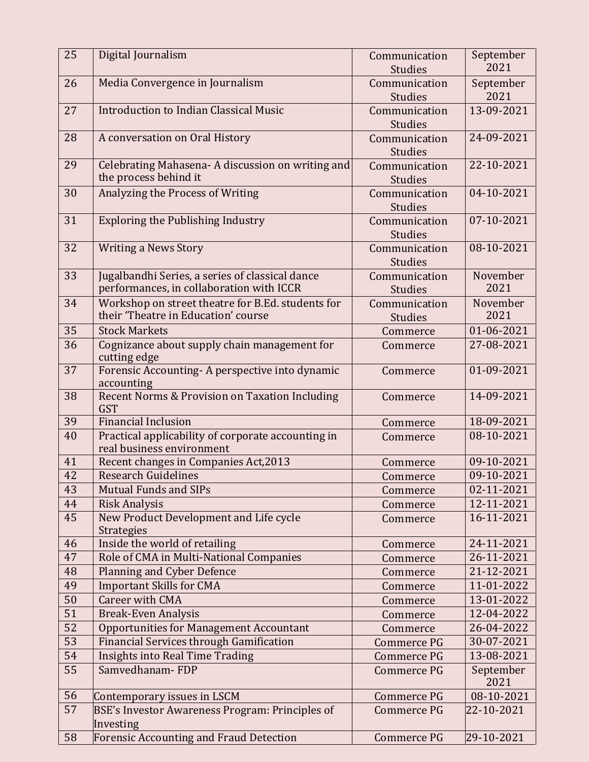| 25 | Digital Journalism                                                                          | Communication<br><b>Studies</b> | September<br>2021 |
|----|---------------------------------------------------------------------------------------------|---------------------------------|-------------------|
| 26 | Media Convergence in Journalism                                                             | Communication                   | September         |
|    |                                                                                             | Studies                         | 2021              |
| 27 | Introduction to Indian Classical Music                                                      | Communication<br><b>Studies</b> | 13-09-2021        |
| 28 | A conversation on Oral History                                                              | Communication<br><b>Studies</b> | 24-09-2021        |
| 29 | Celebrating Mahasena-A discussion on writing and<br>the process behind it                   | Communication<br><b>Studies</b> | 22-10-2021        |
| 30 | Analyzing the Process of Writing                                                            | Communication<br><b>Studies</b> | 04-10-2021        |
| 31 | <b>Exploring the Publishing Industry</b>                                                    | Communication<br><b>Studies</b> | 07-10-2021        |
| 32 | <b>Writing a News Story</b>                                                                 | Communication<br><b>Studies</b> | 08-10-2021        |
| 33 | Jugalbandhi Series, a series of classical dance<br>performances, in collaboration with ICCR | Communication<br><b>Studies</b> | November<br>2021  |
| 34 | Workshop on street theatre for B.Ed. students for<br>their 'Theatre in Education' course    | Communication<br><b>Studies</b> | November<br>2021  |
| 35 | <b>Stock Markets</b>                                                                        | Commerce                        | 01-06-2021        |
| 36 | Cognizance about supply chain management for<br>cutting edge                                | Commerce                        | 27-08-2021        |
| 37 | Forensic Accounting-A perspective into dynamic<br>accounting                                | Commerce                        | 01-09-2021        |
| 38 | Recent Norms & Provision on Taxation Including<br><b>GST</b>                                | Commerce                        | 14-09-2021        |
| 39 | <b>Financial Inclusion</b>                                                                  | Commerce                        | 18-09-2021        |
| 40 | Practical applicability of corporate accounting in<br>real business environment             | Commerce                        | 08-10-2021        |
| 41 | Recent changes in Companies Act, 2013                                                       | Commerce                        | 09-10-2021        |
| 42 | <b>Research Guidelines</b>                                                                  | Commerce                        | 09-10-2021        |
| 43 | <b>Mutual Funds and SIPs</b>                                                                | Commerce                        | 02-11-2021        |
| 44 | <b>Risk Analysis</b>                                                                        | Commerce                        | 12-11-2021        |
| 45 | New Product Development and Life cycle<br><b>Strategies</b>                                 | Commerce                        | 16-11-2021        |
| 46 | Inside the world of retailing                                                               | Commerce                        | 24-11-2021        |
| 47 | Role of CMA in Multi-National Companies                                                     | Commerce                        | 26-11-2021        |
| 48 | Planning and Cyber Defence                                                                  | Commerce                        | 21-12-2021        |
| 49 | <b>Important Skills for CMA</b>                                                             | Commerce                        | 11-01-2022        |
| 50 | Career with CMA                                                                             | Commerce                        | 13-01-2022        |
| 51 | <b>Break-Even Analysis</b>                                                                  | Commerce                        | 12-04-2022        |
| 52 | <b>Opportunities for Management Accountant</b>                                              | Commerce                        | 26-04-2022        |
| 53 | <b>Financial Services through Gamification</b>                                              | Commerce PG                     | 30-07-2021        |
| 54 | <b>Insights into Real Time Trading</b>                                                      | Commerce PG                     | 13-08-2021        |
| 55 | Samvedhanam-FDP                                                                             | <b>Commerce PG</b>              | September<br>2021 |
| 56 | Contemporary issues in LSCM                                                                 | Commerce PG                     | 08-10-2021        |
| 57 | <b>BSE's Investor Awareness Program: Principles of</b>                                      | Commerce PG                     | 22-10-2021        |
|    | Investing                                                                                   |                                 |                   |
| 58 | <b>Forensic Accounting and Fraud Detection</b>                                              | Commerce PG                     | 29-10-2021        |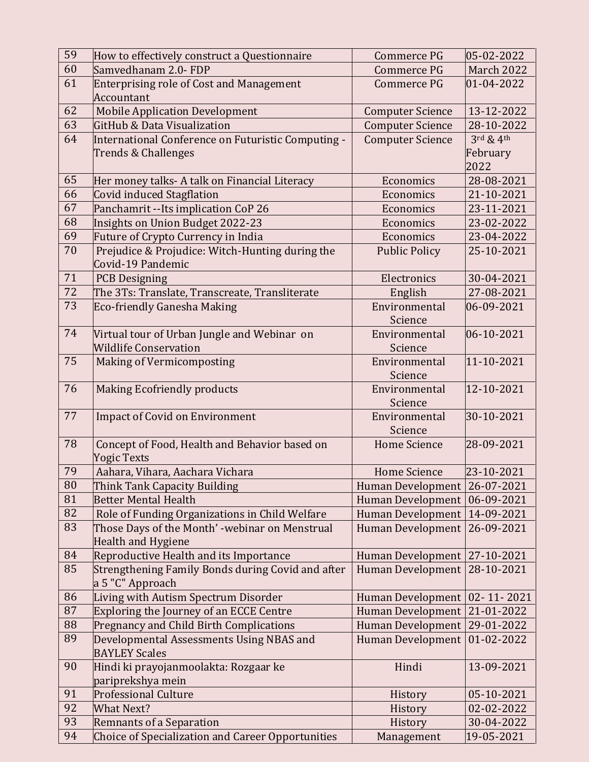| 59 | How to effectively construct a Questionnaire             | Commerce PG              | 05-02-2022                        |
|----|----------------------------------------------------------|--------------------------|-----------------------------------|
| 60 | Samvedhanam 2.0-FDP                                      | Commerce PG              | <b>March 2022</b>                 |
| 61 | <b>Enterprising role of Cost and Management</b>          | Commerce PG              | 01-04-2022                        |
|    | <b>Accountant</b>                                        |                          |                                   |
| 62 | <b>Mobile Application Development</b>                    | <b>Computer Science</b>  | 13-12-2022                        |
| 63 | GitHub & Data Visualization                              | <b>Computer Science</b>  | 28-10-2022                        |
| 64 | International Conference on Futuristic Computing -       | <b>Computer Science</b>  | $3^{\text{rd}}$ & $4^{\text{th}}$ |
|    | Trends & Challenges                                      |                          | February                          |
|    |                                                          |                          | 2022                              |
| 65 | Her money talks- A talk on Financial Literacy            | Economics                | 28-08-2021                        |
| 66 | Covid induced Stagflation                                | Economics                | 21-10-2021                        |
| 67 | Panchamrit --Its implication CoP 26                      | Economics                | 23-11-2021                        |
| 68 | Insights on Union Budget 2022-23                         | Economics                | 23-02-2022                        |
| 69 | Future of Crypto Currency in India                       | Economics                | 23-04-2022                        |
| 70 | Prejudice & Projudice: Witch-Hunting during the          | <b>Public Policy</b>     | 25-10-2021                        |
|    | Covid-19 Pandemic                                        |                          |                                   |
| 71 | <b>PCB Designing</b>                                     | Electronics              | 30-04-2021                        |
| 72 | The 3Ts: Translate, Transcreate, Transliterate           | English                  | 27-08-2021                        |
| 73 | <b>Eco-friendly Ganesha Making</b>                       | Environmental            | 06-09-2021                        |
|    |                                                          | Science                  |                                   |
| 74 | Virtual tour of Urban Jungle and Webinar on              | Environmental            | 06-10-2021                        |
|    | Wildlife Conservation                                    | Science                  |                                   |
| 75 | Making of Vermicomposting                                | Environmental            | 11-10-2021                        |
|    |                                                          | Science                  |                                   |
| 76 | <b>Making Ecofriendly products</b>                       | Environmental            | 12-10-2021                        |
|    |                                                          | Science                  |                                   |
| 77 | <b>Impact of Covid on Environment</b>                    | Environmental            | 30-10-2021                        |
|    |                                                          | Science                  |                                   |
| 78 | Concept of Food, Health and Behavior based on            | <b>Home Science</b>      | 28-09-2021                        |
|    | <b>Yogic Texts</b>                                       |                          |                                   |
| 79 | Aahara, Vihara, Aachara Vichara                          | <b>Home Science</b>      | 23-10-2021                        |
| 80 | Think Tank Capacity Building                             | <b>Human Development</b> | 26-07-2021                        |
| 81 | <b>Better Mental Health</b>                              | <b>Human Development</b> | 06-09-2021                        |
| 82 | Role of Funding Organizations in Child Welfare           | <b>Human Development</b> | 14-09-2021                        |
| 83 | Those Days of the Month' -webinar on Menstrual           | <b>Human Development</b> | 26-09-2021                        |
|    | <b>Health and Hygiene</b>                                |                          |                                   |
| 84 | Reproductive Health and its Importance                   | Human Development        | 27-10-2021                        |
| 85 | Strengthening Family Bonds during Covid and after        | <b>Human Development</b> | 28-10-2021                        |
|    | a 5 "C" Approach                                         |                          |                                   |
| 86 | Living with Autism Spectrum Disorder                     | <b>Human Development</b> | 02-11-2021                        |
| 87 | <b>Exploring the Journey of an ECCE Centre</b>           | <b>Human Development</b> | 21-01-2022                        |
| 88 | <b>Pregnancy and Child Birth Complications</b>           | <b>Human Development</b> | 29-01-2022                        |
| 89 | Developmental Assessments Using NBAS and                 | <b>Human Development</b> | 01-02-2022                        |
|    | <b>BAYLEY Scales</b>                                     |                          |                                   |
| 90 | Hindi ki prayojanmoolakta: Rozgaar ke                    | Hindi                    | 13-09-2021                        |
|    | pariprekshya mein                                        |                          |                                   |
| 91 | <b>Professional Culture</b>                              | History                  | 05-10-2021                        |
| 92 | <b>What Next?</b>                                        | History                  | 02-02-2022                        |
| 93 | Remnants of a Separation                                 | History                  | 30-04-2022                        |
| 94 | <b>Choice of Specialization and Career Opportunities</b> | Management               | 19-05-2021                        |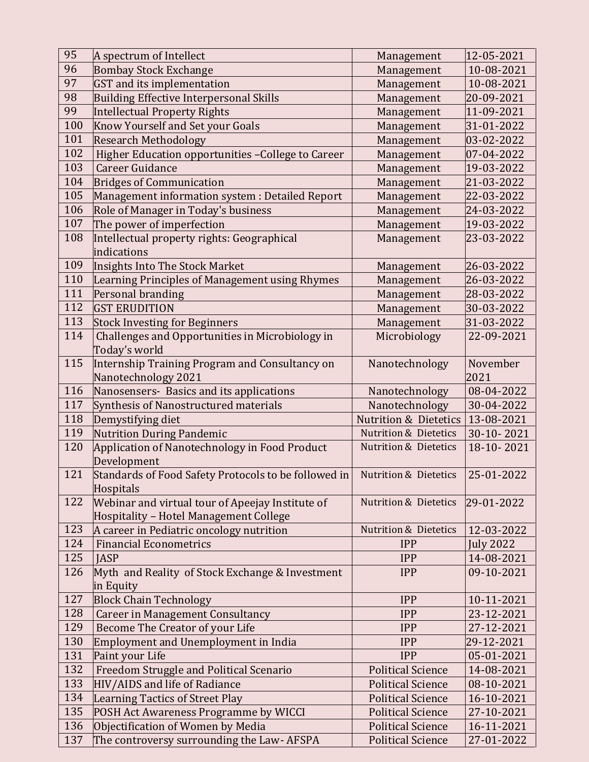| 95  | A spectrum of Intellect                                      | Management                       | 12-05-2021               |
|-----|--------------------------------------------------------------|----------------------------------|--------------------------|
| 96  | <b>Bombay Stock Exchange</b>                                 | Management                       | 10-08-2021               |
| 97  | <b>GST</b> and its implementation                            | Management                       | 10-08-2021               |
| 98  | <b>Building Effective Interpersonal Skills</b>               | Management                       | 20-09-2021               |
| 99  | <b>Intellectual Property Rights</b>                          | Management                       | 11-09-2021               |
| 100 | Know Yourself and Set your Goals                             | Management                       | 31-01-2022               |
| 101 | <b>Research Methodology</b>                                  | Management                       | 03-02-2022               |
| 102 | Higher Education opportunities - College to Career           | Management                       | 07-04-2022               |
| 103 | <b>Career Guidance</b>                                       | Management                       | 19-03-2022               |
| 104 | <b>Bridges of Communication</b>                              | Management                       | 21-03-2022               |
| 105 | Management information system : Detailed Report              | Management                       | 22-03-2022               |
| 106 | Role of Manager in Today's business                          | Management                       | 24-03-2022               |
| 107 | The power of imperfection                                    | Management                       | 19-03-2022               |
| 108 | Intellectual property rights: Geographical                   | Management                       | 23-03-2022               |
|     | indications                                                  |                                  |                          |
| 109 | Insights Into The Stock Market                               | Management                       | 26-03-2022               |
| 110 | Learning Principles of Management using Rhymes               | Management                       | 26-03-2022               |
| 111 | Personal branding                                            | Management                       | 28-03-2022               |
| 112 | <b>GST ERUDITION</b>                                         | Management                       | 30-03-2022               |
| 113 | <b>Stock Investing for Beginners</b>                         | Management                       | 31-03-2022               |
| 114 | Challenges and Opportunities in Microbiology in              | Microbiology                     | 22-09-2021               |
|     | Today's world                                                |                                  |                          |
| 115 | <b>Internship Training Program and Consultancy on</b>        | Nanotechnology                   | November                 |
|     | Nanotechnology 2021                                          |                                  | 2021                     |
| 116 | Nanosensers- Basics and its applications                     | Nanotechnology                   | 08-04-2022               |
| 117 | Synthesis of Nanostructured materials                        | Nanotechnology                   | 30-04-2022               |
| 118 | Demystifying diet                                            | <b>Nutrition &amp; Dietetics</b> | 13-08-2021               |
|     |                                                              |                                  |                          |
| 119 |                                                              | <b>Nutrition &amp; Dietetics</b> | 30-10-2021               |
| 120 | <b>Nutrition During Pandemic</b>                             | <b>Nutrition &amp; Dietetics</b> | 18-10-2021               |
|     | Application of Nanotechnology in Food Product<br>Development |                                  |                          |
| 121 | Standards of Food Safety Protocols to be followed in         | <b>Nutrition &amp; Dietetics</b> | 25-01-2022               |
|     | Hospitals                                                    |                                  |                          |
| 122 | Webinar and virtual tour of Apeejay Institute of             | <b>Nutrition &amp; Dietetics</b> | 29-01-2022               |
|     | Hospitality - Hotel Management College                       |                                  |                          |
| 123 | A career in Pediatric oncology nutrition                     | <b>Nutrition &amp; Dietetics</b> | 12-03-2022               |
| 124 | <b>Financial Econometrics</b>                                | <b>IPP</b>                       | <b>July 2022</b>         |
| 125 | <b>IASP</b>                                                  | <b>IPP</b>                       | 14-08-2021               |
| 126 | Myth and Reality of Stock Exchange & Investment              | <b>IPP</b>                       | 09-10-2021               |
|     | in Equity                                                    |                                  |                          |
| 127 | <b>Block Chain Technology</b>                                | <b>IPP</b>                       | 10-11-2021               |
| 128 | <b>Career in Management Consultancy</b>                      | <b>IPP</b>                       | 23-12-2021               |
| 129 | Become The Creator of your Life                              | <b>IPP</b>                       | 27-12-2021               |
| 130 | <b>Employment and Unemployment in India</b>                  | <b>IPP</b>                       | 29-12-2021               |
| 131 | Paint your Life                                              | <b>IPP</b>                       | 05-01-2021               |
| 132 | Freedom Struggle and Political Scenario                      | <b>Political Science</b>         | 14-08-2021               |
| 133 | HIV/AIDS and life of Radiance                                | <b>Political Science</b>         | 08-10-2021               |
| 134 | <b>Learning Tactics of Street Play</b>                       | <b>Political Science</b>         | 16-10-2021               |
| 135 | POSH Act Awareness Programme by WICCI                        | <b>Political Science</b>         | 27-10-2021               |
| 136 | Objectification of Women by Media                            | <b>Political Science</b>         | 16-11-2021<br>27-01-2022 |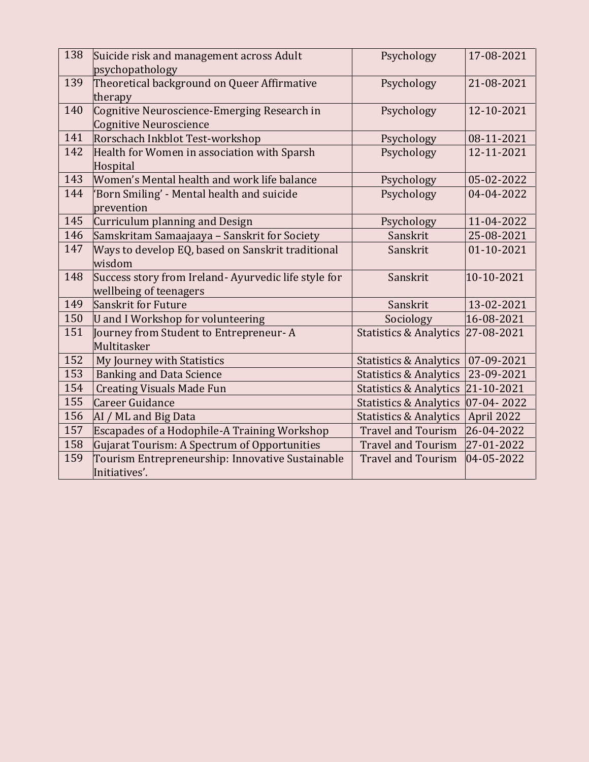| 138 | Suicide risk and management across Adult            | Psychology                        | 17-08-2021   |
|-----|-----------------------------------------------------|-----------------------------------|--------------|
|     | psychopathology                                     |                                   |              |
| 139 | Theoretical background on Queer Affirmative         | Psychology                        | 21-08-2021   |
|     | therapy                                             |                                   |              |
| 140 | Cognitive Neuroscience-Emerging Research in         | Psychology                        | 12-10-2021   |
|     | Cognitive Neuroscience                              |                                   |              |
| 141 | Rorschach Inkblot Test-workshop                     | Psychology                        | 08-11-2021   |
| 142 | Health for Women in association with Sparsh         | Psychology                        | 12-11-2021   |
|     | Hospital                                            |                                   |              |
| 143 | Women's Mental health and work life balance         | Psychology                        | 05-02-2022   |
| 144 | 'Born Smiling' - Mental health and suicide          | Psychology                        | 04-04-2022   |
|     | prevention                                          |                                   |              |
| 145 | Curriculum planning and Design                      | Psychology                        | 11-04-2022   |
| 146 | Samskritam Samaajaaya - Sanskrit for Society        | Sanskrit                          | 25-08-2021   |
| 147 | Ways to develop EQ, based on Sanskrit traditional   | Sanskrit                          | 01-10-2021   |
|     | wisdom                                              |                                   |              |
| 148 | Success story from Ireland-Ayurvedic life style for | Sanskrit                          | 10-10-2021   |
|     | wellbeing of teenagers                              |                                   |              |
| 149 | Sanskrit for Future                                 | Sanskrit                          | 13-02-2021   |
| 150 | <b>U</b> and I Workshop for volunteering            | Sociology                         | 16-08-2021   |
| 151 | Journey from Student to Entrepreneur-A              | <b>Statistics &amp; Analytics</b> | 27-08-2021   |
|     | Multitasker                                         |                                   |              |
| 152 | My Journey with Statistics                          | <b>Statistics &amp; Analytics</b> | 07-09-2021   |
| 153 | <b>Banking and Data Science</b>                     | <b>Statistics &amp; Analytics</b> | 23-09-2021   |
| 154 | <b>Creating Visuals Made Fun</b>                    | <b>Statistics &amp; Analytics</b> | 21-10-2021   |
| 155 | Career Guidance                                     | <b>Statistics &amp; Analytics</b> | $07-04-2022$ |
| 156 | AI / ML and Big Data                                | <b>Statistics &amp; Analytics</b> | April 2022   |
| 157 | Escapades of a Hodophile-A Training Workshop        | <b>Travel and Tourism</b>         | 26-04-2022   |
| 158 | Gujarat Tourism: A Spectrum of Opportunities        | <b>Travel and Tourism</b>         | 27-01-2022   |
| 159 | Tourism Entrepreneurship: Innovative Sustainable    | <b>Travel and Tourism</b>         | 04-05-2022   |
|     | Initiatives'.                                       |                                   |              |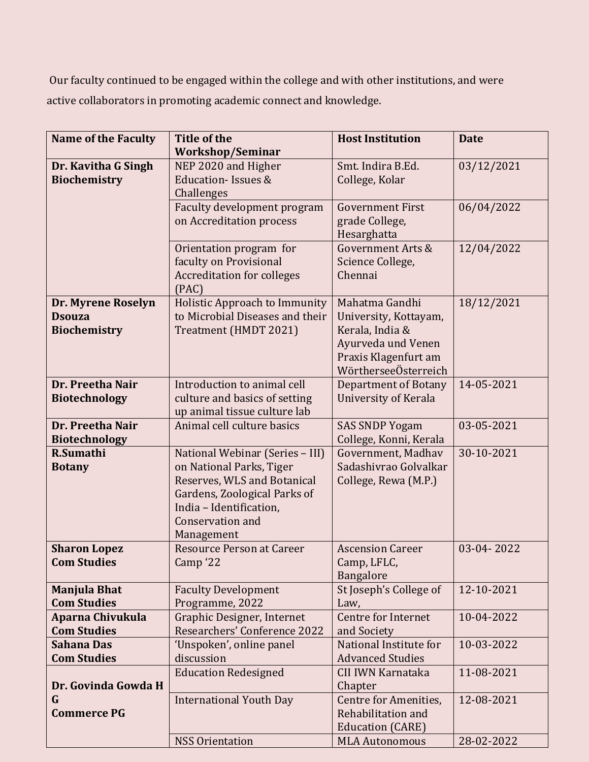Our faculty continued to be engaged within the college and with other institutions, and were active collaborators in promoting academic connect and knowledge.

| <b>Name of the Faculty</b> | <b>Title of the</b>                            | <b>Host Institution</b>     | <b>Date</b> |
|----------------------------|------------------------------------------------|-----------------------------|-------------|
|                            | <b>Workshop/Seminar</b>                        |                             |             |
| Dr. Kavitha G Singh        | NEP 2020 and Higher                            | Smt. Indira B.Ed.           | 03/12/2021  |
| <b>Biochemistry</b>        | <b>Education-Issues &amp;</b>                  | College, Kolar              |             |
|                            | Challenges                                     |                             |             |
|                            | Faculty development program                    | <b>Government First</b>     | 06/04/2022  |
|                            | on Accreditation process                       | grade College,              |             |
|                            |                                                | Hesarghatta                 |             |
|                            | Orientation program for                        | Government Arts &           | 12/04/2022  |
|                            | faculty on Provisional                         | Science College,            |             |
|                            | <b>Accreditation for colleges</b>              | Chennai                     |             |
|                            | (PAC)                                          |                             |             |
| Dr. Myrene Roselyn         | Holistic Approach to Immunity                  | Mahatma Gandhi              | 18/12/2021  |
| <b>Dsouza</b>              | to Microbial Diseases and their                | University, Kottayam,       |             |
| <b>Biochemistry</b>        | Treatment (HMDT 2021)                          | Kerala, India &             |             |
|                            |                                                | Ayurveda und Venen          |             |
|                            |                                                | Praxis Klagenfurt am        |             |
|                            |                                                | WörtherseeÖsterreich        |             |
| Dr. Preetha Nair           | Introduction to animal cell                    | <b>Department of Botany</b> | 14-05-2021  |
| <b>Biotechnology</b>       | culture and basics of setting                  | <b>University of Kerala</b> |             |
|                            | up animal tissue culture lab                   |                             |             |
| Dr. Preetha Nair           | Animal cell culture basics                     | <b>SAS SNDP Yogam</b>       | 03-05-2021  |
| <b>Biotechnology</b>       |                                                | College, Konni, Kerala      |             |
| R.Sumathi                  | National Webinar (Series - III)                | Government, Madhav          | 30-10-2021  |
| <b>Botany</b>              | on National Parks, Tiger                       | Sadashivrao Golvalkar       |             |
|                            | Reserves, WLS and Botanical                    | College, Rewa (M.P.)        |             |
|                            | Gardens, Zoological Parks of                   |                             |             |
|                            | India - Identification,                        |                             |             |
|                            | Conservation and                               |                             |             |
| <b>Sharon Lopez</b>        | Management<br><b>Resource Person at Career</b> | <b>Ascension Career</b>     | 03-04-2022  |
| <b>Com Studies</b>         | Camp <sup>'22</sup>                            | Camp, LFLC,                 |             |
|                            |                                                | Bangalore                   |             |
| <b>Manjula Bhat</b>        | <b>Faculty Development</b>                     | St Joseph's College of      | 12-10-2021  |
| <b>Com Studies</b>         | Programme, 2022                                | Law,                        |             |
| Aparna Chivukula           | Graphic Designer, Internet                     | Centre for Internet         | 10-04-2022  |
| <b>Com Studies</b>         | Researchers' Conference 2022                   | and Society                 |             |
| <b>Sahana Das</b>          | 'Unspoken', online panel                       | National Institute for      | 10-03-2022  |
| <b>Com Studies</b>         | discussion                                     | <b>Advanced Studies</b>     |             |
|                            | <b>Education Redesigned</b>                    | CII IWN Karnataka           | 11-08-2021  |
| Dr. Govinda Gowda H        |                                                | Chapter                     |             |
| G                          | <b>International Youth Day</b>                 | Centre for Amenities,       | 12-08-2021  |
| <b>Commerce PG</b>         |                                                | Rehabilitation and          |             |
|                            |                                                | <b>Education (CARE)</b>     |             |
|                            | <b>NSS Orientation</b>                         | <b>MLA Autonomous</b>       | 28-02-2022  |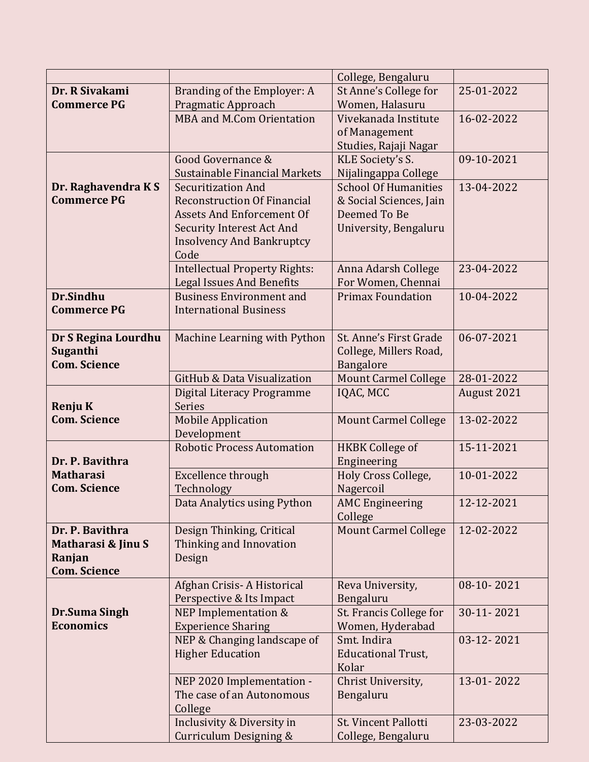|                                        |                                        | College, Bengaluru                  |             |
|----------------------------------------|----------------------------------------|-------------------------------------|-------------|
| Dr. R Sivakami                         | Branding of the Employer: A            | St Anne's College for               | 25-01-2022  |
| <b>Commerce PG</b>                     | Pragmatic Approach                     | Women, Halasuru                     |             |
|                                        | <b>MBA and M.Com Orientation</b>       | Vivekanada Institute                | 16-02-2022  |
|                                        |                                        | of Management                       |             |
|                                        |                                        | Studies, Rajaji Nagar               |             |
|                                        | Good Governance &                      | KLE Society's S.                    | 09-10-2021  |
|                                        | Sustainable Financial Markets          | Nijalingappa College                |             |
| Dr. Raghavendra KS                     | <b>Securitization And</b>              | <b>School Of Humanities</b>         | 13-04-2022  |
| <b>Commerce PG</b>                     | <b>Reconstruction Of Financial</b>     | & Social Sciences, Jain             |             |
|                                        | <b>Assets And Enforcement Of</b>       | Deemed To Be                        |             |
|                                        | <b>Security Interest Act And</b>       | University, Bengaluru               |             |
|                                        | <b>Insolvency And Bankruptcy</b>       |                                     |             |
|                                        | Code                                   |                                     |             |
|                                        | <b>Intellectual Property Rights:</b>   | Anna Adarsh College                 | 23-04-2022  |
|                                        | <b>Legal Issues And Benefits</b>       | For Women, Chennai                  |             |
| Dr.Sindhu                              | <b>Business Environment and</b>        | <b>Primax Foundation</b>            | 10-04-2022  |
| <b>Commerce PG</b>                     | <b>International Business</b>          |                                     |             |
|                                        |                                        |                                     | 06-07-2021  |
| Dr S Regina Lourdhu                    | Machine Learning with Python           | St. Anne's First Grade              |             |
| <b>Suganthi</b><br><b>Com. Science</b> |                                        | College, Millers Road,<br>Bangalore |             |
|                                        | <b>GitHub &amp; Data Visualization</b> | <b>Mount Carmel College</b>         | 28-01-2022  |
|                                        | Digital Literacy Programme             | IQAC, MCC                           | August 2021 |
| <b>Renju K</b>                         | <b>Series</b>                          |                                     |             |
| <b>Com. Science</b>                    | <b>Mobile Application</b>              | <b>Mount Carmel College</b>         | 13-02-2022  |
|                                        | Development                            |                                     |             |
|                                        | <b>Robotic Process Automation</b>      | <b>HKBK College of</b>              | 15-11-2021  |
| Dr. P. Bavithra                        |                                        | Engineering                         |             |
| <b>Matharasi</b>                       | Excellence through                     | Holy Cross College,                 | 10-01-2022  |
| <b>Com. Science</b>                    | Technology                             | Nagercoil                           |             |
|                                        | Data Analytics using Python            | <b>AMC Engineering</b>              | 12-12-2021  |
|                                        |                                        | College                             |             |
| Dr. P. Bavithra                        | Design Thinking, Critical              | <b>Mount Carmel College</b>         | 12-02-2022  |
| Matharasi & Jinu S                     | Thinking and Innovation                |                                     |             |
| Ranjan                                 | Design                                 |                                     |             |
| <b>Com. Science</b>                    |                                        |                                     |             |
|                                        | Afghan Crisis-A Historical             | Reva University,                    | 08-10-2021  |
|                                        | Perspective & Its Impact               | Bengaluru                           |             |
| Dr.Suma Singh                          | NEP Implementation &                   | St. Francis College for             | 30-11-2021  |
| <b>Economics</b>                       | <b>Experience Sharing</b>              | Women, Hyderabad                    |             |
|                                        | NEP & Changing landscape of            | Smt. Indira                         | 03-12-2021  |
|                                        | <b>Higher Education</b>                | <b>Educational Trust,</b><br>Kolar  |             |
|                                        | NEP 2020 Implementation -              | Christ University,                  | 13-01-2022  |
|                                        | The case of an Autonomous              | Bengaluru                           |             |
|                                        | College                                |                                     |             |
|                                        | Inclusivity & Diversity in             | St. Vincent Pallotti                | 23-03-2022  |
|                                        | Curriculum Designing &                 | College, Bengaluru                  |             |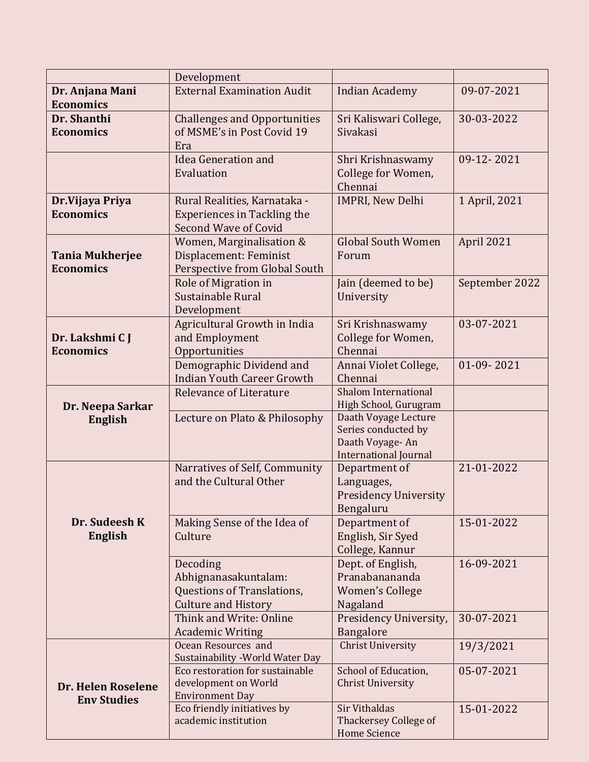|                                          | Development                                                         |                                               |                |
|------------------------------------------|---------------------------------------------------------------------|-----------------------------------------------|----------------|
| Dr. Anjana Mani                          | <b>External Examination Audit</b>                                   | <b>Indian Academy</b>                         | 09-07-2021     |
| <b>Economics</b>                         |                                                                     |                                               |                |
| Dr. Shanthi                              | <b>Challenges and Opportunities</b>                                 | Sri Kaliswari College,                        | 30-03-2022     |
| <b>Economics</b>                         | of MSME's in Post Covid 19                                          | Sivakasi                                      |                |
|                                          | Era                                                                 |                                               |                |
|                                          | <b>Idea Generation and</b>                                          | Shri Krishnaswamy                             | 09-12-2021     |
|                                          | Evaluation                                                          | College for Women,                            |                |
|                                          |                                                                     | Chennai                                       |                |
| Dr. Vijaya Priya                         | Rural Realities, Karnataka -                                        | <b>IMPRI, New Delhi</b>                       | 1 April, 2021  |
| <b>Economics</b>                         | <b>Experiences in Tackling the</b>                                  |                                               |                |
|                                          | Second Wave of Covid                                                |                                               |                |
|                                          | Women, Marginalisation &                                            | <b>Global South Women</b>                     | April 2021     |
| <b>Tania Mukherjee</b>                   | Displacement: Feminist                                              | Forum                                         |                |
| <b>Economics</b>                         | Perspective from Global South                                       |                                               |                |
|                                          | Role of Migration in                                                | Jain (deemed to be)                           | September 2022 |
|                                          | Sustainable Rural                                                   | University                                    |                |
|                                          | Development<br>Agricultural Growth in India                         | Sri Krishnaswamy                              | 03-07-2021     |
| Dr. Lakshmi C J                          | and Employment                                                      | College for Women,                            |                |
| <b>Economics</b>                         | Opportunities                                                       | Chennai                                       |                |
|                                          | Demographic Dividend and                                            | Annai Violet College,                         | 01-09-2021     |
|                                          | <b>Indian Youth Career Growth</b>                                   | Chennai                                       |                |
|                                          | Relevance of Literature                                             | <b>Shalom International</b>                   |                |
| Dr. Neepa Sarkar                         |                                                                     | High School, Gurugram                         |                |
| <b>English</b>                           | Lecture on Plato & Philosophy                                       | Daath Voyage Lecture                          |                |
|                                          |                                                                     | Series conducted by                           |                |
|                                          |                                                                     | Daath Voyage-An                               |                |
|                                          | Narratives of Self, Community                                       | <b>International Journal</b><br>Department of | 21-01-2022     |
|                                          | and the Cultural Other                                              | Languages,                                    |                |
|                                          |                                                                     | <b>Presidency University</b>                  |                |
|                                          |                                                                     | Bengaluru                                     |                |
| Dr. Sudeesh K                            | Making Sense of the Idea of                                         | Department of                                 | 15-01-2022     |
| <b>English</b>                           | Culture                                                             | English, Sir Syed                             |                |
|                                          |                                                                     | College, Kannur                               |                |
|                                          | Decoding                                                            | Dept. of English,                             | 16-09-2021     |
|                                          | Abhignanasakuntalam:                                                | Pranabanananda                                |                |
|                                          | Questions of Translations,                                          | Women's College                               |                |
|                                          | <b>Culture and History</b>                                          | Nagaland                                      |                |
|                                          | Think and Write: Online                                             | Presidency University,                        | 30-07-2021     |
|                                          | <b>Academic Writing</b>                                             | Bangalore                                     |                |
|                                          | Ocean Resources and                                                 | <b>Christ University</b>                      | 19/3/2021      |
|                                          | Sustainability - World Water Day<br>Eco restoration for sustainable | School of Education,                          | 05-07-2021     |
|                                          | development on World                                                | <b>Christ University</b>                      |                |
| Dr. Helen Roselene<br><b>Env Studies</b> | <b>Environment Day</b>                                              |                                               |                |
|                                          | Eco friendly initiatives by                                         | <b>Sir Vithaldas</b>                          | 15-01-2022     |
|                                          | academic institution                                                | <b>Thackersey College of</b>                  |                |
|                                          |                                                                     | <b>Home Science</b>                           |                |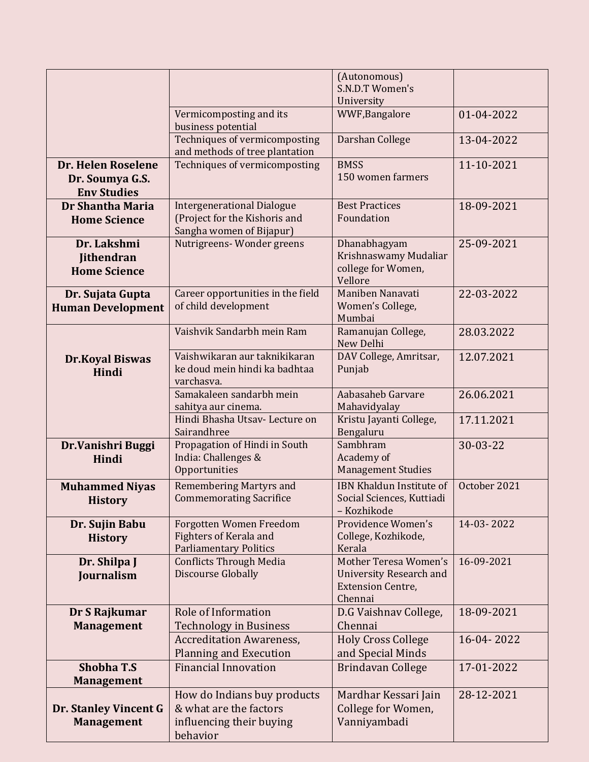|                                                             |                                                                                                | (Autonomous)<br>S.N.D.T Women's<br>University                                                  |              |
|-------------------------------------------------------------|------------------------------------------------------------------------------------------------|------------------------------------------------------------------------------------------------|--------------|
|                                                             | Vermicomposting and its<br>business potential                                                  | WWF, Bangalore                                                                                 | 01-04-2022   |
|                                                             | Techniques of vermicomposting<br>and methods of tree plantation                                | Darshan College                                                                                | 13-04-2022   |
| Dr. Helen Roselene<br>Dr. Soumya G.S.<br><b>Env Studies</b> | Techniques of vermicomposting                                                                  | <b>BMSS</b><br>150 women farmers                                                               | 11-10-2021   |
| Dr Shantha Maria<br><b>Home Science</b>                     | <b>Intergenerational Dialogue</b><br>(Project for the Kishoris and<br>Sangha women of Bijapur) | <b>Best Practices</b><br>Foundation                                                            | 18-09-2021   |
| Dr. Lakshmi<br><b>Jithendran</b><br><b>Home Science</b>     | Nutrigreens-Wonder greens                                                                      | Dhanabhagyam<br>Krishnaswamy Mudaliar<br>college for Women,<br>Vellore                         | 25-09-2021   |
| Dr. Sujata Gupta<br><b>Human Development</b>                | Career opportunities in the field<br>of child development                                      | Maniben Nanavati<br>Women's College,<br>Mumbai                                                 | 22-03-2022   |
|                                                             | Vaishvik Sandarbh mein Ram                                                                     | Ramanujan College,<br>New Delhi                                                                | 28.03.2022   |
| <b>Dr.Koyal Biswas</b><br>Hindi                             | Vaishwikaran aur taknikikaran<br>ke doud mein hindi ka badhtaa<br>varchasva.                   | DAV College, Amritsar,<br>Punjab                                                               | 12.07.2021   |
|                                                             | Samakaleen sandarbh mein<br>sahitya aur cinema.                                                | Aabasaheb Garvare<br>Mahavidyalay                                                              | 26.06.2021   |
|                                                             | Hindi Bhasha Utsav- Lecture on<br>Sairandhree                                                  | Kristu Jayanti College,<br>Bengaluru                                                           | 17.11.2021   |
| Dr.Vanishri Buggi<br>Hindi                                  | Propagation of Hindi in South<br>India: Challenges &<br>Opportunities                          | Sambhram<br>Academy of<br><b>Management Studies</b>                                            | 30-03-22     |
| <b>Muhammed Niyas</b><br><b>History</b>                     | <b>Remembering Martyrs and</b><br><b>Commemorating Sacrifice</b>                               | IBN Khaldun Institute of<br>Social Sciences, Kuttiadi<br>- Kozhikode                           | October 2021 |
| Dr. Sujin Babu<br><b>History</b>                            | Forgotten Women Freedom<br><b>Fighters of Kerala and</b><br><b>Parliamentary Politics</b>      | Providence Women's<br>College, Kozhikode,<br>Kerala                                            | 14-03-2022   |
| Dr. Shilpa J<br>Journalism                                  | <b>Conflicts Through Media</b><br>Discourse Globally                                           | Mother Teresa Women's<br><b>University Research and</b><br><b>Extension Centre,</b><br>Chennai | 16-09-2021   |
| Dr S Rajkumar<br><b>Management</b>                          | Role of Information<br><b>Technology in Business</b>                                           | D.G Vaishnav College,<br>Chennai                                                               | 18-09-2021   |
|                                                             | <b>Accreditation Awareness,</b><br><b>Planning and Execution</b>                               | <b>Holy Cross College</b><br>and Special Minds                                                 | 16-04-2022   |
| <b>Shobha T.S</b><br><b>Management</b>                      | <b>Financial Innovation</b>                                                                    | Brindavan College                                                                              | 17-01-2022   |
| Dr. Stanley Vincent G<br><b>Management</b>                  | How do Indians buy products<br>& what are the factors<br>influencing their buying<br>behavior  | Mardhar Kessari Jain<br>College for Women,<br>Vanniyambadi                                     | 28-12-2021   |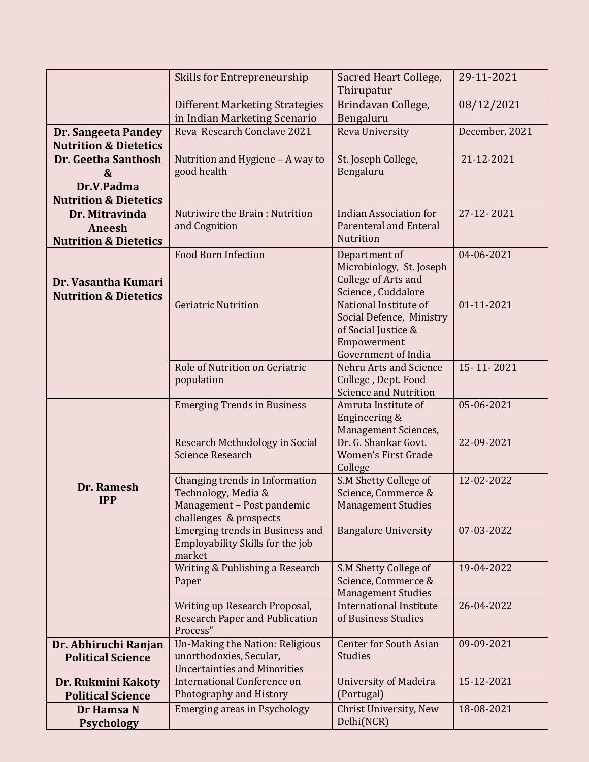|                                                                            | Skills for Entrepreneurship                                                                                   | Sacred Heart College,<br>Thirupatur                                                                            | 29-11-2021     |
|----------------------------------------------------------------------------|---------------------------------------------------------------------------------------------------------------|----------------------------------------------------------------------------------------------------------------|----------------|
|                                                                            | <b>Different Marketing Strategies</b><br>in Indian Marketing Scenario                                         | Brindavan College,<br>Bengaluru                                                                                | 08/12/2021     |
| Dr. Sangeeta Pandey<br><b>Nutrition &amp; Dietetics</b>                    | Reva Research Conclave 2021                                                                                   | Reva University                                                                                                | December, 2021 |
| Dr. Geetha Santhosh<br>&<br>Dr.V.Padma<br><b>Nutrition &amp; Dietetics</b> | Nutrition and Hygiene - A way to<br>good health                                                               | St. Joseph College,<br>Bengaluru                                                                               | 21-12-2021     |
| Dr. Mitravinda<br>Aneesh<br><b>Nutrition &amp; Dietetics</b>               | Nutriwire the Brain: Nutrition<br>and Cognition                                                               | <b>Indian Association for</b><br><b>Parenteral and Enteral</b><br>Nutrition                                    | 27-12-2021     |
| Dr. Vasantha Kumari<br><b>Nutrition &amp; Dietetics</b>                    | <b>Food Born Infection</b>                                                                                    | Department of<br>Microbiology, St. Joseph<br>College of Arts and<br>Science, Cuddalore                         | 04-06-2021     |
|                                                                            | <b>Geriatric Nutrition</b>                                                                                    | National Institute of<br>Social Defence, Ministry<br>of Social Justice &<br>Empowerment<br>Government of India | 01-11-2021     |
|                                                                            | Role of Nutrition on Geriatric<br>population                                                                  | Nehru Arts and Science<br>College, Dept. Food<br><b>Science and Nutrition</b>                                  | 15-11-2021     |
|                                                                            | <b>Emerging Trends in Business</b>                                                                            | Amruta Institute of<br>Engineering &<br>Management Sciences,                                                   | 05-06-2021     |
|                                                                            | Research Methodology in Social<br><b>Science Research</b>                                                     | Dr. G. Shankar Govt.<br><b>Women's First Grade</b><br>College                                                  | 22-09-2021     |
| Dr. Ramesh<br><b>IPP</b>                                                   | Changing trends in Information<br>Technology, Media &<br>Management - Post pandemic<br>challenges & prospects | S.M Shetty College of<br>Science, Commerce &<br><b>Management Studies</b>                                      | 12-02-2022     |
|                                                                            | Emerging trends in Business and<br>Employability Skills for the job<br>market                                 | <b>Bangalore University</b>                                                                                    | 07-03-2022     |
|                                                                            | Writing & Publishing a Research<br>Paper                                                                      | S.M Shetty College of<br>Science, Commerce &<br><b>Management Studies</b>                                      | 19-04-2022     |
|                                                                            | Writing up Research Proposal,<br><b>Research Paper and Publication</b><br>Process"                            | <b>International Institute</b><br>of Business Studies                                                          | 26-04-2022     |
| Dr. Abhiruchi Ranjan<br><b>Political Science</b>                           | Un-Making the Nation: Religious<br>unorthodoxies, Secular,<br><b>Uncertainties and Minorities</b>             | <b>Center for South Asian</b><br><b>Studies</b>                                                                | 09-09-2021     |
| Dr. Rukmini Kakoty<br><b>Political Science</b>                             | <b>International Conference on</b><br>Photography and History                                                 | <b>University of Madeira</b><br>(Portugal)                                                                     | 15-12-2021     |
| Dr Hamsa N<br><b>Psychology</b>                                            | <b>Emerging areas in Psychology</b>                                                                           | Christ University, New<br>Delhi(NCR)                                                                           | 18-08-2021     |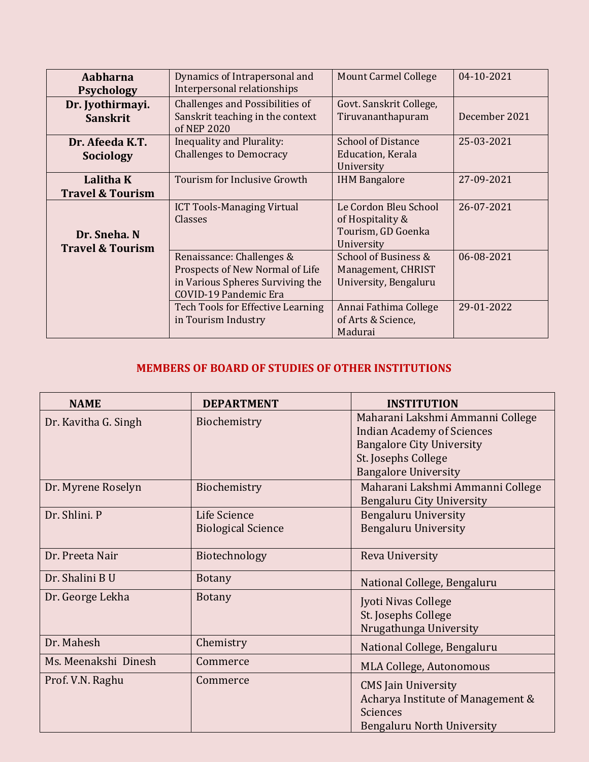| Aabharna<br><b>Psychology</b>               | Dynamics of Intrapersonal and<br>Interpersonal relationships                                                              | <b>Mount Carmel College</b>                                                   | 04-10-2021    |
|---------------------------------------------|---------------------------------------------------------------------------------------------------------------------------|-------------------------------------------------------------------------------|---------------|
| Dr. Jyothirmayi.<br><b>Sanskrit</b>         | Challenges and Possibilities of<br>Sanskrit teaching in the context<br>of NEP 2020                                        | Govt. Sanskrit College,<br>Tiruvananthapuram                                  | December 2021 |
| Dr. Afeeda K.T.<br><b>Sociology</b>         | Inequality and Plurality:<br><b>Challenges to Democracy</b>                                                               | <b>School of Distance</b><br>Education, Kerala<br>University                  | 25-03-2021    |
| Lalitha K<br><b>Travel &amp; Tourism</b>    | Tourism for Inclusive Growth                                                                                              | <b>IHM Bangalore</b>                                                          | 27-09-2021    |
| Dr. Sneha. N<br><b>Travel &amp; Tourism</b> | <b>ICT Tools-Managing Virtual</b><br>Classes                                                                              | Le Cordon Bleu School<br>of Hospitality &<br>Tourism, GD Goenka<br>University | 26-07-2021    |
|                                             | Renaissance: Challenges &<br>Prospects of New Normal of Life<br>in Various Spheres Surviving the<br>COVID-19 Pandemic Era | School of Business &<br>Management, CHRIST<br>University, Bengaluru           | 06-08-2021    |
|                                             | Tech Tools for Effective Learning<br>in Tourism Industry                                                                  | Annai Fathima College<br>of Arts & Science,<br>Madurai                        | 29-01-2022    |

## **MEMBERS OF BOARD OF STUDIES OF OTHER INSTITUTIONS**

| <b>NAME</b>          | <b>DEPARTMENT</b>         | <b>INSTITUTION</b>                |
|----------------------|---------------------------|-----------------------------------|
| Dr. Kavitha G. Singh | Biochemistry              | Maharani Lakshmi Ammanni College  |
|                      |                           | <b>Indian Academy of Sciences</b> |
|                      |                           | <b>Bangalore City University</b>  |
|                      |                           | St. Josephs College               |
|                      |                           | <b>Bangalore University</b>       |
| Dr. Myrene Roselyn   | Biochemistry              | Maharani Lakshmi Ammanni College  |
|                      |                           | Bengaluru City University         |
| Dr. Shlini. P        | Life Science              | <b>Bengaluru University</b>       |
|                      | <b>Biological Science</b> | <b>Bengaluru University</b>       |
|                      |                           |                                   |
| Dr. Preeta Nair      | Biotechnology             | Reva University                   |
| Dr. Shalini B U      | <b>Botany</b>             | National College, Bengaluru       |
| Dr. George Lekha     | <b>Botany</b>             | Jyoti Nivas College               |
|                      |                           | St. Josephs College               |
|                      |                           | Nrugathunga University            |
| Dr. Mahesh           | Chemistry                 | National College, Bengaluru       |
| Ms. Meenakshi Dinesh | Commerce                  | MLA College, Autonomous           |
| Prof. V.N. Raghu     | Commerce                  | <b>CMS</b> Jain University        |
|                      |                           | Acharya Institute of Management & |
|                      |                           | Sciences                          |
|                      |                           | Bengaluru North University        |
|                      |                           |                                   |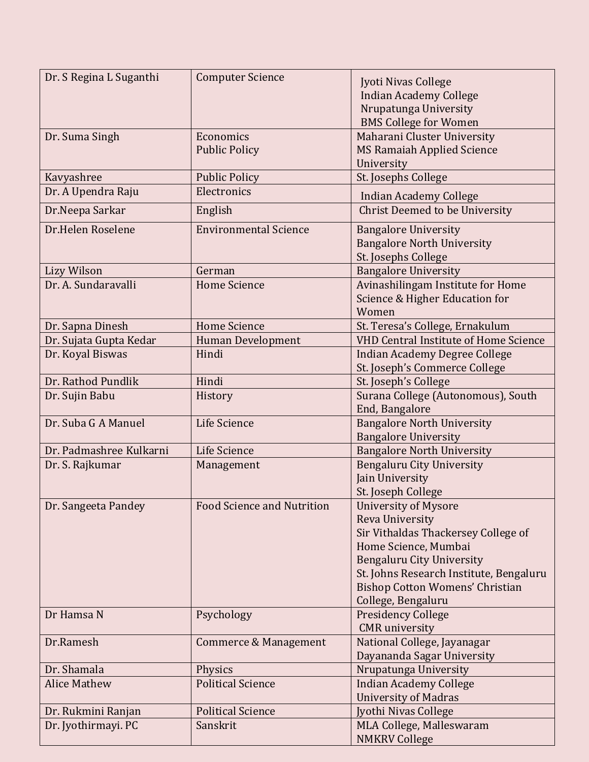| Dr. S Regina L Suganthi | <b>Computer Science</b>           | Jyoti Nivas College<br><b>Indian Academy College</b> |
|-------------------------|-----------------------------------|------------------------------------------------------|
|                         |                                   | Nrupatunga University                                |
|                         |                                   | <b>BMS College for Women</b>                         |
| Dr. Suma Singh          | Economics                         | Maharani Cluster University                          |
|                         | <b>Public Policy</b>              | <b>MS Ramaiah Applied Science</b>                    |
|                         |                                   | University                                           |
| Kavyashree              | <b>Public Policy</b>              | St. Josephs College                                  |
| Dr. A Upendra Raju      | Electronics                       | <b>Indian Academy College</b>                        |
| Dr.Neepa Sarkar         | English                           | <b>Christ Deemed to be University</b>                |
| Dr.Helen Roselene       | <b>Environmental Science</b>      | <b>Bangalore University</b>                          |
|                         |                                   | <b>Bangalore North University</b>                    |
|                         |                                   | St. Josephs College                                  |
| Lizy Wilson             | German                            | <b>Bangalore University</b>                          |
| Dr. A. Sundaravalli     | <b>Home Science</b>               | Avinashilingam Institute for Home                    |
|                         |                                   | Science & Higher Education for                       |
|                         |                                   | Women                                                |
| Dr. Sapna Dinesh        | <b>Home Science</b>               | St. Teresa's College, Ernakulum                      |
| Dr. Sujata Gupta Kedar  | <b>Human Development</b>          | <b>VHD Central Institute of Home Science</b>         |
| Dr. Koyal Biswas        | Hindi                             | <b>Indian Academy Degree College</b>                 |
|                         |                                   | St. Joseph's Commerce College                        |
| Dr. Rathod Pundlik      | Hindi                             | St. Joseph's College                                 |
| Dr. Sujin Babu          | History                           | Surana College (Autonomous), South                   |
|                         |                                   | End, Bangalore                                       |
| Dr. Suba G A Manuel     | Life Science                      | <b>Bangalore North University</b>                    |
|                         |                                   | <b>Bangalore University</b>                          |
| Dr. Padmashree Kulkarni | Life Science                      | <b>Bangalore North University</b>                    |
| Dr. S. Rajkumar         | Management                        | <b>Bengaluru City University</b>                     |
|                         |                                   | Jain University                                      |
|                         |                                   | St. Joseph College                                   |
| Dr. Sangeeta Pandey     | <b>Food Science and Nutrition</b> | <b>University of Mysore</b>                          |
|                         |                                   | Reva University                                      |
|                         |                                   | Sir Vithaldas Thackersey College of                  |
|                         |                                   | Home Science, Mumbai                                 |
|                         |                                   | <b>Bengaluru City University</b>                     |
|                         |                                   | St. Johns Research Institute, Bengaluru              |
|                         |                                   | <b>Bishop Cotton Womens' Christian</b>               |
|                         |                                   | College, Bengaluru                                   |
| Dr Hamsa N              | Psychology                        | <b>Presidency College</b>                            |
|                         |                                   | <b>CMR</b> university                                |
| Dr.Ramesh               | Commerce & Management             | National College, Jayanagar                          |
|                         |                                   | Dayananda Sagar University                           |
| Dr. Shamala             | Physics                           | Nrupatunga University                                |
| <b>Alice Mathew</b>     | <b>Political Science</b>          | <b>Indian Academy College</b>                        |
|                         |                                   | <b>University of Madras</b>                          |
| Dr. Rukmini Ranjan      | <b>Political Science</b>          | Jyothi Nivas College                                 |
| Dr. Jyothirmayi. PC     | Sanskrit                          | MLA College, Malleswaram                             |
|                         |                                   | <b>NMKRV College</b>                                 |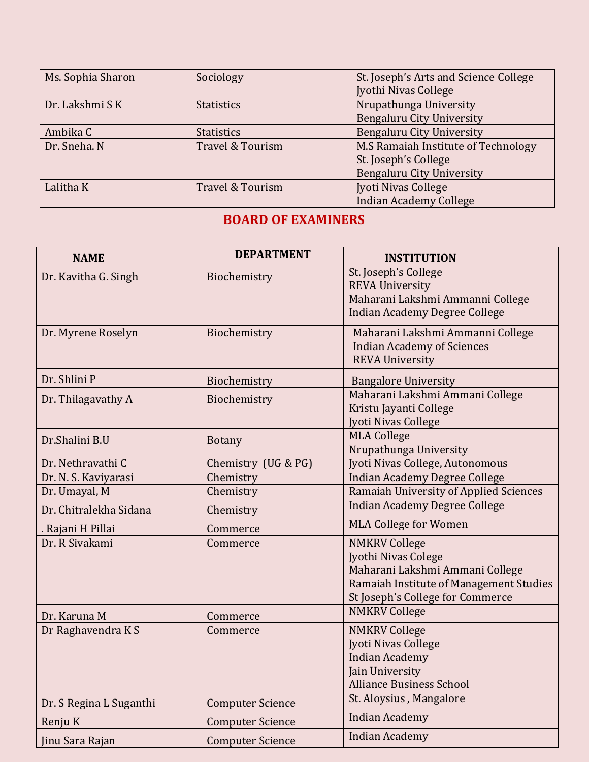| Ms. Sophia Sharon | Sociology         | St. Joseph's Arts and Science College |  |
|-------------------|-------------------|---------------------------------------|--|
|                   |                   | Jyothi Nivas College                  |  |
| Dr. Lakshmi S K   | <b>Statistics</b> | Nrupathunga University                |  |
|                   |                   | <b>Bengaluru City University</b>      |  |
| Ambika C          | <b>Statistics</b> | Bengaluru City University             |  |
| Dr. Sneha. N      | Travel & Tourism  | M.S Ramaiah Institute of Technology   |  |
|                   |                   | St. Joseph's College                  |  |
|                   |                   | Bengaluru City University             |  |
| Lalitha K         | Travel & Tourism  | Jyoti Nivas College                   |  |
|                   |                   | <b>Indian Academy College</b>         |  |

## **BOARD OF EXAMINERS**

| <b>NAME</b>             | <b>DEPARTMENT</b>       | <b>INSTITUTION</b>                                                                                                                                            |
|-------------------------|-------------------------|---------------------------------------------------------------------------------------------------------------------------------------------------------------|
| Dr. Kavitha G. Singh    | Biochemistry            | St. Joseph's College<br><b>REVA University</b><br>Maharani Lakshmi Ammanni College<br><b>Indian Academy Degree College</b>                                    |
| Dr. Myrene Roselyn      | Biochemistry            | Maharani Lakshmi Ammanni College<br><b>Indian Academy of Sciences</b><br><b>REVA University</b>                                                               |
| Dr. Shlini P            | Biochemistry            | <b>Bangalore University</b>                                                                                                                                   |
| Dr. Thilagavathy A      | Biochemistry            | Maharani Lakshmi Ammani College<br>Kristu Jayanti College<br>Jyoti Nivas College                                                                              |
| Dr.Shalini B.U          | <b>Botany</b>           | <b>MLA College</b><br>Nrupathunga University                                                                                                                  |
| Dr. Nethravathi C       | Chemistry (UG & PG)     | Jyoti Nivas College, Autonomous                                                                                                                               |
| Dr. N. S. Kaviyarasi    | Chemistry               | <b>Indian Academy Degree College</b>                                                                                                                          |
| Dr. Umayal, M           | Chemistry               | Ramaiah University of Applied Sciences                                                                                                                        |
| Dr. Chitralekha Sidana  | Chemistry               | <b>Indian Academy Degree College</b>                                                                                                                          |
| . Rajani H Pillai       | Commerce                | <b>MLA College for Women</b>                                                                                                                                  |
| Dr. R Sivakami          | Commerce                | <b>NMKRV College</b><br>Jyothi Nivas Colege<br>Maharani Lakshmi Ammani College<br>Ramaiah Institute of Management Studies<br>St Joseph's College for Commerce |
| Dr. Karuna M            | Commerce                | <b>NMKRV College</b>                                                                                                                                          |
| Dr Raghavendra K S      | Commerce                | <b>NMKRV College</b><br><b>Jyoti Nivas College</b><br><b>Indian Academy</b><br>Jain University<br><b>Alliance Business School</b>                             |
| Dr. S Regina L Suganthi | <b>Computer Science</b> | St. Aloysius, Mangalore                                                                                                                                       |
| Renju K                 | <b>Computer Science</b> | <b>Indian Academy</b>                                                                                                                                         |
| <b>Jinu Sara Rajan</b>  | <b>Computer Science</b> | Indian Academy                                                                                                                                                |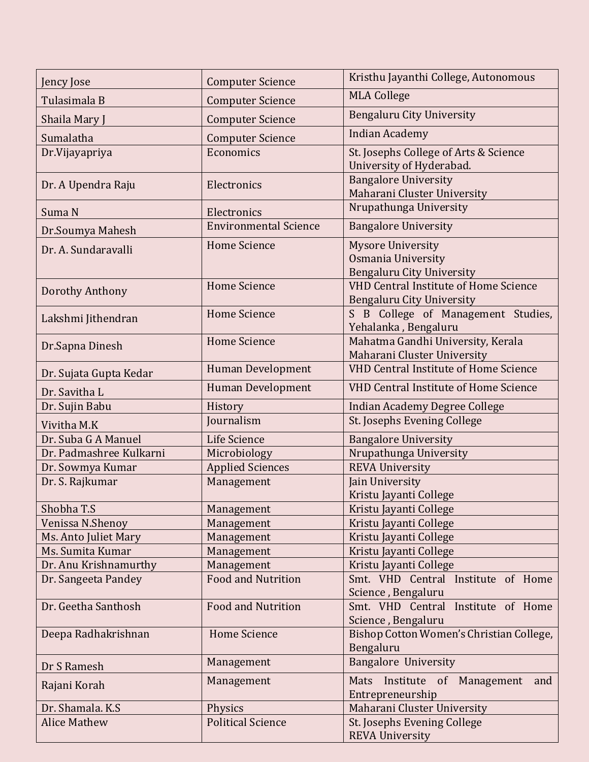| Jency Jose              | <b>Computer Science</b>      | Kristhu Jayanthi College, Autonomous                                             |  |
|-------------------------|------------------------------|----------------------------------------------------------------------------------|--|
| Tulasimala B            | <b>Computer Science</b>      | <b>MLA College</b>                                                               |  |
| Shaila Mary J           | <b>Computer Science</b>      | <b>Bengaluru City University</b>                                                 |  |
| Sumalatha               | <b>Computer Science</b>      | <b>Indian Academy</b>                                                            |  |
| Dr.Vijayapriya          | Economics                    | St. Josephs College of Arts & Science<br>University of Hyderabad.                |  |
| Dr. A Upendra Raju      | Electronics                  | <b>Bangalore University</b>                                                      |  |
|                         |                              | Maharani Cluster University<br>Nrupathunga University                            |  |
| Suma N                  | Electronics                  |                                                                                  |  |
| Dr.Soumya Mahesh        | <b>Environmental Science</b> | <b>Bangalore University</b>                                                      |  |
| Dr. A. Sundaravalli     | <b>Home Science</b>          | <b>Mysore University</b>                                                         |  |
|                         |                              | Osmania University                                                               |  |
|                         | <b>Home Science</b>          | <b>Bengaluru City University</b><br><b>VHD Central Institute of Home Science</b> |  |
| Dorothy Anthony         |                              | <b>Bengaluru City University</b>                                                 |  |
|                         | <b>Home Science</b>          | S B College of Management Studies,                                               |  |
| Lakshmi Jithendran      |                              | Yehalanka, Bengaluru                                                             |  |
|                         | <b>Home Science</b>          | Mahatma Gandhi University, Kerala                                                |  |
| Dr.Sapna Dinesh         |                              | Maharani Cluster University                                                      |  |
| Dr. Sujata Gupta Kedar  | <b>Human Development</b>     | <b>VHD Central Institute of Home Science</b>                                     |  |
| Dr. Savitha L           | <b>Human Development</b>     | <b>VHD Central Institute of Home Science</b>                                     |  |
| Dr. Sujin Babu          | History                      | <b>Indian Academy Degree College</b>                                             |  |
| Vivitha M.K             | Journalism                   | St. Josephs Evening College                                                      |  |
| Dr. Suba G A Manuel     | Life Science                 |                                                                                  |  |
| Dr. Padmashree Kulkarni | Microbiology                 | <b>Bangalore University</b>                                                      |  |
| Dr. Sowmya Kumar        | <b>Applied Sciences</b>      | Nrupathunga University<br><b>REVA University</b>                                 |  |
| Dr. S. Rajkumar         | Management                   |                                                                                  |  |
|                         |                              | Jain University<br>Kristu Jayanti College                                        |  |
| Shobha T.S              | Management                   | Kristu Jayanti College                                                           |  |
| Venissa N.Shenoy        | Management                   | Kristu Jayanti College                                                           |  |
| Ms. Anto Juliet Mary    | Management                   | Kristu Jayanti College                                                           |  |
| Ms. Sumita Kumar        | Management                   | Kristu Jayanti College                                                           |  |
| Dr. Anu Krishnamurthy   | Management                   | Kristu Jayanti College                                                           |  |
| Dr. Sangeeta Pandey     | <b>Food and Nutrition</b>    | Smt. VHD Central Institute of Home                                               |  |
|                         |                              | Science, Bengaluru                                                               |  |
| Dr. Geetha Santhosh     | <b>Food and Nutrition</b>    | Smt. VHD Central Institute of Home                                               |  |
|                         |                              | Science, Bengaluru                                                               |  |
| Deepa Radhakrishnan     | <b>Home Science</b>          | Bishop Cotton Women's Christian College,<br>Bengaluru                            |  |
| Dr S Ramesh             | Management                   | <b>Bangalore University</b>                                                      |  |
| Rajani Korah            | Management                   | Mats Institute of Management<br>and                                              |  |
|                         |                              | Entrepreneurship                                                                 |  |
| Dr. Shamala. K.S.       | Physics                      | Maharani Cluster University                                                      |  |
| <b>Alice Mathew</b>     | <b>Political Science</b>     | St. Josephs Evening College                                                      |  |
|                         |                              | <b>REVA University</b>                                                           |  |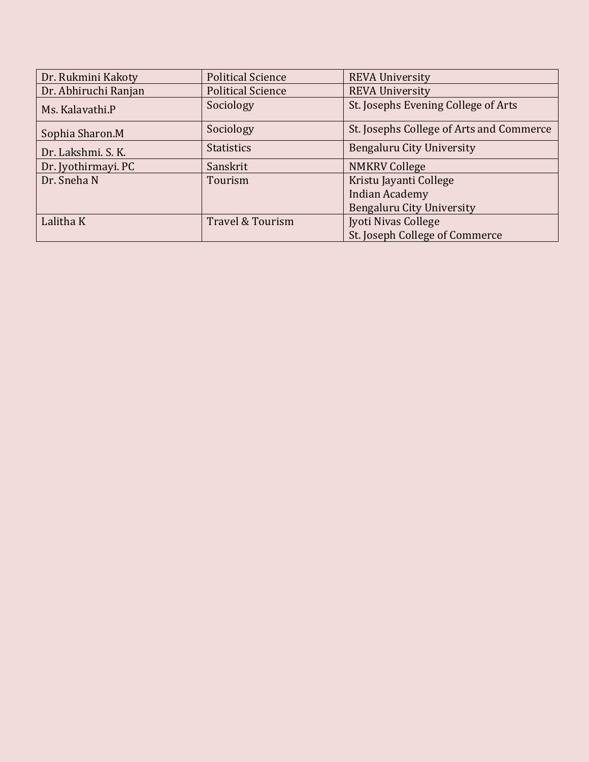| Dr. Rukmini Kakoty   | <b>Political Science</b> | <b>REVA University</b>                   |
|----------------------|--------------------------|------------------------------------------|
| Dr. Abhiruchi Ranjan | <b>Political Science</b> | <b>REVA University</b>                   |
| Ms. Kalavathi.P      | Sociology                | St. Josephs Evening College of Arts      |
| Sophia Sharon.M      | Sociology                | St. Josephs College of Arts and Commerce |
| Dr. Lakshmi. S. K.   | <b>Statistics</b>        | Bengaluru City University                |
| Dr. Jyothirmayi. PC  | Sanskrit                 | <b>NMKRV College</b>                     |
| Dr. Sneha N          | Tourism                  | Kristu Jayanti College                   |
|                      |                          | <b>Indian Academy</b>                    |
|                      |                          | Bengaluru City University                |
| Lalitha K            | Travel & Tourism         | Jyoti Nivas College                      |
|                      |                          | St. Joseph College of Commerce           |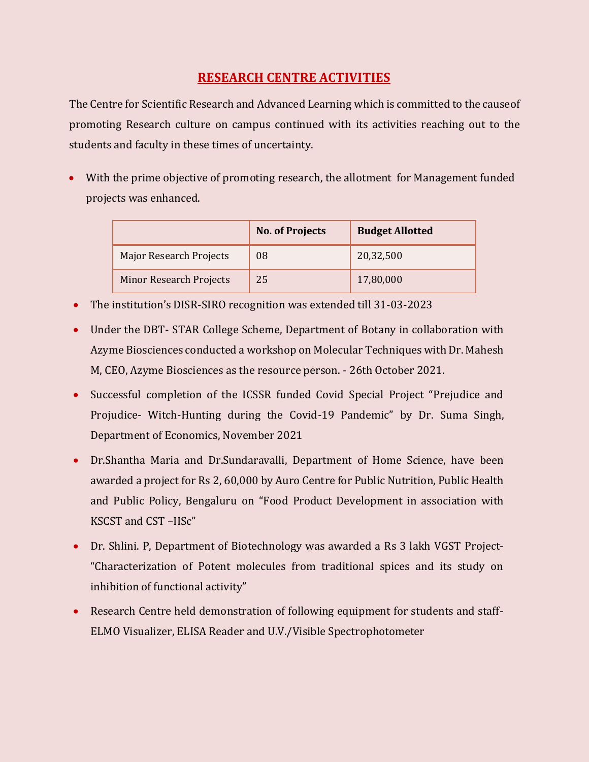## **RESEARCH CENTRE ACTIVITIES**

The Centre for Scientific Research and Advanced Learning which is committed to the cause of promoting Research culture on campus continued with its activities reaching out to the students and faculty in these times of uncertainty.

 With the prime objective of promoting research, the allotment for Management funded projects was enhanced.

|                                | <b>No. of Projects</b> | <b>Budget Allotted</b> |
|--------------------------------|------------------------|------------------------|
| Major Research Projects        | 08                     | 20,32,500              |
| <b>Minor Research Projects</b> | 25                     | 17,80,000              |

- The institution's DISR-SIRO recognition was extended till 31-03-2023
- Under the DBT- STAR College Scheme, Department of Botany in collaboration with Azyme Biosciences conducted a workshop on Molecular Techniques with Dr. Mahesh M, CEO, Azyme Biosciences as the resource person. - 26th October 2021.
- Successful completion of the ICSSR funded Covid Special Project "Prejudice and Projudice- Witch-Hunting during the Covid-19 Pandemic" by Dr. Suma Singh, Department of Economics, November 2021
- Dr.Shantha Maria and Dr.Sundaravalli, Department of Home Science, have been awarded a project for Rs 2, 60,000 by Auro Centre for Public Nutrition, Public Health and Public Policy, Bengaluru on "Food Product Development in association with KSCST and CST –IISc"
- Dr. Shlini. P, Department of Biotechnology was awarded a Rs 3 lakh VGST Project- "Characterization of Potent molecules from traditional spices and its study on inhibition of functional activity"
- Research Centre held demonstration of following equipment for students and staff-ELMO Visualizer, ELISA Reader and U.V./Visible Spectrophotometer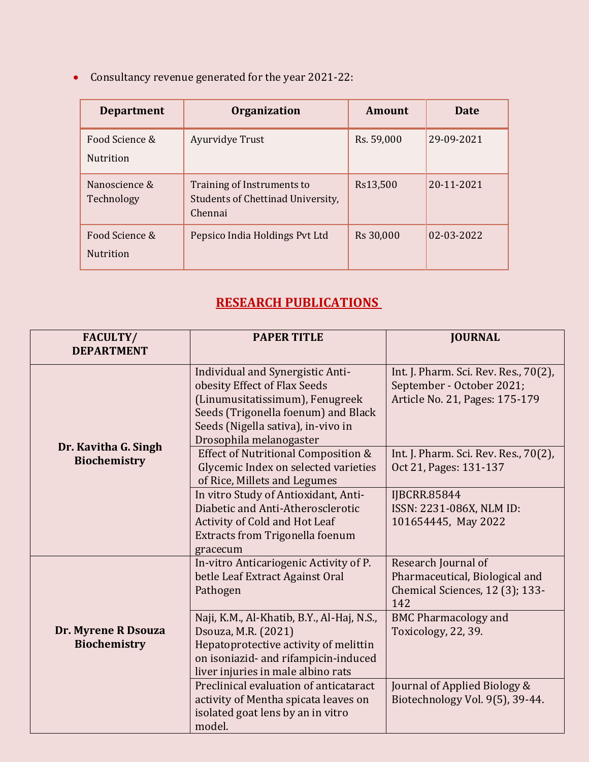Consultancy revenue generated for the year 2021-22:

| <b>Department</b>                  | <b>Organization</b>                                                        | Amount     | Date       |
|------------------------------------|----------------------------------------------------------------------------|------------|------------|
| Food Science &<br><b>Nutrition</b> | Ayurvidye Trust                                                            | Rs. 59,000 | 29-09-2021 |
| Nanoscience &<br>Technology        | Training of Instruments to<br>Students of Chettinad University,<br>Chennai | Rs13,500   | 20-11-2021 |
| Food Science &<br><b>Nutrition</b> | Pepsico India Holdings Pvt Ltd                                             | Rs 30,000  | 02-03-2022 |

# **RESEARCH PUBLICATIONS**

| FACULTY/<br><b>DEPARTMENT</b>               | <b>PAPER TITLE</b>                                                                                                                                                                                          | <b>JOURNAL</b>                                                                                       |
|---------------------------------------------|-------------------------------------------------------------------------------------------------------------------------------------------------------------------------------------------------------------|------------------------------------------------------------------------------------------------------|
|                                             | Individual and Synergistic Anti-<br>obesity Effect of Flax Seeds<br>(Linumusitatissimum), Fenugreek<br>Seeds (Trigonella foenum) and Black<br>Seeds (Nigella sativa), in-vivo in<br>Drosophila melanogaster | Int. J. Pharm. Sci. Rev. Res., 70(2),<br>September - October 2021;<br>Article No. 21, Pages: 175-179 |
| Dr. Kavitha G. Singh<br><b>Biochemistry</b> | Effect of Nutritional Composition &<br>Glycemic Index on selected varieties<br>of Rice, Millets and Legumes                                                                                                 | Int. J. Pharm. Sci. Rev. Res., 70(2),<br>Oct 21, Pages: 131-137                                      |
|                                             | In vitro Study of Antioxidant, Anti-<br>Diabetic and Anti-Atherosclerotic<br>Activity of Cold and Hot Leaf<br><b>Extracts from Trigonella foenum</b><br>gracecum                                            | <b>IJBCRR.85844</b><br>ISSN: 2231-086X, NLM ID:<br>101654445, May 2022                               |
|                                             | In-vitro Anticariogenic Activity of P.<br>betle Leaf Extract Against Oral<br>Pathogen                                                                                                                       | Research Journal of<br>Pharmaceutical, Biological and<br>Chemical Sciences, 12 (3); 133-<br>142      |
| Dr. Myrene R Dsouza<br><b>Biochemistry</b>  | Naji, K.M., Al-Khatib, B.Y., Al-Haj, N.S.,<br>Dsouza, M.R. (2021)<br>Hepatoprotective activity of melittin<br>on isoniazid- and rifampicin-induced<br>liver injuries in male albino rats                    | <b>BMC Pharmacology and</b><br>Toxicology, 22, 39.                                                   |
|                                             | Preclinical evaluation of anticataract<br>activity of Mentha spicata leaves on<br>isolated goat lens by an in vitro<br>model.                                                                               | Journal of Applied Biology &<br>Biotechnology Vol. 9(5), 39-44.                                      |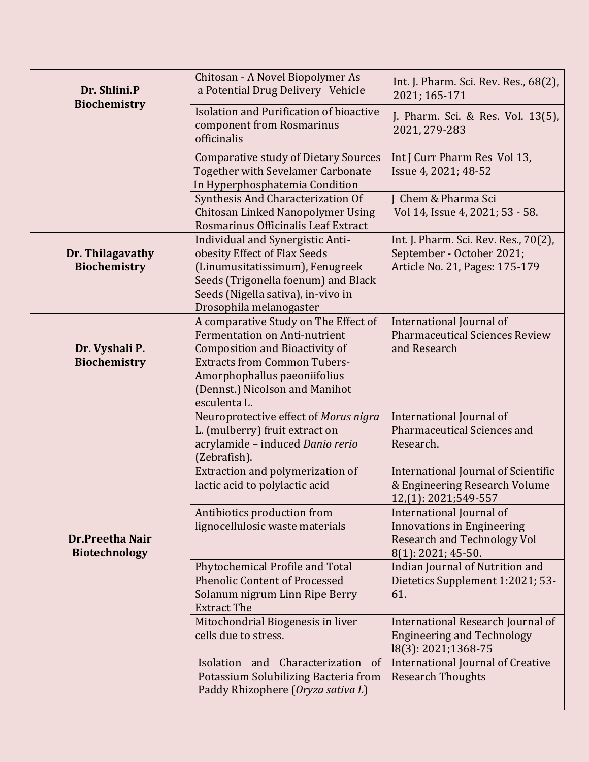| Dr. Shlini.P<br>Biochemistry            | Chitosan - A Novel Biopolymer As<br>a Potential Drug Delivery Vehicle                                                                                                                                                                          | Int. J. Pharm. Sci. Rev. Res., 68(2),<br>2021; 165-171                                                                    |
|-----------------------------------------|------------------------------------------------------------------------------------------------------------------------------------------------------------------------------------------------------------------------------------------------|---------------------------------------------------------------------------------------------------------------------------|
|                                         | Isolation and Purification of bioactive<br>component from Rosmarinus<br>officinalis                                                                                                                                                            | J. Pharm. Sci. & Res. Vol. 13(5),<br>2021, 279-283                                                                        |
|                                         | <b>Comparative study of Dietary Sources</b><br><b>Together with Sevelamer Carbonate</b><br>In Hyperphosphatemia Condition                                                                                                                      | Int J Curr Pharm Res Vol 13,<br>Issue 4, 2021; 48-52                                                                      |
|                                         | Synthesis And Characterization Of<br>Chitosan Linked Nanopolymer Using<br>Rosmarinus Officinalis Leaf Extract                                                                                                                                  | J Chem & Pharma Sci<br>Vol 14, Issue 4, 2021; 53 - 58.                                                                    |
| Dr. Thilagavathy<br><b>Biochemistry</b> | Individual and Synergistic Anti-<br>obesity Effect of Flax Seeds<br>(Linumusitatissimum), Fenugreek<br>Seeds (Trigonella foenum) and Black<br>Seeds (Nigella sativa), in-vivo in<br>Drosophila melanogaster                                    | Int. J. Pharm. Sci. Rev. Res., 70(2),<br>September - October 2021;<br>Article No. 21, Pages: 175-179                      |
| Dr. Vyshali P.<br><b>Biochemistry</b>   | A comparative Study on The Effect of<br><b>Fermentation on Anti-nutrient</b><br><b>Composition and Bioactivity of</b><br><b>Extracts from Common Tubers-</b><br>Amorphophallus paeoniifolius<br>(Dennst.) Nicolson and Manihot<br>esculenta L. | International Journal of<br><b>Pharmaceutical Sciences Review</b><br>and Research                                         |
|                                         | Neuroprotective effect of Morus nigra<br>L. (mulberry) fruit extract on<br>acrylamide - induced Danio rerio<br>(Zebrafish).                                                                                                                    | International Journal of<br>Pharmaceutical Sciences and<br>Research.                                                      |
|                                         | Extraction and polymerization of<br>lactic acid to polylactic acid                                                                                                                                                                             | International Journal of Scientific<br>& Engineering Research Volume<br>12,(1): 2021;549-557                              |
| Dr.Preetha Nair<br><b>Biotechnology</b> | Antibiotics production from<br>lignocellulosic waste materials                                                                                                                                                                                 | International Journal of<br><b>Innovations in Engineering</b><br><b>Research and Technology Vol</b><br>8(1): 2021; 45-50. |
|                                         | Phytochemical Profile and Total<br><b>Phenolic Content of Processed</b><br>Solanum nigrum Linn Ripe Berry<br><b>Extract The</b>                                                                                                                | Indian Journal of Nutrition and<br>Dietetics Supplement 1:2021; 53-<br>61.                                                |
|                                         | Mitochondrial Biogenesis in liver<br>cells due to stress.                                                                                                                                                                                      | International Research Journal of<br><b>Engineering and Technology</b><br>18(3): 2021;1368-75                             |
|                                         | Isolation and Characterization of<br>Potassium Solubilizing Bacteria from<br>Paddy Rhizophere (Oryza sativa L)                                                                                                                                 | <b>International Journal of Creative</b><br><b>Research Thoughts</b>                                                      |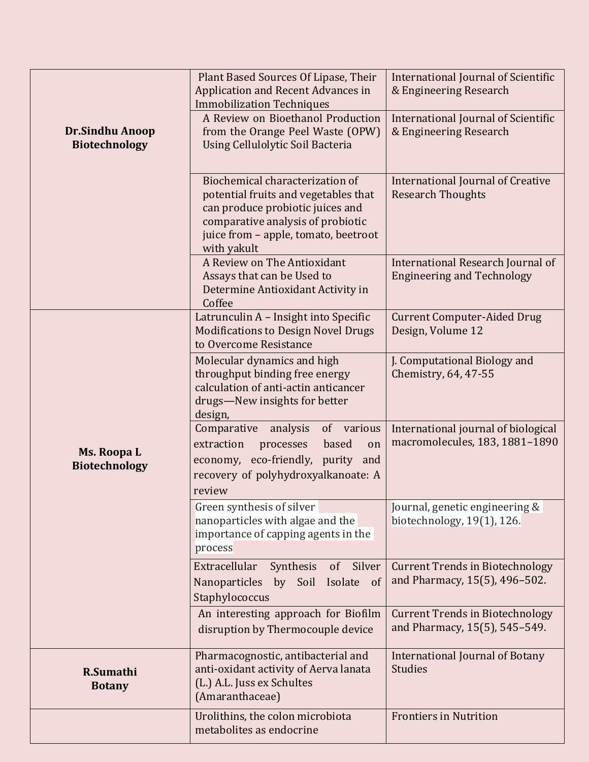|                                                | Plant Based Sources Of Lipase, Their<br>Application and Recent Advances in<br><b>Immobilization Techniques</b>                                                                                          | International Journal of Scientific<br>& Engineering Research           |
|------------------------------------------------|---------------------------------------------------------------------------------------------------------------------------------------------------------------------------------------------------------|-------------------------------------------------------------------------|
| <b>Dr.Sindhu Anoop</b><br><b>Biotechnology</b> | A Review on Bioethanol Production<br>from the Orange Peel Waste (OPW)<br>Using Cellulolytic Soil Bacteria                                                                                               | International Journal of Scientific<br>& Engineering Research           |
|                                                | Biochemical characterization of<br>potential fruits and vegetables that<br>can produce probiotic juices and<br>comparative analysis of probiotic<br>juice from - apple, tomato, beetroot<br>with yakult | <b>International Journal of Creative</b><br><b>Research Thoughts</b>    |
|                                                | A Review on The Antioxidant<br>Assays that can be Used to<br>Determine Antioxidant Activity in<br>Coffee                                                                                                | International Research Journal of<br><b>Engineering and Technology</b>  |
|                                                | Latrunculin A - Insight into Specific<br><b>Modifications to Design Novel Drugs</b><br>to Overcome Resistance                                                                                           | <b>Current Computer-Aided Drug</b><br>Design, Volume 12                 |
| Ms. Roopa L<br><b>Biotechnology</b>            | Molecular dynamics and high<br>throughput binding free energy<br>calculation of anti-actin anticancer<br>drugs-New insights for better<br>design,                                                       | J. Computational Biology and<br>Chemistry, 64, 47-55                    |
|                                                | Comparative<br>analysis<br>of various<br>extraction<br>processes<br>based<br>on<br>economy, eco-friendly,<br>purity<br>and<br>recovery of polyhydroxyalkanoate: A<br>review                             | International journal of biological<br>macromolecules, 183, 1881-1890   |
|                                                | Green synthesis of silver<br>nanoparticles with algae and the<br>importance of capping agents in the<br>process                                                                                         | Journal, genetic engineering &<br>biotechnology, 19(1), 126.            |
|                                                | Extracellular<br>Silver<br>Synthesis<br>of<br>Nanoparticles<br>by Soil<br>Isolate<br>of<br>Staphylococcus                                                                                               | <b>Current Trends in Biotechnology</b><br>and Pharmacy, 15(5), 496-502. |
|                                                | An interesting approach for Biofilm<br>disruption by Thermocouple device                                                                                                                                | <b>Current Trends in Biotechnology</b><br>and Pharmacy, 15(5), 545-549. |
| R.Sumathi<br><b>Botany</b>                     | Pharmacognostic, antibacterial and<br>anti-oxidant activity of Aerva lanata<br>(L.) A.L. Juss ex Schultes<br>(Amaranthaceae)                                                                            | International Journal of Botany<br><b>Studies</b>                       |
|                                                | Urolithins, the colon microbiota<br>metabolites as endocrine                                                                                                                                            | <b>Frontiers in Nutrition</b>                                           |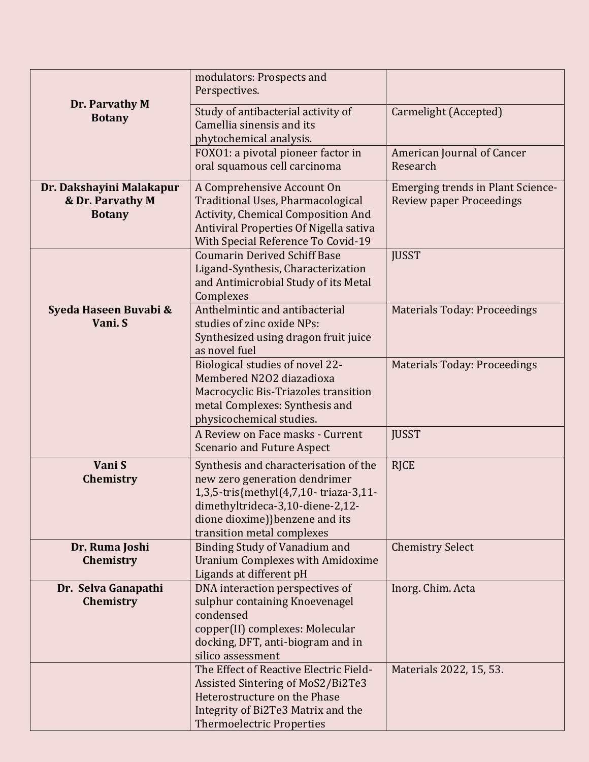|                                  | modulators: Prospects and<br>Perspectives.                                   |                                          |
|----------------------------------|------------------------------------------------------------------------------|------------------------------------------|
| Dr. Parvathy M<br><b>Botany</b>  | Study of antibacterial activity of<br>Camellia sinensis and its              | Carmelight (Accepted)                    |
|                                  | phytochemical analysis.                                                      |                                          |
|                                  | FOXO1: a pivotal pioneer factor in<br>oral squamous cell carcinoma           | American Journal of Cancer<br>Research   |
| Dr. Dakshayini Malakapur         | A Comprehensive Account On                                                   | <b>Emerging trends in Plant Science-</b> |
| & Dr. Parvathy M                 | Traditional Uses, Pharmacological                                            | <b>Review paper Proceedings</b>          |
| <b>Botany</b>                    | Activity, Chemical Composition And                                           |                                          |
|                                  | Antiviral Properties Of Nigella sativa<br>With Special Reference To Covid-19 |                                          |
|                                  | <b>Coumarin Derived Schiff Base</b>                                          | <b>JUSST</b>                             |
|                                  | Ligand-Synthesis, Characterization                                           |                                          |
|                                  | and Antimicrobial Study of its Metal                                         |                                          |
|                                  | Complexes                                                                    |                                          |
| Syeda Haseen Buvabi &<br>Vani. S | Anthelmintic and antibacterial<br>studies of zinc oxide NPs:                 | <b>Materials Today: Proceedings</b>      |
|                                  | Synthesized using dragon fruit juice                                         |                                          |
|                                  | as novel fuel                                                                |                                          |
|                                  | Biological studies of novel 22-                                              | <b>Materials Today: Proceedings</b>      |
|                                  | Membered N2O2 diazadioxa                                                     |                                          |
|                                  | Macrocyclic Bis-Triazoles transition<br>metal Complexes: Synthesis and       |                                          |
|                                  | physicochemical studies.                                                     |                                          |
|                                  | A Review on Face masks - Current                                             | <b>JUSST</b>                             |
|                                  | <b>Scenario and Future Aspect</b>                                            |                                          |
| Vani S                           | Synthesis and characterisation of the                                        | <b>RJCE</b>                              |
| Chemistry                        | new zero generation dendrimer                                                |                                          |
|                                  | 1,3,5-tris{methyl(4,7,10-triaza-3,11-                                        |                                          |
|                                  | dimethyltrideca-3,10-diene-2,12-<br>dione dioxime)}benzene and its           |                                          |
|                                  | transition metal complexes                                                   |                                          |
| Dr. Ruma Joshi                   | Binding Study of Vanadium and                                                | <b>Chemistry Select</b>                  |
| Chemistry                        | <b>Uranium Complexes with Amidoxime</b>                                      |                                          |
|                                  | Ligands at different pH                                                      |                                          |
| Dr. Selva Ganapathi<br>Chemistry | DNA interaction perspectives of<br>sulphur containing Knoevenagel            | Inorg. Chim. Acta                        |
|                                  | condensed                                                                    |                                          |
|                                  | copper(II) complexes: Molecular                                              |                                          |
|                                  | docking, DFT, anti-biogram and in                                            |                                          |
|                                  | silico assessment                                                            |                                          |
|                                  | The Effect of Reactive Electric Field-<br>Assisted Sintering of MoS2/Bi2Te3  | Materials 2022, 15, 53.                  |
|                                  | Heterostructure on the Phase                                                 |                                          |
|                                  | Integrity of Bi2Te3 Matrix and the                                           |                                          |
|                                  | <b>Thermoelectric Properties</b>                                             |                                          |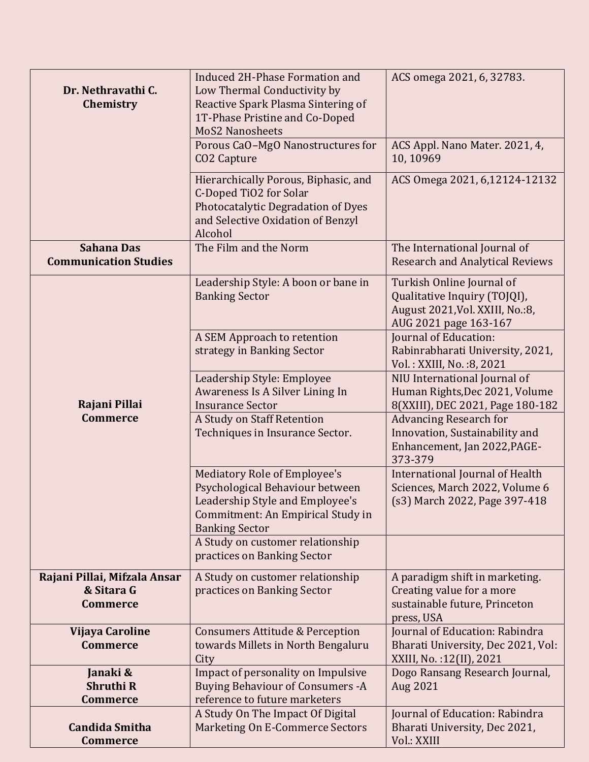| Dr. Nethravathi C.<br>Chemistry                               | <b>Induced 2H-Phase Formation and</b><br>Low Thermal Conductivity by<br>Reactive Spark Plasma Sintering of<br>1T-Phase Pristine and Co-Doped<br><b>MoS2 Nanosheets</b><br>Porous CaO-MgO Nanostructures for<br>CO <sub>2</sub> Capture | ACS omega 2021, 6, 32783.<br>ACS Appl. Nano Mater. 2021, 4,<br>10,10969                                                |
|---------------------------------------------------------------|----------------------------------------------------------------------------------------------------------------------------------------------------------------------------------------------------------------------------------------|------------------------------------------------------------------------------------------------------------------------|
|                                                               | Hierarchically Porous, Biphasic, and<br>C-Doped TiO2 for Solar<br>Photocatalytic Degradation of Dyes<br>and Selective Oxidation of Benzyl<br>Alcohol                                                                                   | ACS Omega 2021, 6,12124-12132                                                                                          |
| <b>Sahana Das</b><br><b>Communication Studies</b>             | The Film and the Norm                                                                                                                                                                                                                  | The International Journal of<br><b>Research and Analytical Reviews</b>                                                 |
|                                                               | Leadership Style: A boon or bane in<br><b>Banking Sector</b>                                                                                                                                                                           | Turkish Online Journal of<br>Qualitative Inquiry (TOJQI),<br>August 2021, Vol. XXIII, No.: 8,<br>AUG 2021 page 163-167 |
|                                                               | A SEM Approach to retention<br>strategy in Banking Sector                                                                                                                                                                              | Journal of Education:<br>Rabinrabharati University, 2021,<br>Vol.: XXIII, No.: 8, 2021                                 |
| Rajani Pillai                                                 | Leadership Style: Employee<br>Awareness Is A Silver Lining In<br><b>Insurance Sector</b>                                                                                                                                               | NIU International Journal of<br>Human Rights, Dec 2021, Volume<br>8(XXIII), DEC 2021, Page 180-182                     |
| <b>Commerce</b>                                               | A Study on Staff Retention<br>Techniques in Insurance Sector.                                                                                                                                                                          | <b>Advancing Research for</b><br>Innovation, Sustainability and<br>Enhancement, Jan 2022, PAGE-<br>373-379             |
|                                                               | <b>Mediatory Role of Employee's</b><br>Psychological Behaviour between<br>Leadership Style and Employee's<br>Commitment: An Empirical Study in<br><b>Banking Sector</b>                                                                | International Journal of Health<br>Sciences, March 2022, Volume 6<br>(s3) March 2022, Page 397-418                     |
|                                                               | A Study on customer relationship<br>practices on Banking Sector                                                                                                                                                                        |                                                                                                                        |
| Rajani Pillai, Mifzala Ansar<br>& Sitara G<br><b>Commerce</b> | A Study on customer relationship<br>practices on Banking Sector                                                                                                                                                                        | A paradigm shift in marketing.<br>Creating value for a more<br>sustainable future, Princeton<br>press, USA             |
| Vijaya Caroline<br><b>Commerce</b>                            | <b>Consumers Attitude &amp; Perception</b><br>towards Millets in North Bengaluru<br>City                                                                                                                                               | Journal of Education: Rabindra<br>Bharati University, Dec 2021, Vol:<br>XXIII, No.: 12(II), 2021                       |
| Janaki &<br><b>Shruthi R</b><br><b>Commerce</b>               | Impact of personality on Impulsive<br><b>Buying Behaviour of Consumers - A</b><br>reference to future marketers                                                                                                                        | Dogo Ransang Research Journal,<br>Aug 2021                                                                             |
| <b>Candida Smitha</b><br><b>Commerce</b>                      | A Study On The Impact Of Digital<br><b>Marketing On E-Commerce Sectors</b>                                                                                                                                                             | Journal of Education: Rabindra<br>Bharati University, Dec 2021,<br>Vol.: XXIII                                         |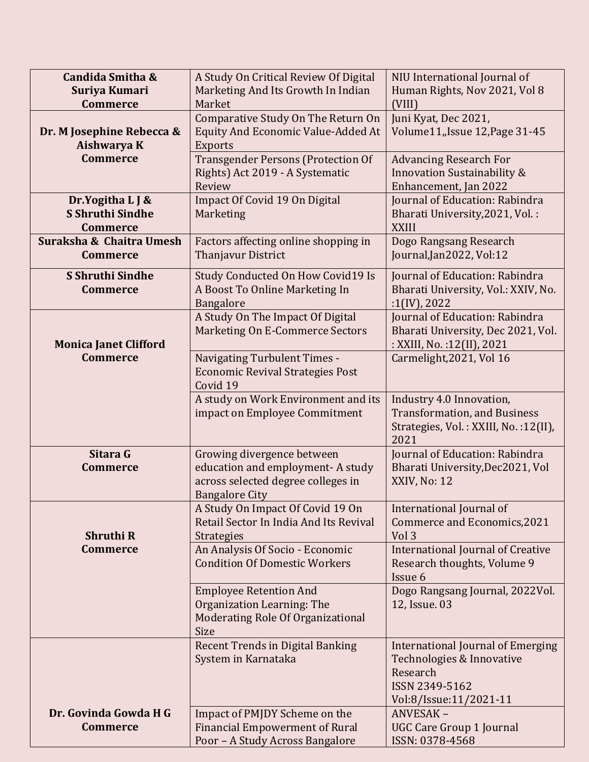| Candida Smitha &<br>Suriya Kumari                       | A Study On Critical Review Of Digital<br>Marketing And Its Growth In Indian                                                    | NIU International Journal of<br>Human Rights, Nov 2021, Vol 8                                                          |
|---------------------------------------------------------|--------------------------------------------------------------------------------------------------------------------------------|------------------------------------------------------------------------------------------------------------------------|
| <b>Commerce</b><br>Dr. M Josephine Rebecca &            | Market<br>Comparative Study On The Return On<br><b>Equity And Economic Value-Added At</b>                                      | (VIII)<br>Juni Kyat, Dec 2021,<br>Volume11, Issue 12, Page 31-45                                                       |
| Aishwarya K<br><b>Commerce</b>                          | Exports<br><b>Transgender Persons (Protection Of</b><br>Rights) Act 2019 - A Systematic<br>Review                              | <b>Advancing Research For</b><br><b>Innovation Sustainability &amp;</b><br>Enhancement, Jan 2022                       |
| Dr.Yogitha L J &<br>S Shruthi Sindhe<br><b>Commerce</b> | Impact Of Covid 19 On Digital<br>Marketing                                                                                     | Journal of Education: Rabindra<br>Bharati University, 2021, Vol.:<br><b>XXIII</b>                                      |
| Suraksha & Chaitra Umesh<br><b>Commerce</b>             | Factors affecting online shopping in<br>Thanjavur District                                                                     | Dogo Rangsang Research<br>Journal, Jan2022, Vol:12                                                                     |
| S Shruthi Sindhe<br><b>Commerce</b>                     | Study Conducted On How Covid19 Is<br>A Boost To Online Marketing In<br><b>Bangalore</b>                                        | Journal of Education: Rabindra<br>Bharati University, Vol.: XXIV, No.<br>:1(IV), 2022                                  |
| <b>Monica Janet Clifford</b>                            | A Study On The Impact Of Digital<br>Marketing On E-Commerce Sectors                                                            | Journal of Education: Rabindra<br>Bharati University, Dec 2021, Vol.<br>: XXIII, No. : 12(II), 2021                    |
| <b>Commerce</b>                                         | <b>Navigating Turbulent Times -</b><br><b>Economic Revival Strategies Post</b><br>Covid 19                                     | Carmelight, 2021, Vol 16                                                                                               |
|                                                         | A study on Work Environment and its<br>impact on Employee Commitment                                                           | Industry 4.0 Innovation,<br><b>Transformation, and Business</b><br>Strategies, Vol.: XXIII, No.:12(II),<br>2021        |
| Sitara G<br><b>Commerce</b>                             | Growing divergence between<br>education and employment- A study<br>across selected degree colleges in<br><b>Bangalore City</b> | Journal of Education: Rabindra<br>Bharati University, Dec2021, Vol<br>XXIV, No: 12                                     |
| <b>Shruthi R</b>                                        | A Study On Impact Of Covid 19 On<br>Retail Sector In India And Its Revival<br><b>Strategies</b>                                | International Journal of<br>Commerce and Economics, 2021<br>Vol 3                                                      |
| <b>Commerce</b>                                         | An Analysis Of Socio - Economic<br><b>Condition Of Domestic Workers</b>                                                        | <b>International Journal of Creative</b><br>Research thoughts, Volume 9<br>Issue 6                                     |
|                                                         | <b>Employee Retention And</b><br>Organization Learning: The<br>Moderating Role Of Organizational<br>Size                       | Dogo Rangsang Journal, 2022Vol.<br>12, Issue. 03                                                                       |
|                                                         | <b>Recent Trends in Digital Banking</b><br>System in Karnataka                                                                 | International Journal of Emerging<br>Technologies & Innovative<br>Research<br>ISSN 2349-5162<br>Vol:8/Issue:11/2021-11 |
| Dr. Govinda Gowda H G<br><b>Commerce</b>                | Impact of PMJDY Scheme on the<br><b>Financial Empowerment of Rural</b><br>Poor - A Study Across Bangalore                      | ANVESAK-<br><b>UGC Care Group 1 Journal</b><br>ISSN: 0378-4568                                                         |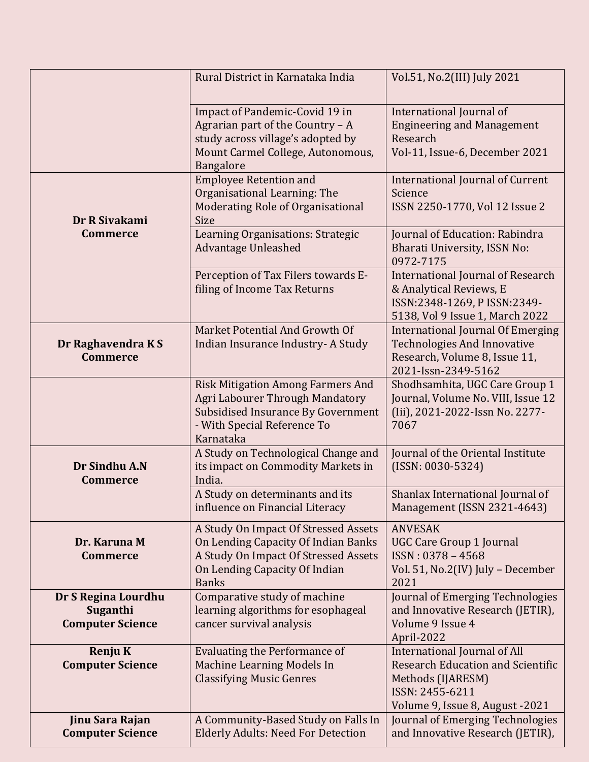|                                                            | Rural District in Karnataka India                                                                                                                                    | Vol.51, No.2(III) July 2021                                                                                                                                |
|------------------------------------------------------------|----------------------------------------------------------------------------------------------------------------------------------------------------------------------|------------------------------------------------------------------------------------------------------------------------------------------------------------|
|                                                            | Impact of Pandemic-Covid 19 in<br>Agrarian part of the Country $-A$<br>study across village's adopted by<br>Mount Carmel College, Autonomous,<br><b>Bangalore</b>    | International Journal of<br><b>Engineering and Management</b><br>Research<br>Vol-11, Issue-6, December 2021                                                |
| Dr R Sivakami                                              | <b>Employee Retention and</b><br>Organisational Learning: The<br>Moderating Role of Organisational<br>Size                                                           | <b>International Journal of Current</b><br>Science<br>ISSN 2250-1770, Vol 12 Issue 2                                                                       |
| <b>Commerce</b>                                            | Learning Organisations: Strategic<br><b>Advantage Unleashed</b>                                                                                                      | Journal of Education: Rabindra<br>Bharati University, ISSN No:<br>0972-7175                                                                                |
|                                                            | Perception of Tax Filers towards E-<br>filing of Income Tax Returns                                                                                                  | <b>International Journal of Research</b><br>& Analytical Reviews, E<br>ISSN:2348-1269, P ISSN:2349-<br>5138, Vol 9 Issue 1, March 2022                     |
| Dr Raghavendra KS<br><b>Commerce</b>                       | Market Potential And Growth Of<br>Indian Insurance Industry-A Study                                                                                                  | <b>International Journal Of Emerging</b><br><b>Technologies And Innovative</b><br>Research, Volume 8, Issue 11,<br>2021-Issn-2349-5162                     |
|                                                            | <b>Risk Mitigation Among Farmers And</b><br>Agri Labourer Through Mandatory<br>Subsidised Insurance By Government<br>- With Special Reference To<br>Karnataka        | Shodhsamhita, UGC Care Group 1<br>Journal, Volume No. VIII, Issue 12<br>(Iii), 2021-2022-Issn No. 2277-<br>7067                                            |
| Dr Sindhu A.N<br><b>Commerce</b>                           | A Study on Technological Change and<br>its impact on Commodity Markets in<br>India.                                                                                  | Journal of the Oriental Institute<br>$(ISSN: 0030-5324)$                                                                                                   |
|                                                            | A Study on determinants and its<br>influence on Financial Literacy                                                                                                   | Shanlax International Journal of<br>Management (ISSN 2321-4643)                                                                                            |
| Dr. Karuna M<br><b>Commerce</b>                            | A Study On Impact Of Stressed Assets<br>On Lending Capacity Of Indian Banks<br>A Study On Impact Of Stressed Assets<br>On Lending Capacity Of Indian<br><b>Banks</b> | <b>ANVESAK</b><br><b>UGC Care Group 1 Journal</b><br>ISSN: 0378 - 4568<br>Vol. 51, No.2(IV) July - December<br>2021                                        |
| Dr S Regina Lourdhu<br>Suganthi<br><b>Computer Science</b> | Comparative study of machine<br>learning algorithms for esophageal<br>cancer survival analysis                                                                       | Journal of Emerging Technologies<br>and Innovative Research (JETIR),<br>Volume 9 Issue 4<br>April-2022                                                     |
| <b>Renju K</b><br><b>Computer Science</b>                  | <b>Evaluating the Performance of</b><br><b>Machine Learning Models In</b><br><b>Classifying Music Genres</b>                                                         | <b>International Journal of All</b><br><b>Research Education and Scientific</b><br>Methods (IJARESM)<br>ISSN: 2455-6211<br>Volume 9, Issue 8, August -2021 |
| Jinu Sara Rajan<br><b>Computer Science</b>                 | A Community-Based Study on Falls In<br><b>Elderly Adults: Need For Detection</b>                                                                                     | Journal of Emerging Technologies<br>and Innovative Research (JETIR),                                                                                       |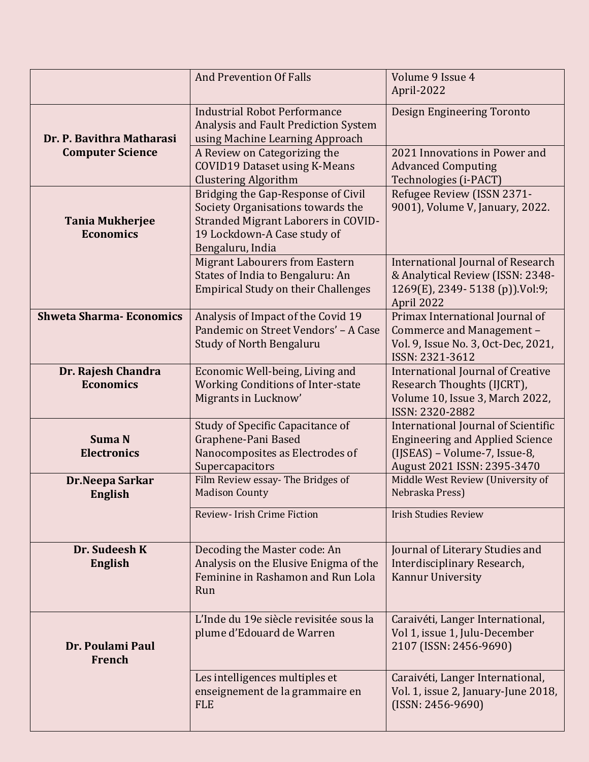|                                            | <b>And Prevention Of Falls</b>                                                                                                                                    | Volume 9 Issue 4<br>April-2022                                                                                                                |
|--------------------------------------------|-------------------------------------------------------------------------------------------------------------------------------------------------------------------|-----------------------------------------------------------------------------------------------------------------------------------------------|
| Dr. P. Bavithra Matharasi                  | <b>Industrial Robot Performance</b><br>Analysis and Fault Prediction System<br>using Machine Learning Approach                                                    | Design Engineering Toronto                                                                                                                    |
| <b>Computer Science</b>                    | A Review on Categorizing the<br><b>COVID19 Dataset using K-Means</b><br><b>Clustering Algorithm</b>                                                               | 2021 Innovations in Power and<br><b>Advanced Computing</b><br>Technologies (i-PACT)                                                           |
| <b>Tania Mukherjee</b><br><b>Economics</b> | Bridging the Gap-Response of Civil<br>Society Organisations towards the<br>Stranded Migrant Laborers in COVID-<br>19 Lockdown-A Case study of<br>Bengaluru, India | Refugee Review (ISSN 2371-<br>9001), Volume V, January, 2022.                                                                                 |
|                                            | <b>Migrant Labourers from Eastern</b><br>States of India to Bengaluru: An<br><b>Empirical Study on their Challenges</b>                                           | <b>International Journal of Research</b><br>& Analytical Review (ISSN: 2348-<br>1269(E), 2349-5138 (p)).Vol:9;<br>April 2022                  |
| <b>Shweta Sharma-Economics</b>             | Analysis of Impact of the Covid 19<br>Pandemic on Street Vendors' - A Case<br><b>Study of North Bengaluru</b>                                                     | Primax International Journal of<br>Commerce and Management -<br>Vol. 9, Issue No. 3, Oct-Dec, 2021,<br>ISSN: 2321-3612                        |
| Dr. Rajesh Chandra<br><b>Economics</b>     | Economic Well-being, Living and<br><b>Working Conditions of Inter-state</b><br>Migrants in Lucknow'                                                               | <b>International Journal of Creative</b><br>Research Thoughts (IJCRT),<br>Volume 10, Issue 3, March 2022,<br>ISSN: 2320-2882                  |
| <b>Suma N</b><br><b>Electronics</b>        | Study of Specific Capacitance of<br>Graphene-Pani Based<br>Nanocomposites as Electrodes of<br>Supercapacitors                                                     | International Journal of Scientific<br><b>Engineering and Applied Science</b><br>(IJSEAS) - Volume-7, Issue-8,<br>August 2021 ISSN: 2395-3470 |
| Dr.Neepa Sarkar<br>English                 | Film Review essay- The Bridges of<br><b>Madison County</b>                                                                                                        | Middle West Review (University of<br>Nebraska Press)                                                                                          |
|                                            | Review- Irish Crime Fiction                                                                                                                                       | <b>Irish Studies Review</b>                                                                                                                   |
| Dr. Sudeesh K<br><b>English</b>            | Decoding the Master code: An<br>Analysis on the Elusive Enigma of the<br>Feminine in Rashamon and Run Lola<br>Run                                                 | Journal of Literary Studies and<br>Interdisciplinary Research,<br>Kannur University                                                           |
| Dr. Poulami Paul<br>French                 | L'Inde du 19e siècle revisitée sous la<br>plume d'Edouard de Warren                                                                                               | Caraivéti, Langer International,<br>Vol 1, issue 1, Julu-December<br>2107 (ISSN: 2456-9690)                                                   |
|                                            | Les intelligences multiples et<br>enseignement de la grammaire en<br><b>FLE</b>                                                                                   | Caraivéti, Langer International,<br>Vol. 1, issue 2, January-June 2018,<br>$(ISSN: 2456-9690)$                                                |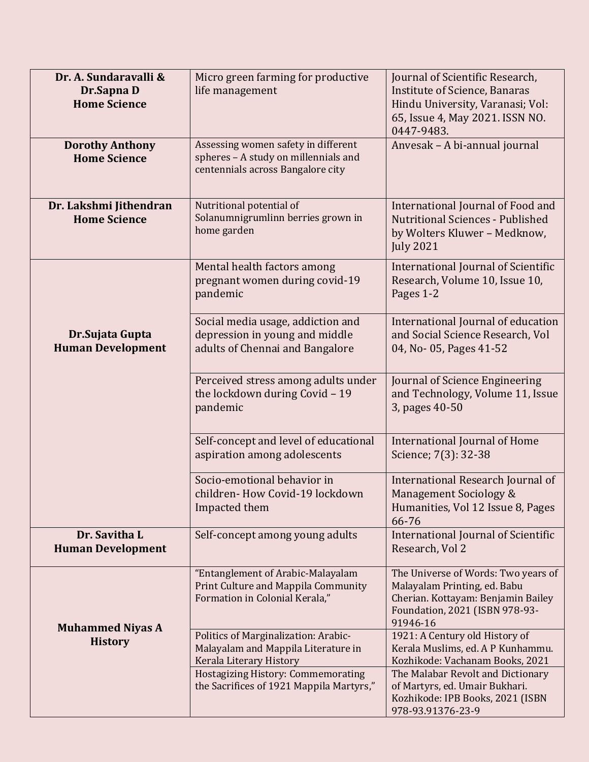| Dr. A. Sundaravalli &<br>Dr.Sapna D<br><b>Home Science</b><br><b>Dorothy Anthony</b> | Micro green farming for productive<br>life management<br>Assessing women safety in different                                                                                                    | Journal of Scientific Research,<br>Institute of Science, Banaras<br>Hindu University, Varanasi; Vol:<br>65, Issue 4, May 2021. ISSN NO.<br>0447-9483.<br>Anvesak - A bi-annual journal                                                 |
|--------------------------------------------------------------------------------------|-------------------------------------------------------------------------------------------------------------------------------------------------------------------------------------------------|----------------------------------------------------------------------------------------------------------------------------------------------------------------------------------------------------------------------------------------|
| <b>Home Science</b>                                                                  | spheres - A study on millennials and<br>centennials across Bangalore city                                                                                                                       |                                                                                                                                                                                                                                        |
| Dr. Lakshmi Jithendran<br><b>Home Science</b>                                        | Nutritional potential of<br>Solanumnigrumlinn berries grown in<br>home garden                                                                                                                   | International Journal of Food and<br><b>Nutritional Sciences - Published</b><br>by Wolters Kluwer - Medknow,<br><b>July 2021</b>                                                                                                       |
|                                                                                      | Mental health factors among<br>pregnant women during covid-19<br>pandemic                                                                                                                       | International Journal of Scientific<br>Research, Volume 10, Issue 10,<br>Pages 1-2                                                                                                                                                     |
| Dr.Sujata Gupta<br><b>Human Development</b>                                          | Social media usage, addiction and<br>depression in young and middle<br>adults of Chennai and Bangalore                                                                                          | International Journal of education<br>and Social Science Research, Vol<br>04, No-05, Pages 41-52                                                                                                                                       |
|                                                                                      | Perceived stress among adults under<br>the lockdown during Covid - 19<br>pandemic                                                                                                               | Journal of Science Engineering<br>and Technology, Volume 11, Issue<br>3, pages 40-50                                                                                                                                                   |
|                                                                                      | Self-concept and level of educational<br>aspiration among adolescents                                                                                                                           | <b>International Journal of Home</b><br>Science; 7(3): 32-38                                                                                                                                                                           |
|                                                                                      | Socio-emotional behavior in<br>children- How Covid-19 lockdown<br>Impacted them                                                                                                                 | International Research Journal of<br>Management Sociology &<br>Humanities, Vol 12 Issue 8, Pages<br>66-76                                                                                                                              |
| Dr. Savitha L<br><b>Human Development</b>                                            | Self-concept among young adults                                                                                                                                                                 | International Journal of Scientific<br>Research, Vol 2                                                                                                                                                                                 |
| <b>Muhammed Niyas A</b>                                                              | "Entanglement of Arabic-Malayalam<br>Print Culture and Mappila Community<br>Formation in Colonial Kerala,"                                                                                      | The Universe of Words: Two years of<br>Malayalam Printing, ed. Babu<br>Cherian. Kottayam: Benjamin Bailey<br>Foundation, 2021 (ISBN 978-93-<br>91946-16                                                                                |
| <b>History</b>                                                                       | Politics of Marginalization: Arabic-<br>Malayalam and Mappila Literature in<br>Kerala Literary History<br><b>Hostagizing History: Commemorating</b><br>the Sacrifices of 1921 Mappila Martyrs," | 1921: A Century old History of<br>Kerala Muslims, ed. A P Kunhammu.<br>Kozhikode: Vachanam Books, 2021<br>The Malabar Revolt and Dictionary<br>of Martyrs, ed. Umair Bukhari.<br>Kozhikode: IPB Books, 2021 (ISBN<br>978-93.91376-23-9 |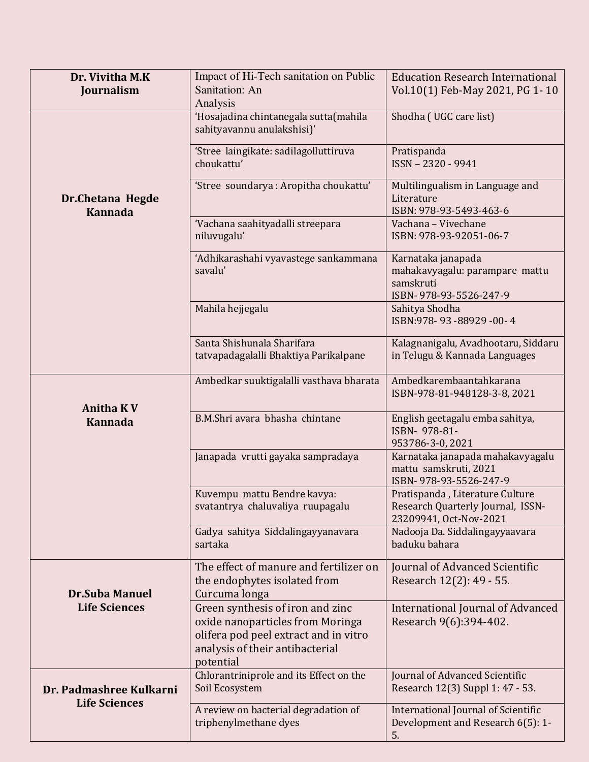| Dr. Vivitha M.K<br>Journalism             | Impact of Hi-Tech sanitation on Public<br>Sanitation: An                                                                                                      | <b>Education Research International</b><br>Vol.10(1) Feb-May 2021, PG 1-10                     |
|-------------------------------------------|---------------------------------------------------------------------------------------------------------------------------------------------------------------|------------------------------------------------------------------------------------------------|
|                                           | Analysis<br>'Hosajadina chintanegala sutta(mahila<br>sahityavannu anulakshisi)'                                                                               | Shodha (UGC care list)                                                                         |
|                                           | 'Stree laingikate: sadilagolluttiruva<br>choukattu'                                                                                                           | Pratispanda<br>ISSN - 2320 - 9941                                                              |
| <b>Dr.Chetana Hegde</b><br><b>Kannada</b> | 'Stree soundarya : Aropitha choukattu'                                                                                                                        | Multilingualism in Language and<br>Literature<br>ISBN: 978-93-5493-463-6                       |
|                                           | 'Vachana saahityadalli streepara<br>niluvugalu'                                                                                                               | Vachana - Vivechane<br>ISBN: 978-93-92051-06-7                                                 |
|                                           | 'Adhikarashahi vyavastege sankammana<br>savalu'                                                                                                               | Karnataka janapada<br>mahakavyagalu: parampare mattu<br>samskruti<br>ISBN-978-93-5526-247-9    |
|                                           | Mahila hejjegalu                                                                                                                                              | Sahitya Shodha<br>ISBN: 978-93-88929-00-4                                                      |
|                                           | Santa Shishunala Sharifara<br>tatvapadagalalli Bhaktiya Parikalpane                                                                                           | Kalagnanigalu, Avadhootaru, Siddaru<br>in Telugu & Kannada Languages                           |
| <b>Anitha KV</b>                          | Ambedkar suuktigalalli vasthava bharata                                                                                                                       | Ambedkarembaantahkarana<br>ISBN-978-81-948128-3-8, 2021                                        |
| <b>Kannada</b>                            | B.M.Shri avara bhasha chintane                                                                                                                                | English geetagalu emba sahitya,<br>ISBN- 978-81-<br>953786-3-0, 2021                           |
|                                           | Janapada vrutti gayaka sampradaya                                                                                                                             | Karnataka janapada mahakavyagalu<br>mattu samskruti, 2021<br>ISBN-978-93-5526-247-9            |
|                                           | Kuvempu mattu Bendre kavya:<br>svatantrya chaluvaliya ruupagalu                                                                                               | Pratispanda, Literature Culture<br>Research Quarterly Journal, ISSN-<br>23209941, Oct-Nov-2021 |
|                                           | Gadya sahitya Siddalingayyanavara<br>sartaka                                                                                                                  | Nadooja Da. Siddalingayyaavara<br>baduku bahara                                                |
| <b>Dr.Suba Manuel</b>                     | The effect of manure and fertilizer on<br>the endophytes isolated from<br>Curcuma longa                                                                       | Journal of Advanced Scientific<br>Research 12(2): 49 - 55.                                     |
| <b>Life Sciences</b>                      | Green synthesis of iron and zinc<br>oxide nanoparticles from Moringa<br>olifera pod peel extract and in vitro<br>analysis of their antibacterial<br>potential | <b>International Journal of Advanced</b><br>Research 9(6):394-402.                             |
| Dr. Padmashree Kulkarni                   | Chlorantriniprole and its Effect on the<br>Soil Ecosystem                                                                                                     | <b>Journal of Advanced Scientific</b><br>Research 12(3) Suppl 1: 47 - 53.                      |
| <b>Life Sciences</b>                      | A review on bacterial degradation of<br>triphenylmethane dyes                                                                                                 | International Journal of Scientific<br>Development and Research 6(5): 1-<br>5.                 |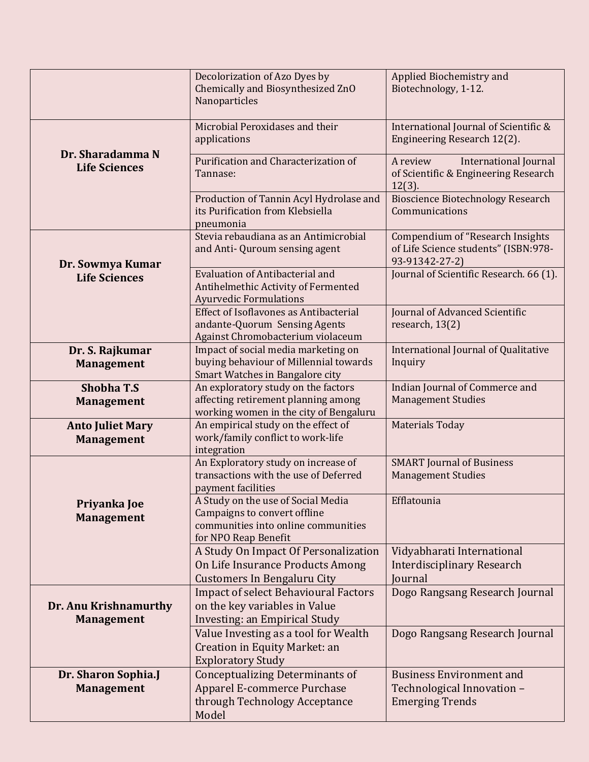|                                              | Decolorization of Azo Dyes by<br>Chemically and Biosynthesized ZnO<br>Nanoparticles                                               | Applied Biochemistry and<br>Biotechnology, 1-12.                                                  |
|----------------------------------------------|-----------------------------------------------------------------------------------------------------------------------------------|---------------------------------------------------------------------------------------------------|
|                                              | Microbial Peroxidases and their<br>applications                                                                                   | International Journal of Scientific &<br>Engineering Research 12(2).                              |
| Dr. Sharadamma N<br><b>Life Sciences</b>     | Purification and Characterization of<br>Tannase:                                                                                  | <b>International Journal</b><br>A review<br>of Scientific & Engineering Research<br>$12(3)$ .     |
|                                              | Production of Tannin Acyl Hydrolase and<br>its Purification from Klebsiella<br>pneumonia                                          | <b>Bioscience Biotechnology Research</b><br>Communications                                        |
| Dr. Sowmya Kumar                             | Stevia rebaudiana as an Antimicrobial<br>and Anti- Quroum sensing agent                                                           | <b>Compendium of "Research Insights</b><br>of Life Science students" (ISBN:978-<br>93-91342-27-2) |
| <b>Life Sciences</b>                         | <b>Evaluation of Antibacterial and</b><br>Antihelmethic Activity of Fermented<br><b>Ayurvedic Formulations</b>                    | Journal of Scientific Research. 66 (1).                                                           |
|                                              | Effect of Isoflavones as Antibacterial<br>andante-Quorum Sensing Agents<br>Against Chromobacterium violaceum                      | Journal of Advanced Scientific<br>research, 13(2)                                                 |
| Dr. S. Rajkumar<br><b>Management</b>         | Impact of social media marketing on<br>buying behaviour of Millennial towards<br>Smart Watches in Bangalore city                  | International Journal of Qualitative<br>Inquiry                                                   |
| <b>Shobha T.S</b><br><b>Management</b>       | An exploratory study on the factors<br>affecting retirement planning among<br>working women in the city of Bengaluru              | <b>Indian Journal of Commerce and</b><br><b>Management Studies</b>                                |
| <b>Anto Juliet Mary</b><br><b>Management</b> | An empirical study on the effect of<br>work/family conflict to work-life<br>integration                                           | <b>Materials Today</b>                                                                            |
|                                              | An Exploratory study on increase of<br>transactions with the use of Deferred<br>payment facilities                                | <b>SMART Journal of Business</b><br><b>Management Studies</b>                                     |
| Priyanka Joe<br><b>Management</b>            | A Study on the use of Social Media<br>Campaigns to convert offline<br>communities into online communities<br>for NPO Reap Benefit | Efflatounia                                                                                       |
|                                              | A Study On Impact Of Personalization<br>On Life Insurance Products Among<br><b>Customers In Bengaluru City</b>                    | Vidyabharati International<br><b>Interdisciplinary Research</b><br>Journal                        |
| Dr. Anu Krishnamurthy<br><b>Management</b>   | <b>Impact of select Behavioural Factors</b><br>on the key variables in Value<br>Investing: an Empirical Study                     | Dogo Rangsang Research Journal                                                                    |
|                                              | Value Investing as a tool for Wealth<br>Creation in Equity Market: an<br><b>Exploratory Study</b>                                 | Dogo Rangsang Research Journal                                                                    |
| Dr. Sharon Sophia.J<br><b>Management</b>     | <b>Conceptualizing Determinants of</b><br>Apparel E-commerce Purchase<br>through Technology Acceptance<br>Model                   | <b>Business Environment and</b><br>Technological Innovation -<br><b>Emerging Trends</b>           |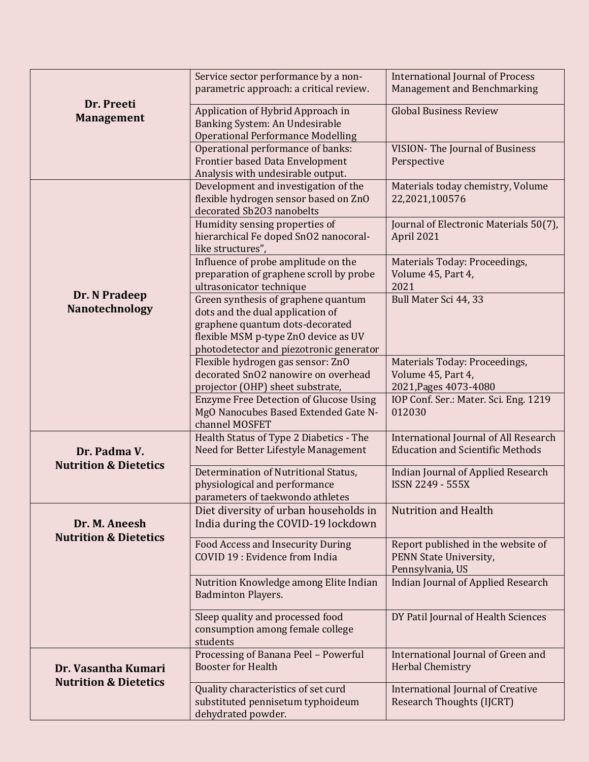| Dr. Preeti<br><b>Management</b>                         | Service sector performance by a non-<br>parametric approach: a critical review.                                                                                                               | <b>International Journal of Process</b><br>Management and Benchmarking                  |
|---------------------------------------------------------|-----------------------------------------------------------------------------------------------------------------------------------------------------------------------------------------------|-----------------------------------------------------------------------------------------|
|                                                         | Application of Hybrid Approach in<br>Banking System: An Undesirable<br><b>Operational Performance Modelling</b>                                                                               | <b>Global Business Review</b>                                                           |
|                                                         | Operational performance of banks:<br>Frontier based Data Envelopment<br>Analysis with undesirable output.                                                                                     | <b>VISION-The Journal of Business</b><br>Perspective                                    |
|                                                         | Development and investigation of the<br>flexible hydrogen sensor based on ZnO<br>decorated Sb2O3 nanobelts                                                                                    | Materials today chemistry, Volume<br>22,2021,100576                                     |
|                                                         | Humidity sensing properties of<br>hierarchical Fe doped SnO2 nanocoral-<br>like structures",                                                                                                  | Journal of Electronic Materials 50(7),<br>April 2021                                    |
|                                                         | Influence of probe amplitude on the<br>preparation of graphene scroll by probe<br>ultrasonicator technique                                                                                    | Materials Today: Proceedings,<br>Volume 45, Part 4,<br>2021                             |
| Dr. N Pradeep<br>Nanotechnology                         | Green synthesis of graphene quantum<br>dots and the dual application of<br>graphene quantum dots-decorated<br>flexible MSM p-type ZnO device as UV<br>photodetector and piezotronic generator | Bull Mater Sci 44, 33                                                                   |
|                                                         | Flexible hydrogen gas sensor: ZnO<br>decorated SnO2 nanowire on overhead<br>projector (OHP) sheet substrate,                                                                                  | Materials Today: Proceedings,<br>Volume 45, Part 4,<br>2021, Pages 4073-4080            |
|                                                         | <b>Enzyme Free Detection of Glucose Using</b><br>MgO Nanocubes Based Extended Gate N-<br>channel MOSFET                                                                                       | IOP Conf. Ser.: Mater. Sci. Eng. 1219<br>012030                                         |
| Dr. Padma V.<br><b>Nutrition &amp; Dietetics</b>        | Health Status of Type 2 Diabetics - The<br>Need for Better Lifestyle Management                                                                                                               | <b>International Journal of All Research</b><br><b>Education and Scientific Methods</b> |
|                                                         | Determination of Nutritional Status,<br>physiological and performance<br>parameters of taekwondo athletes                                                                                     | <b>Indian Journal of Applied Research</b><br>ISSN 2249 - 555X                           |
| Dr. M. Aneesh<br><b>Nutrition &amp; Dietetics</b>       | Diet diversity of urban households in<br>India during the COVID-19 lockdown                                                                                                                   | <b>Nutrition and Health</b>                                                             |
|                                                         | <b>Food Access and Insecurity During</b><br>COVID 19 : Evidence from India                                                                                                                    | Report published in the website of<br>PENN State University,<br>Pennsylvania, US        |
|                                                         | Nutrition Knowledge among Elite Indian<br><b>Badminton Players.</b>                                                                                                                           | <b>Indian Journal of Applied Research</b>                                               |
|                                                         | Sleep quality and processed food<br>consumption among female college<br>students                                                                                                              | DY Patil Journal of Health Sciences                                                     |
| Dr. Vasantha Kumari<br><b>Nutrition &amp; Dietetics</b> | Processing of Banana Peel - Powerful<br><b>Booster for Health</b>                                                                                                                             | International Journal of Green and<br><b>Herbal Chemistry</b>                           |
|                                                         | Quality characteristics of set curd<br>substituted pennisetum typhoideum<br>dehydrated powder.                                                                                                | <b>International Journal of Creative</b><br><b>Research Thoughts (IJCRT)</b>            |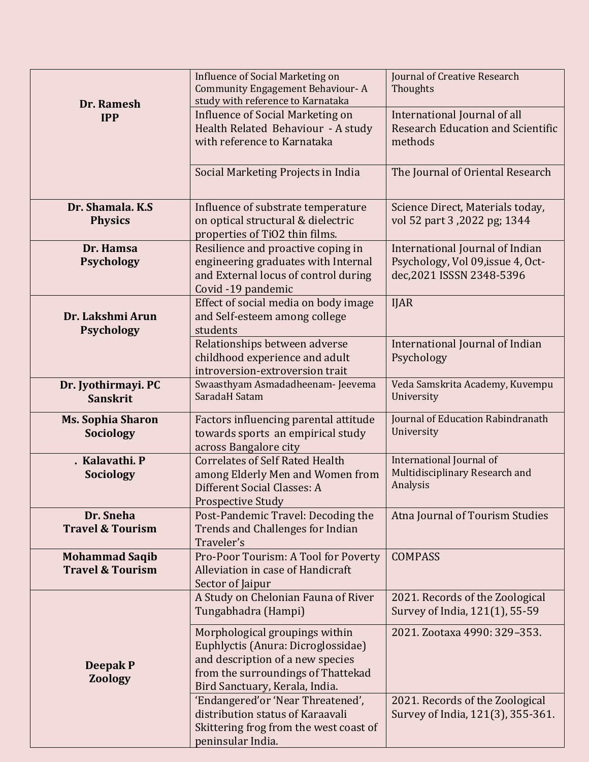| Dr. Ramesh<br><b>IPP</b>                             | <b>Influence of Social Marketing on</b><br><b>Community Engagement Behaviour-A</b><br>study with reference to Karnataka<br><b>Influence of Social Marketing on</b><br>Health Related Behaviour - A study<br>with reference to Karnataka | Journal of Creative Research<br>Thoughts<br>International Journal of all<br><b>Research Education and Scientific</b><br>methods |
|------------------------------------------------------|-----------------------------------------------------------------------------------------------------------------------------------------------------------------------------------------------------------------------------------------|---------------------------------------------------------------------------------------------------------------------------------|
|                                                      | Social Marketing Projects in India                                                                                                                                                                                                      | The Journal of Oriental Research                                                                                                |
| Dr. Shamala, K.S.<br><b>Physics</b>                  | Influence of substrate temperature<br>on optical structural & dielectric<br>properties of TiO2 thin films.                                                                                                                              | Science Direct, Materials today,<br>vol 52 part 3,2022 pg; 1344                                                                 |
| Dr. Hamsa<br><b>Psychology</b>                       | Resilience and proactive coping in<br>engineering graduates with Internal<br>and External locus of control during<br>Covid -19 pandemic                                                                                                 | International Journal of Indian<br>Psychology, Vol 09, issue 4, Oct-<br>dec, 2021 ISSSN 2348-5396                               |
| Dr. Lakshmi Arun<br><b>Psychology</b>                | Effect of social media on body image<br>and Self-esteem among college<br>students                                                                                                                                                       | <b>IJAR</b>                                                                                                                     |
|                                                      | Relationships between adverse<br>childhood experience and adult<br>introversion-extroversion trait                                                                                                                                      | International Journal of Indian<br>Psychology                                                                                   |
| Dr. Jyothirmayi. PC<br><b>Sanskrit</b>               | Swaasthyam Asmadadheenam- Jeevema<br>SaradaH Satam                                                                                                                                                                                      | Veda Samskrita Academy, Kuvempu<br>University                                                                                   |
| <b>Ms. Sophia Sharon</b><br>Sociology                | Factors influencing parental attitude<br>towards sports an empirical study<br>across Bangalore city                                                                                                                                     | Journal of Education Rabindranath<br>University                                                                                 |
| . Kalavathi. P<br><b>Sociology</b>                   | <b>Correlates of Self Rated Health</b><br>among Elderly Men and Women from<br>Different Social Classes: A<br><b>Prospective Study</b>                                                                                                   | International Journal of<br>Multidisciplinary Research and<br>Analysis                                                          |
| Dr. Sneha<br><b>Travel &amp; Tourism</b>             | Post-Pandemic Travel: Decoding the<br><b>Trends and Challenges for Indian</b><br>Traveler's                                                                                                                                             | Atna Journal of Tourism Studies                                                                                                 |
| <b>Mohammad Saqib</b><br><b>Travel &amp; Tourism</b> | Pro-Poor Tourism: A Tool for Poverty<br>Alleviation in case of Handicraft<br>Sector of Jaipur                                                                                                                                           | <b>COMPASS</b>                                                                                                                  |
|                                                      | A Study on Chelonian Fauna of River<br>Tungabhadra (Hampi)                                                                                                                                                                              | 2021. Records of the Zoological<br>Survey of India, 121(1), 55-59                                                               |
| <b>Deepak P</b><br><b>Zoology</b>                    | Morphological groupings within<br>Euphlyctis (Anura: Dicroglossidae)<br>and description of a new species<br>from the surroundings of Thattekad<br>Bird Sanctuary, Kerala, India.                                                        | 2021. Zootaxa 4990: 329-353.                                                                                                    |
|                                                      | 'Endangered'or 'Near Threatened',<br>distribution status of Karaavali<br>Skittering frog from the west coast of<br>peninsular India.                                                                                                    | 2021. Records of the Zoological<br>Survey of India, 121(3), 355-361.                                                            |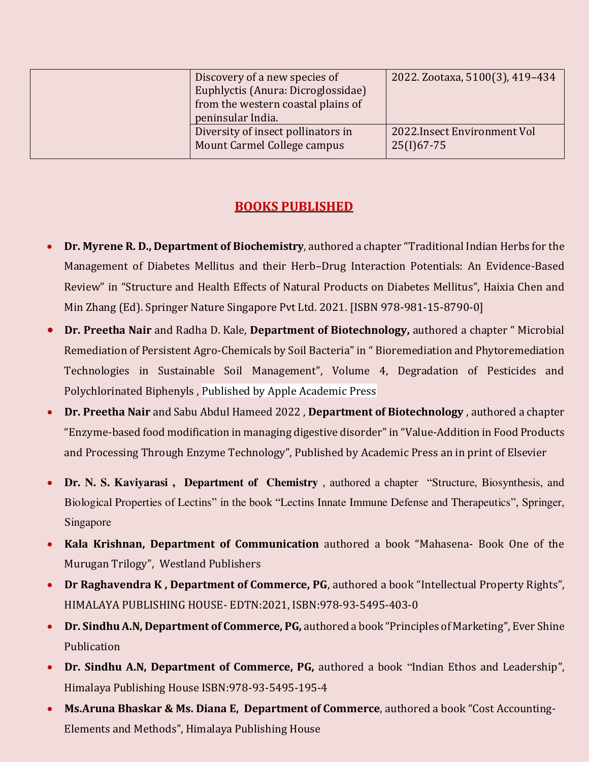| Discovery of a new species of<br>Euphlyctis (Anura: Dicroglossidae)<br>from the western coastal plains of<br>peninsular India. | 2022. Zootaxa, 5100(3), 419-434              |
|--------------------------------------------------------------------------------------------------------------------------------|----------------------------------------------|
| Diversity of insect pollinators in<br>Mount Carmel College campus                                                              | 2022. Insect Environment Vol<br>$25(I)67-75$ |

## **BOOKS PUBLISHED**

- **Dr. Myrene R. D., Department of Biochemistry**, authored a chapter "Traditional Indian Herbs for the Management of Diabetes Mellitus and their Herb–Drug Interaction Potentials: An Evidence-Based Review" in "Structure and Health Effects of Natural Products on Diabetes Mellitus", Haixia Chen and Min Zhang (Ed). Springer Nature Singapore Pvt Ltd. 2021. [ISBN 978-981-15-8790-0]
- **Dr. Preetha Nair** and Radha D. Kale, **Department of Biotechnology,** authored a chapter " Microbial Remediation of Persistent Agro-Chemicals by Soil Bacteria" in " Bioremediation and Phytoremediation Technologies in Sustainable Soil Management", Volume 4, Degradation of Pesticides and Polychlorinated Biphenyls , Published by Apple Academic Press
- **Dr. Preetha Nair** and Sabu Abdul Hameed 2022 , **Department of Biotechnology** , authored a chapter "Enzyme-based food modification in managing digestive disorder" in "Value-Addition in Food Products and Processing Through Enzyme Technology", Published by Academic Press an in print of Elsevier
- **Dr. N. S. Kaviyarasi , Department of Chemistry** , authored a chapter "Structure, Biosynthesis, and Biological Properties of Lectins" in the book "Lectins Innate Immune Defense and Therapeutics", Springer, Singapore
- **Kala Krishnan, Department of Communication** authored a book "Mahasena- Book One of the Murugan Trilogy", Westland Publishers
- **Dr Raghavendra K , Department of Commerce, PG**, authored a book "Intellectual Property Rights", HIMALAYA PUBLISHING HOUSE- EDTN:2021, ISBN:978-93-5495-403-0
- **Dr. Sindhu A.N, Department of Commerce, PG,** authored a book "Principles of Marketing", Ever Shine Publication
- **Dr. Sindhu A.N, Department of Commerce, PG,** authored a book "Indian Ethos and Leadership", Himalaya Publishing House ISBN:978-93-5495-195-4
- **Ms.Aruna Bhaskar & Ms. Diana E, Department of Commerce**, authored a book "Cost Accounting-Elements and Methods", Himalaya Publishing House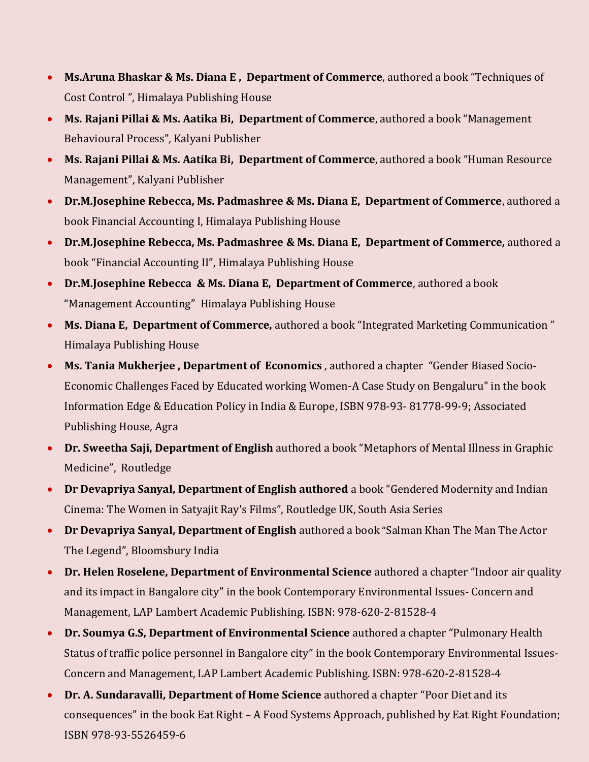- **Ms.Aruna Bhaskar & Ms. Diana E , Department of Commerce**, authored a book "Techniques of Cost Control ", Himalaya Publishing House
- **Ms. Rajani Pillai & Ms. Aatika Bi, Department of Commerce**, authored a book "Management Behavioural Process", Kalyani Publisher
- **Ms. Rajani Pillai & Ms. Aatika Bi, Department of Commerce**, authored a book "Human Resource Management", Kalyani Publisher
- **Dr.M.Josephine Rebecca, Ms. Padmashree & Ms. Diana E, Department of Commerce**, authored a book Financial Accounting I, Himalaya Publishing House
- **Dr.M.Josephine Rebecca, Ms. Padmashree & Ms. Diana E, Department of Commerce,** authored a book "Financial Accounting II", Himalaya Publishing House
- **Dr.M.Josephine Rebecca & Ms. Diana E, Department of Commerce**, authored a book "Management Accounting" Himalaya Publishing House
- **Ms. Diana E, Department of Commerce,** authored a book "Integrated Marketing Communication " Himalaya Publishing House
- **Ms. Tania Mukherjee , Department of Economics** , authored a chapter "Gender Biased Socio-Economic Challenges Faced by Educated working Women-A Case Study on Bengaluru" in the book Information Edge & Education Policy in India & Europe, ISBN 978-93- 81778-99-9; Associated Publishing House, Agra
- **Dr. Sweetha Saji, Department of English** authored a book "Metaphors of Mental Illness in Graphic Medicine", Routledge
- **Dr Devapriya Sanyal, Department of English authored** a book "Gendered Modernity and Indian Cinema: The Women in Satyajit Ray's Films", Routledge UK, South Asia Series
- **Dr Devapriya Sanyal, Department of English** authored a book "Salman Khan The Man The Actor The Legend", Bloomsbury India
- **Dr. Helen Roselene, Department of Environmental Science** authored a chapter "Indoor air quality and its impact in Bangalore city" in the book Contemporary Environmental Issues- Concern and Management, LAP Lambert Academic Publishing. ISBN: 978-620-2-81528-4
- **Dr. Soumya G.S, Department of Environmental Science** authored a chapter "Pulmonary Health Status of traffic police personnel in Bangalore city" in the book Contemporary Environmental Issues-Concern and Management, LAP Lambert Academic Publishing. ISBN: 978-620-2-81528-4
- **Dr. A. Sundaravalli, Department of Home Science** authored a chapter "Poor Diet and its consequences" in the book Eat Right – A Food Systems Approach, published by Eat Right Foundation; ISBN 978-93-5526459-6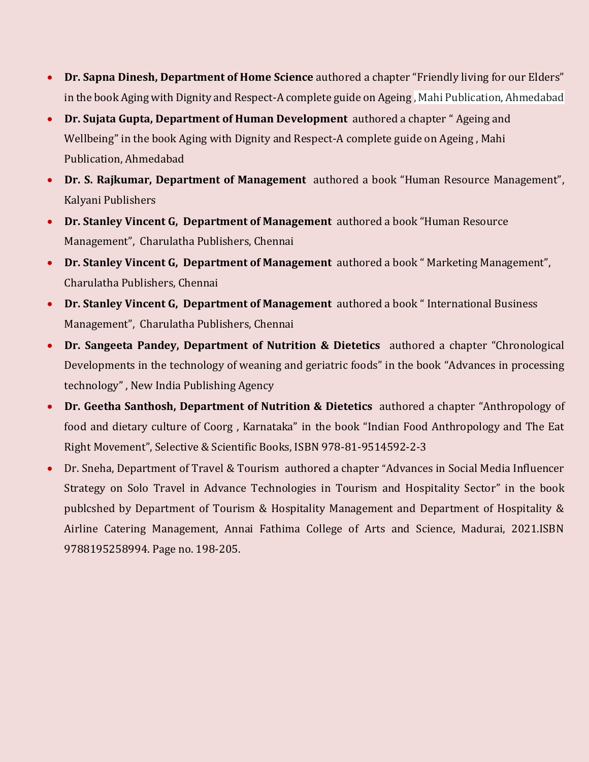- **Dr. Sapna Dinesh, Department of Home Science** authored a chapter "Friendly living for our Elders" in the book Aging with Dignity and Respect-A complete guide on Ageing , Mahi Publication, Ahmedabad
- **Dr. Sujata Gupta, Department of Human Development** authored a chapter " Ageing and Wellbeing" in the book Aging with Dignity and Respect-A complete guide on Ageing , Mahi Publication, Ahmedabad
- **Dr. S. Rajkumar, Department of Management** authored a book "Human Resource Management", Kalyani Publishers
- **Dr. Stanley Vincent G, Department of Management** authored a book "Human Resource Management", Charulatha Publishers, Chennai
- **Dr. Stanley Vincent G, Department of Management** authored a book " Marketing Management", Charulatha Publishers, Chennai
- **Dr. Stanley Vincent G, Department of Management** authored a book " International Business Management", Charulatha Publishers, Chennai
- **Dr. Sangeeta Pandey, Department of Nutrition & Dietetics** authored a chapter "Chronological Developments in the technology of weaning and geriatric foods" in the book "Advances in processing technology" , New India Publishing Agency
- **Dr. Geetha Santhosh, Department of Nutrition & Dietetics** authored a chapter "Anthropology of food and dietary culture of Coorg , Karnataka" in the book "Indian Food Anthropology and The Eat Right Movement", Selective & Scientific Books, ISBN 978-81-9514592-2-3
- Dr. Sneha, Department of Travel & Tourism authored a chapter "Advances in Social Media Influencer Strategy on Solo Travel in Advance Technologies in Tourism and Hospitality Sector" in the book publcshed by Department of Tourism & Hospitality Management and Department of Hospitality & Airline Catering Management, Annai Fathima College of Arts and Science, Madurai, 2021.ISBN 9788195258994. Page no. 198-205.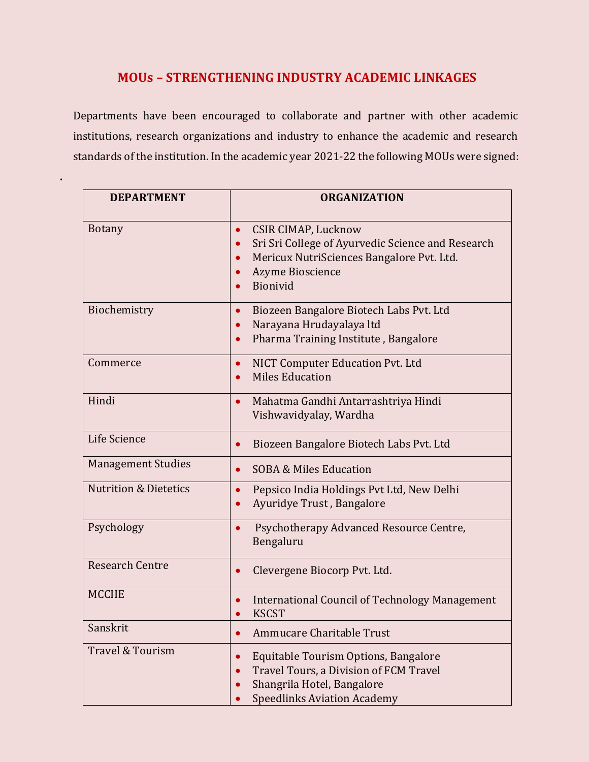## **MOUs – STRENGTHENING INDUSTRY ACADEMIC LINKAGES**

Departments have been encouraged to collaborate and partner with other academic institutions, research organizations and industry to enhance the academic and research standards of the institution. In the academic year 2021-22 the following MOUs were signed:

**.** 

| <b>DEPARTMENT</b>                | <b>ORGANIZATION</b>                                                                                                                                                              |
|----------------------------------|----------------------------------------------------------------------------------------------------------------------------------------------------------------------------------|
| <b>Botany</b>                    | <b>CSIR CIMAP, Lucknow</b><br>$\bullet$<br>Sri Sri College of Ayurvedic Science and Research<br>Mericux NutriSciences Bangalore Pvt. Ltd.<br><b>Azyme Bioscience</b><br>Bionivid |
| Biochemistry                     | Biozeen Bangalore Biotech Labs Pvt. Ltd<br>$\bullet$<br>Narayana Hrudayalaya ltd<br>Pharma Training Institute, Bangalore                                                         |
| Commerce                         | NICT Computer Education Pvt. Ltd<br>$\bullet$<br><b>Miles Education</b>                                                                                                          |
| Hindi                            | Mahatma Gandhi Antarrashtriya Hindi<br>$\bullet$<br>Vishwavidyalay, Wardha                                                                                                       |
| Life Science                     | Biozeen Bangalore Biotech Labs Pvt. Ltd<br>$\bullet$                                                                                                                             |
| <b>Management Studies</b>        | <b>SOBA &amp; Miles Education</b><br>$\bullet$                                                                                                                                   |
| <b>Nutrition &amp; Dietetics</b> | Pepsico India Holdings Pvt Ltd, New Delhi<br>$\bullet$<br>Ayuridye Trust, Bangalore                                                                                              |
| Psychology                       | Psychotherapy Advanced Resource Centre,<br>Bengaluru                                                                                                                             |
| <b>Research Centre</b>           | Clevergene Biocorp Pvt. Ltd.<br>$\bullet$                                                                                                                                        |
| <b>MCCIIE</b>                    | International Council of Technology Management<br><b>KSCST</b>                                                                                                                   |
| Sanskrit                         | Ammucare Charitable Trust                                                                                                                                                        |
| Travel & Tourism                 | Equitable Tourism Options, Bangalore<br>Travel Tours, a Division of FCM Travel<br>Shangrila Hotel, Bangalore<br><b>Speedlinks Aviation Academy</b>                               |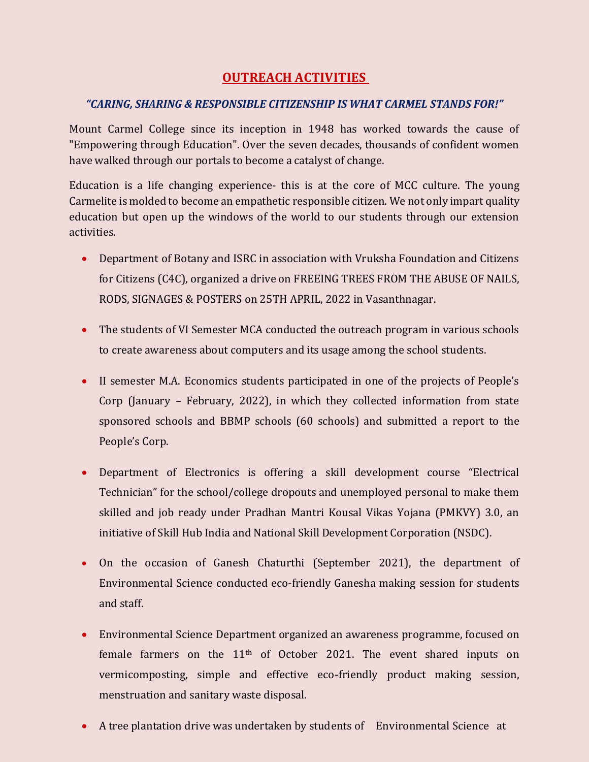# **OUTREACH ACTIVITIES**

#### *"CARING, SHARING & RESPONSIBLE CITIZENSHIP IS WHAT CARMEL STANDS FOR!"*

Mount Carmel College since its inception in 1948 has worked towards the cause of "Empowering through Education". Over the seven decades, thousands of confident women have walked through our portals to become a catalyst of change.

Education is a life changing experience- this is at the core of MCC culture. The young Carmelite is molded to become an empathetic responsible citizen. We not only impart quality education but open up the windows of the world to our students through our extension activities.

- Department of Botany and ISRC in association with Vruksha Foundation and Citizens for Citizens (C4C), organized a drive on FREEING TREES FROM THE ABUSE OF NAILS, RODS, SIGNAGES & POSTERS on 25TH APRIL, 2022 in Vasanthnagar.
- The students of VI Semester MCA conducted the outreach program in various schools to create awareness about computers and its usage among the school students.
- II semester M.A. Economics students participated in one of the projects of People's Corp (January – February, 2022), in which they collected information from state sponsored schools and BBMP schools (60 schools) and submitted a report to the People's Corp.
- Department of Electronics is offering a skill development course "Electrical Technician" for the school/college dropouts and unemployed personal to make them skilled and job ready under Pradhan Mantri Kousal Vikas Yojana (PMKVY) 3.0, an initiative of Skill Hub India and National Skill Development Corporation (NSDC).
- On the occasion of Ganesh Chaturthi (September 2021), the department of Environmental Science conducted eco-friendly Ganesha making session for students and staff.
- Environmental Science Department organized an awareness programme, focused on female farmers on the 11th of October 2021. The event shared inputs on vermicomposting, simple and effective eco-friendly product making session, menstruation and sanitary waste disposal.
- A tree plantation drive was undertaken by students of Environmental Science at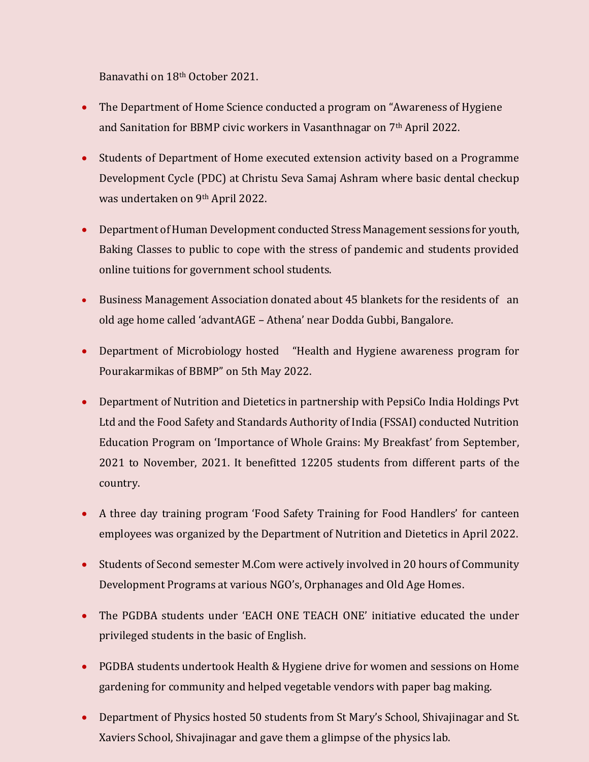Banavathi on 18th October 2021.

- The Department of Home Science conducted a program on "Awareness of Hygiene and Sanitation for BBMP civic workers in Vasanthnagar on 7th April 2022.
- Students of Department of Home executed extension activity based on a Programme Development Cycle (PDC) at Christu Seva Samaj Ashram where basic dental checkup was undertaken on 9th April 2022.
- Department of Human Development conducted Stress Management sessions for youth, Baking Classes to public to cope with the stress of pandemic and students provided online tuitions for government school students.
- Business Management Association donated about 45 blankets for the residents of an old age home called 'advantAGE – Athena' near Dodda Gubbi, Bangalore.
- Department of Microbiology hosted "Health and Hygiene awareness program for Pourakarmikas of BBMP" on 5th May 2022.
- Department of Nutrition and Dietetics in partnership with PepsiCo India Holdings Pvt Ltd and the Food Safety and Standards Authority of India (FSSAI) conducted Nutrition Education Program on 'Importance of Whole Grains: My Breakfast' from September, 2021 to November, 2021. It benefitted 12205 students from different parts of the country.
- A three day training program 'Food Safety Training for Food Handlers' for canteen employees was organized by the Department of Nutrition and Dietetics in April 2022.
- Students of Second semester M.Com were actively involved in 20 hours of Community Development Programs at various NGO's, Orphanages and Old Age Homes.
- The PGDBA students under 'EACH ONE TEACH ONE' initiative educated the under privileged students in the basic of English.
- PGDBA students undertook Health & Hygiene drive for women and sessions on Home gardening for community and helped vegetable vendors with paper bag making.
- Department of Physics hosted 50 students from St Mary's School, Shivajinagar and St. Xaviers School, Shivajinagar and gave them a glimpse of the physics lab.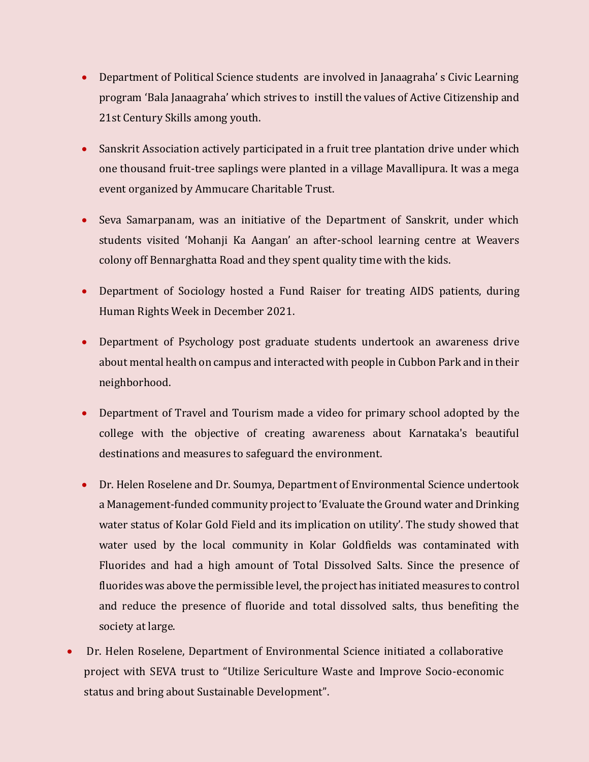- Department of Political Science students are involved in Janaagraha' s Civic Learning program 'Bala Janaagraha' which strives to instill the values of Active Citizenship and 21st Century Skills among youth.
- Sanskrit Association actively participated in a fruit tree plantation drive under which one thousand fruit-tree saplings were planted in a village Mavallipura. It was a mega event organized by Ammucare Charitable Trust.
- Seva Samarpanam, was an initiative of the Department of Sanskrit, under which students visited 'Mohanji Ka Aangan' an after-school learning centre at Weavers colony off Bennarghatta Road and they spent quality time with the kids.
- Department of Sociology hosted a Fund Raiser for treating AIDS patients, during Human Rights Week in December 2021.
- Department of Psychology post graduate students undertook an awareness drive about mental health on campus and interacted with people in Cubbon Park and in their neighborhood.
- Department of Travel and Tourism made a video for primary school adopted by the college with the objective of creating awareness about Karnataka's beautiful destinations and measures to safeguard the environment.
- Dr. Helen Roselene and Dr. Soumya, Department of Environmental Science undertook a Management-funded community project to 'Evaluate the Ground water and Drinking water status of Kolar Gold Field and its implication on utility'. The study showed that water used by the local community in Kolar Goldfields was contaminated with Fluorides and had a high amount of Total Dissolved Salts. Since the presence of fluorides was above the permissible level, the project has initiated measures to control and reduce the presence of fluoride and total dissolved salts, thus benefiting the society at large.
- Dr. Helen Roselene, Department of Environmental Science initiated a collaborative project with SEVA trust to "Utilize Sericulture Waste and Improve Socio-economic status and bring about Sustainable Development".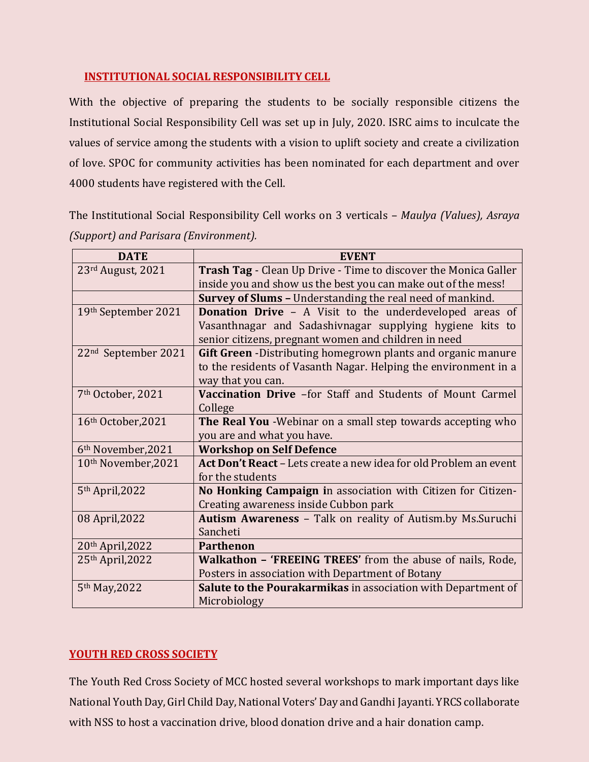### **INSTITUTIONAL SOCIAL RESPONSIBILITY CELL**

With the objective of preparing the students to be socially responsible citizens the Institutional Social Responsibility Cell was set up in July, 2020. ISRC aims to inculcate the values of service among the students with a vision to uplift society and create a civilization of love. SPOC for community activities has been nominated for each department and over 4000 students have registered with the Cell.

The Institutional Social Responsibility Cell works on 3 verticals – *Maulya (Values), Asraya (Support) and Parisara (Environment).* 

| <b>DATE</b>                     | <b>EVENT</b>                                                           |  |  |  |  |
|---------------------------------|------------------------------------------------------------------------|--|--|--|--|
| 23rd August, 2021               | <b>Trash Tag</b> - Clean Up Drive - Time to discover the Monica Galler |  |  |  |  |
|                                 | inside you and show us the best you can make out of the mess!          |  |  |  |  |
|                                 | <b>Survey of Slums - Understanding the real need of mankind.</b>       |  |  |  |  |
| 19th September 2021             | <b>Donation Drive - A Visit to the underdeveloped areas of</b>         |  |  |  |  |
|                                 | Vasanthnagar and Sadashivnagar supplying hygiene kits to               |  |  |  |  |
|                                 | senior citizens, pregnant women and children in need                   |  |  |  |  |
| 22 <sup>nd</sup> September 2021 | Gift Green - Distributing homegrown plants and organic manure          |  |  |  |  |
|                                 | to the residents of Vasanth Nagar. Helping the environment in a        |  |  |  |  |
|                                 | way that you can.                                                      |  |  |  |  |
| 7 <sup>th</sup> October, 2021   | Vaccination Drive -for Staff and Students of Mount Carmel              |  |  |  |  |
|                                 | College                                                                |  |  |  |  |
| 16th October, 2021              | The Real You - Webinar on a small step towards accepting who           |  |  |  |  |
|                                 | you are and what you have.                                             |  |  |  |  |
| 6 <sup>th</sup> November, 2021  | <b>Workshop on Self Defence</b>                                        |  |  |  |  |
| 10th November, 2021             | Act Don't React - Lets create a new idea for old Problem an event      |  |  |  |  |
|                                 | for the students                                                       |  |  |  |  |
| 5th April, 2022                 | No Honking Campaign in association with Citizen for Citizen-           |  |  |  |  |
|                                 | Creating awareness inside Cubbon park                                  |  |  |  |  |
| 08 April, 2022                  | <b>Autism Awareness</b> - Talk on reality of Autism.by Ms.Suruchi      |  |  |  |  |
|                                 | Sancheti                                                               |  |  |  |  |
| 20th April, 2022                | <b>Parthenon</b>                                                       |  |  |  |  |
| 25th April, 2022                | Walkathon - 'FREEING TREES' from the abuse of nails, Rode,             |  |  |  |  |
|                                 | Posters in association with Department of Botany                       |  |  |  |  |
| 5 <sup>th</sup> May, 2022       | Salute to the Pourakarmikas in association with Department of          |  |  |  |  |
|                                 | Microbiology                                                           |  |  |  |  |

## **YOUTH RED CROSS SOCIETY**

The Youth Red Cross Society of MCC hosted several workshops to mark important days like National Youth Day, Girl Child Day, National Voters' Day and Gandhi Jayanti. YRCS collaborate with NSS to host a vaccination drive, blood donation drive and a hair donation camp.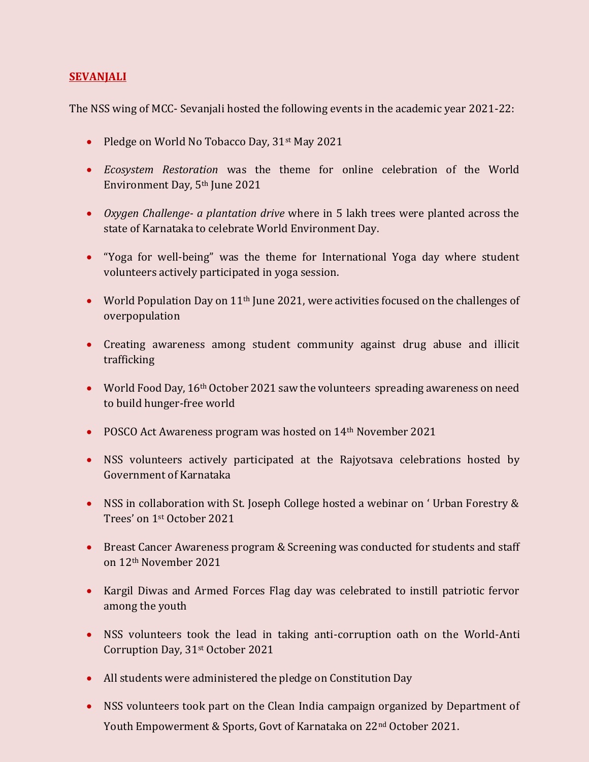#### **SEVANJALI**

The NSS wing of MCC- Sevanjali hosted the following events in the academic year 2021-22:

- Pledge on World No Tobacco Day, 31<sup>st</sup> May 2021
- *Ecosystem Restoration* was the theme for online celebration of the World Environment Day, 5th June 2021
- *Oxygen Challenge- a plantation drive* where in 5 lakh trees were planted across the state of Karnataka to celebrate World Environment Day.
- "Yoga for well-being" was the theme for International Yoga day where student volunteers actively participated in yoga session.
- World Population Day on 11<sup>th</sup> June 2021, were activities focused on the challenges of overpopulation
- Creating awareness among student community against drug abuse and illicit trafficking
- World Food Day,  $16<sup>th</sup>$  October 2021 saw the volunteers spreading awareness on need to build hunger-free world
- POSCO Act Awareness program was hosted on 14<sup>th</sup> November 2021
- NSS volunteers actively participated at the Rajyotsava celebrations hosted by Government of Karnataka
- NSS in collaboration with St. Joseph College hosted a webinar on ' Urban Forestry & Trees' on 1st October 2021
- Breast Cancer Awareness program & Screening was conducted for students and staff on 12th November 2021
- Kargil Diwas and Armed Forces Flag day was celebrated to instill patriotic fervor among the youth
- NSS volunteers took the lead in taking anti-corruption oath on the World-Anti Corruption Day, 31st October 2021
- All students were administered the pledge on Constitution Day
- NSS volunteers took part on the Clean India campaign organized by Department of Youth Empowerment & Sports, Govt of Karnataka on 22nd October 2021.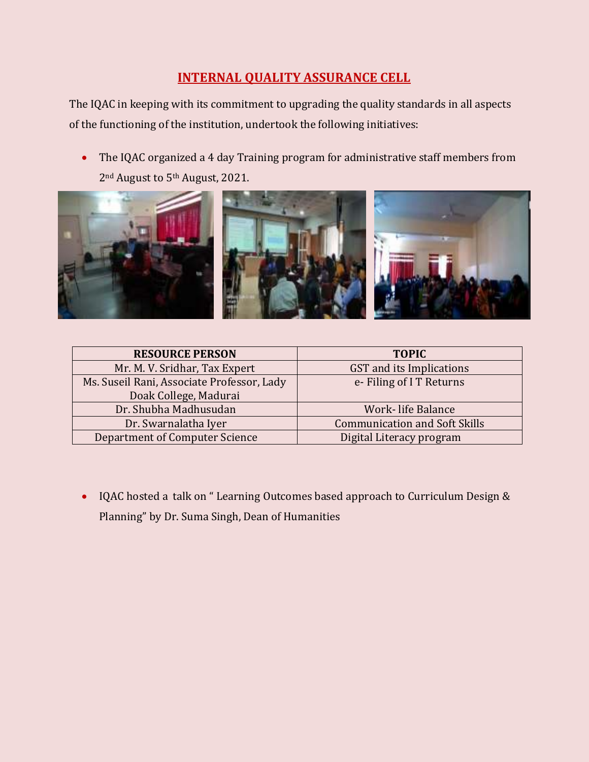# **INTERNAL QUALITY ASSURANCE CELL**

The IQAC in keeping with its commitment to upgrading the quality standards in all aspects of the functioning of the institution, undertook the following initiatives:

 The IQAC organized a 4 day Training program for administrative staff members from 2<sup>nd</sup> August to 5<sup>th</sup> August, 2021.



| <b>RESOURCE PERSON</b>                     | <b>TOPIC</b>                         |
|--------------------------------------------|--------------------------------------|
| Mr. M. V. Sridhar, Tax Expert              | GST and its Implications             |
| Ms. Suseil Rani, Associate Professor, Lady | e-Filing of IT Returns               |
| Doak College, Madurai                      |                                      |
| Dr. Shubha Madhusudan                      | Work-life Balance                    |
| Dr. Swarnalatha Iyer                       | <b>Communication and Soft Skills</b> |
| <b>Department of Computer Science</b>      | Digital Literacy program             |

• IQAC hosted a talk on "Learning Outcomes based approach to Curriculum Design & Planning" by Dr. Suma Singh, Dean of Humanities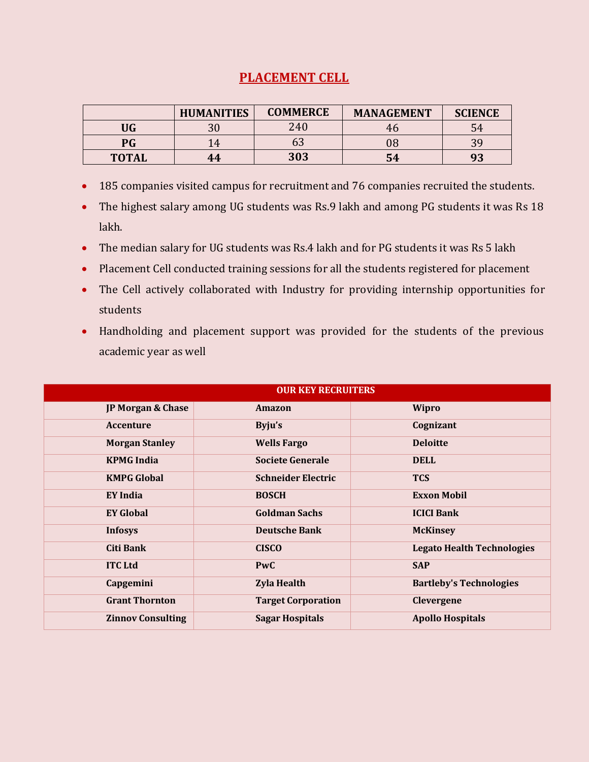## **PLACEMENT CELL**

|              | <b>HUMANITIES</b> | <b>COMMERCE</b> | <b>MANAGEMENT</b> | <b>SCIENCE</b> |
|--------------|-------------------|-----------------|-------------------|----------------|
| UG           | n c               | 240             | 40                |                |
| PG           | ' 4               | ხპ              | 08                | 20             |
| <b>TOTAL</b> | 44                | 303             | 54                | 93             |

- 185 companies visited campus for recruitment and 76 companies recruited the students.
- The highest salary among UG students was Rs.9 lakh and among PG students it was Rs 18 lakh.
- The median salary for UG students was Rs.4 lakh and for PG students it was Rs 5 lakh
- Placement Cell conducted training sessions for all the students registered for placement
- The Cell actively collaborated with Industry for providing internship opportunities for students
- Handholding and placement support was provided for the students of the previous academic year as well

|                          | <b>OUR KEY RECRUITERS</b> |                                   |  |  |  |
|--------------------------|---------------------------|-----------------------------------|--|--|--|
| JP Morgan & Chase        | Amazon                    | <b>Wipro</b>                      |  |  |  |
| <b>Accenture</b>         | Byju's                    | Cognizant                         |  |  |  |
| <b>Morgan Stanley</b>    | <b>Wells Fargo</b>        | <b>Deloitte</b>                   |  |  |  |
| <b>KPMG</b> India        | <b>Societe Generale</b>   | <b>DELL</b>                       |  |  |  |
| <b>KMPG Global</b>       | <b>Schneider Electric</b> | <b>TCS</b>                        |  |  |  |
| EY India                 | <b>BOSCH</b>              | <b>Exxon Mobil</b>                |  |  |  |
| <b>EY Global</b>         | <b>Goldman Sachs</b>      | <b>ICICI Bank</b>                 |  |  |  |
| <b>Infosys</b>           | <b>Deutsche Bank</b>      | <b>McKinsey</b>                   |  |  |  |
| <b>Citi Bank</b>         | <b>CISCO</b>              | <b>Legato Health Technologies</b> |  |  |  |
| <b>ITC Ltd</b>           | <b>PwC</b>                | <b>SAP</b>                        |  |  |  |
| Capgemini                | <b>Zyla Health</b>        | <b>Bartleby's Technologies</b>    |  |  |  |
| <b>Grant Thornton</b>    | <b>Target Corporation</b> | Clevergene                        |  |  |  |
| <b>Zinnov Consulting</b> | <b>Sagar Hospitals</b>    | <b>Apollo Hospitals</b>           |  |  |  |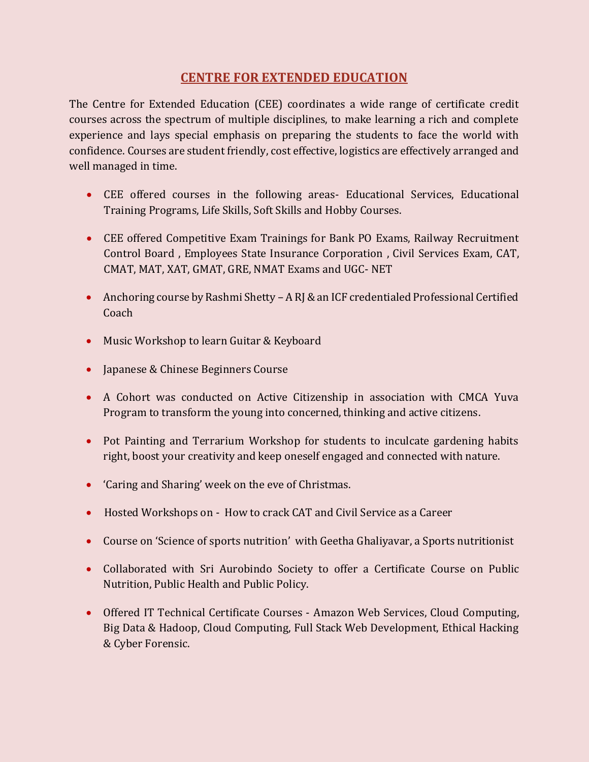## **CENTRE FOR EXTENDED EDUCATION**

The Centre for Extended Education (CEE) coordinates a wide range of certificate credit courses across the spectrum of multiple disciplines, to make learning a rich and complete experience and lays special emphasis on preparing the students to face the world with confidence. Courses are student friendly, cost effective, logistics are effectively arranged and well managed in time.

- CEE offered courses in the following areas- Educational Services, Educational Training Programs, Life Skills, Soft Skills and Hobby Courses.
- CEE offered Competitive Exam Trainings for Bank PO Exams, Railway Recruitment Control Board , Employees State Insurance Corporation , Civil Services Exam, CAT, CMAT, MAT, XAT, GMAT, GRE, NMAT Exams and UGC- NET
- Anchoring course by Rashmi Shetty A RJ & an ICF credentialed Professional Certified Coach
- Music Workshop to learn Guitar & Keyboard
- Japanese & Chinese Beginners Course
- A Cohort was conducted on Active Citizenship in association with CMCA Yuva Program to transform the young into concerned, thinking and active citizens.
- Pot Painting and Terrarium Workshop for students to inculcate gardening habits right, boost your creativity and keep oneself engaged and connected with nature.
- 'Caring and Sharing' week on the eve of Christmas.
- Hosted Workshops on How to crack CAT and Civil Service as a Career
- Course on 'Science of sports nutrition' with Geetha Ghaliyavar, a Sports nutritionist
- Collaborated with Sri Aurobindo Society to offer a Certificate Course on Public Nutrition, Public Health and Public Policy.
- Offered IT Technical Certificate Courses Amazon Web Services, Cloud Computing, Big Data & Hadoop, Cloud Computing, Full Stack Web Development, Ethical Hacking & Cyber Forensic.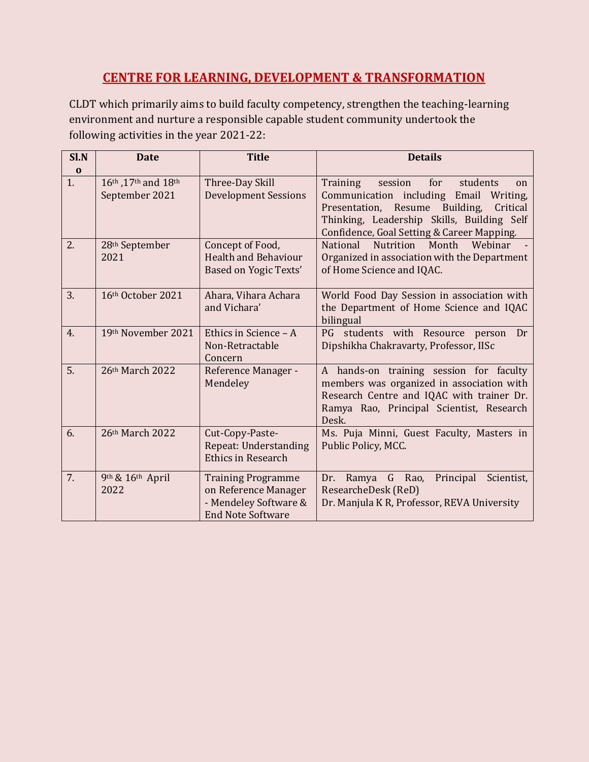# **CENTRE FOR LEARNING, DEVELOPMENT & TRANSFORMATION**

CLDT which primarily aims to build faculty competency, strengthen the teaching-learning environment and nurture a responsible capable student community undertook the following activities in the year 2021-22:

| Sl.N           | <b>Date</b>                           | <b>Title</b>                                                                                           | <b>Details</b>                                                                                                                                                                                                                      |
|----------------|---------------------------------------|--------------------------------------------------------------------------------------------------------|-------------------------------------------------------------------------------------------------------------------------------------------------------------------------------------------------------------------------------------|
| $\bf{0}$<br>1. | 16th, 17th and 18th<br>September 2021 | Three-Day Skill<br><b>Development Sessions</b>                                                         | Training<br>for<br>students<br>session<br>on<br>Communication including Email Writing,<br>Building,<br>Presentation, Resume<br>Critical<br>Thinking, Leadership Skills, Building Self<br>Confidence, Goal Setting & Career Mapping. |
| 2.             | 28th September<br>2021                | Concept of Food,<br><b>Health and Behaviour</b><br>Based on Yogic Texts'                               | Webinar<br><b>National</b><br><b>Nutrition</b><br>Month<br>Organized in association with the Department<br>of Home Science and IQAC.                                                                                                |
| 3.             | 16th October 2021                     | Ahara, Vihara Achara<br>and Vichara'                                                                   | World Food Day Session in association with<br>the Department of Home Science and IQAC<br>bilingual                                                                                                                                  |
| 4.             | 19th November 2021                    | Ethics in Science - A<br>Non-Retractable<br>Concern                                                    | PG students with Resource person<br>Dr<br>Dipshikha Chakravarty, Professor, IISc                                                                                                                                                    |
| 5.             | 26th March 2022                       | Reference Manager -<br>Mendeley                                                                        | A hands-on training session for faculty<br>members was organized in association with<br>Research Centre and IQAC with trainer Dr.<br>Ramya Rao, Principal Scientist, Research<br>Desk.                                              |
| 6.             | 26th March 2022                       | Cut-Copy-Paste-<br><b>Repeat: Understanding</b><br><b>Ethics in Research</b>                           | Ms. Puja Minni, Guest Faculty, Masters in<br>Public Policy, MCC.                                                                                                                                                                    |
| 7.             | 9th & 16th April<br>2022              | <b>Training Programme</b><br>on Reference Manager<br>- Mendeley Software &<br><b>End Note Software</b> | Principal<br>Scientist,<br>Ramya G Rao,<br>Dr.<br>ResearcheDesk (ReD)<br>Dr. Manjula K R, Professor, REVA University                                                                                                                |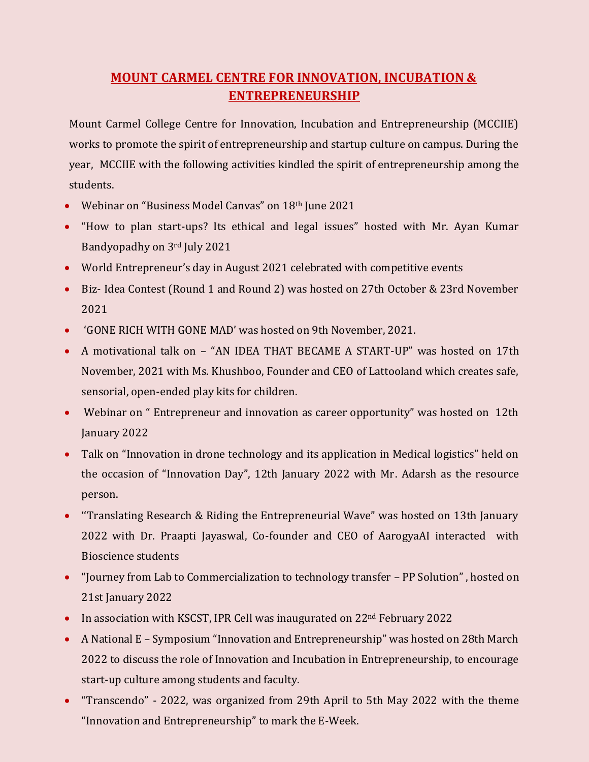# **MOUNT CARMEL CENTRE FOR INNOVATION, INCUBATION & ENTREPRENEURSHIP**

Mount Carmel College Centre for Innovation, Incubation and Entrepreneurship (MCCIIE) works to promote the spirit of entrepreneurship and startup culture on campus. During the year, MCCIIE with the following activities kindled the spirit of entrepreneurship among the students.

- Webinar on "Business Model Canvas" on 18<sup>th</sup> June 2021
- "How to plan start-ups? Its ethical and legal issues" hosted with Mr. Ayan Kumar Bandyopadhy on 3rd July 2021
- World Entrepreneur's day in August 2021 celebrated with competitive events
- Biz- Idea Contest (Round 1 and Round 2) was hosted on 27th October & 23rd November 2021
- 'GONE RICH WITH GONE MAD' was hosted on 9th November, 2021.
- A motivational talk on "AN IDEA THAT BECAME A START-UP" was hosted on 17th November, 2021 with Ms. Khushboo, Founder and CEO of Lattooland which creates safe, sensorial, open-ended play kits for children.
- Webinar on " Entrepreneur and innovation as career opportunity" was hosted on 12th January 2022
- Talk on "Innovation in drone technology and its application in Medical logistics" held on the occasion of "Innovation Day", 12th January 2022 with Mr. Adarsh as the resource person.
- ''Translating Research & Riding the Entrepreneurial Wave" was hosted on 13th January 2022 with Dr. Praapti Jayaswal, Co-founder and CEO of AarogyaAI interacted with Bioscience students
- "Journey from Lab to Commercialization to technology transfer PP Solution" , hosted on 21st January 2022
- In association with KSCST, IPR Cell was inaugurated on 22<sup>nd</sup> February 2022
- A National E Symposium "Innovation and Entrepreneurship" was hosted on 28th March 2022 to discuss the role of Innovation and Incubation in Entrepreneurship, to encourage start-up culture among students and faculty.
- "Transcendo" 2022, was organized from 29th April to 5th May 2022 with the theme "Innovation and Entrepreneurship" to mark the E-Week.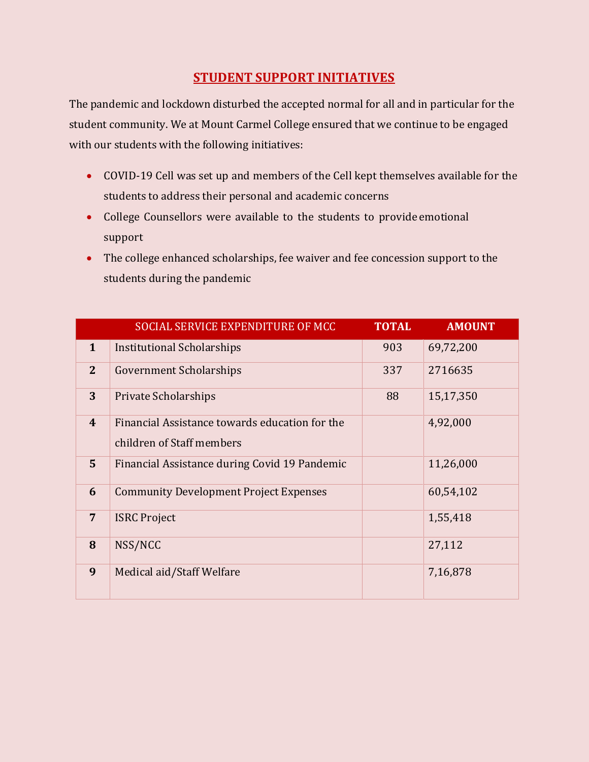# **STUDENT SUPPORT INITIATIVES**

The pandemic and lockdown disturbed the accepted normal for all and in particular for the student community. We at Mount Carmel College ensured that we continue to be engaged with our students with the following initiatives:

- COVID-19 Cell was set up and members of the Cell kept themselves available for the students to address their personal and academic concerns
- College Counsellors were available to the students to provide emotional support
- The college enhanced scholarships, fee waiver and fee concession support to the students during the pandemic

|                | SOCIAL SERVICE EXPENDITURE OF MCC              | <b>TOTAL</b> | <b>AMOUNT</b> |
|----------------|------------------------------------------------|--------------|---------------|
| $\mathbf{1}$   | Institutional Scholarships                     | 903          | 69,72,200     |
| $\overline{2}$ | <b>Government Scholarships</b>                 | 337          | 2716635       |
| 3              | <b>Private Scholarships</b>                    | 88           | 15,17,350     |
| $\overline{4}$ | Financial Assistance towards education for the |              | 4,92,000      |
|                | children of Staff members                      |              |               |
| 5 <sup>5</sup> | Financial Assistance during Covid 19 Pandemic  |              | 11,26,000     |
| 6              | <b>Community Development Project Expenses</b>  |              | 60,54,102     |
| $\overline{7}$ | <b>ISRC</b> Project                            |              | 1,55,418      |
| 8              | NSS/NCC                                        |              | 27,112        |
| 9              | Medical aid/Staff Welfare                      |              | 7,16,878      |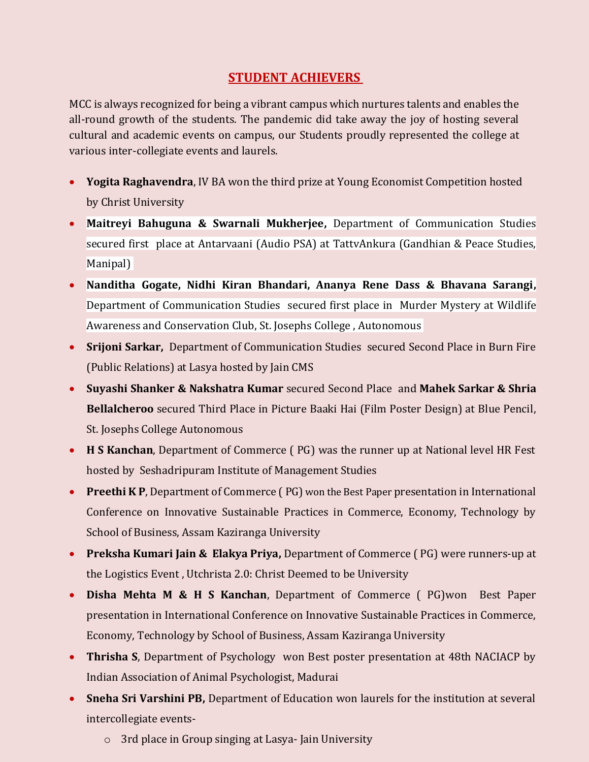# **STUDENT ACHIEVERS**

MCC is always recognized for being a vibrant campus which nurtures talents and enables the all-round growth of the students. The pandemic did take away the joy of hosting several cultural and academic events on campus, our Students proudly represented the college at various inter-collegiate events and laurels.

- **Yogita Raghavendra**, IV BA won the third prize at Young Economist Competition hosted by Christ University
- **Maitreyi Bahuguna & Swarnali Mukherjee,** Department of Communication Studies secured first place at Antarvaani (Audio PSA) at TattvAnkura (Gandhian & Peace Studies, Manipal)
- **Nanditha Gogate, Nidhi Kiran Bhandari, Ananya Rene Dass & Bhavana Sarangi,**  Department of Communication Studiessecured first place in Murder Mystery at Wildlife Awareness and Conservation Club, St. Josephs College , Autonomous
- **Srijoni Sarkar,** Department of Communication Studies secured Second Place in Burn Fire (Public Relations) at Lasya hosted by Jain CMS
- **Suyashi Shanker & Nakshatra Kumar** secured Second Place and **Mahek Sarkar & Shria Bellalcheroo** secured Third Place in Picture Baaki Hai (Film Poster Design) at Blue Pencil, St. Josephs College Autonomous
- **H S Kanchan**, Department of Commerce ( PG) was the runner up at National level HR Fest hosted by Seshadripuram Institute of Management Studies
- **Preethi K P**, Department of Commerce (PG) won the Best Paper presentation in International Conference on Innovative Sustainable Practices in Commerce, Economy, Technology by School of Business, Assam Kaziranga University
- **Preksha Kumari Jain & Elakya Priya,** Department of Commerce ( PG) were runners-up at the Logistics Event , Utchrista 2.0: Christ Deemed to be University
- **Disha Mehta M & H S Kanchan**, Department of Commerce ( PG)won Best Paper presentation in International Conference on Innovative Sustainable Practices in Commerce, Economy, Technology by School of Business, Assam Kaziranga University
- **Thrisha S**, Department of Psychology won Best poster presentation at 48th NACIACP by Indian Association of Animal Psychologist, Madurai
- **Sneha Sri Varshini PB,** Department of Education won laurels for the institution at several intercollegiate events
	- o 3rd place in Group singing at Lasya- Jain University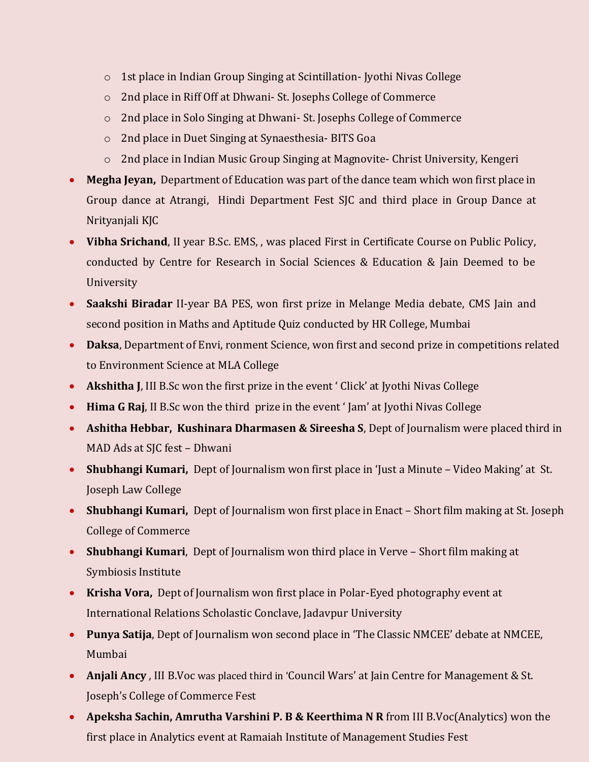- o 1st place in Indian Group Singing at Scintillation- Jyothi Nivas College
- o 2nd place in Riff Off at Dhwani- St. Josephs College of Commerce
- o 2nd place in Solo Singing at Dhwani- St. Josephs College of Commerce
- o 2nd place in Duet Singing at Synaesthesia- BITS Goa
- o 2nd place in Indian Music Group Singing at Magnovite- Christ University, Kengeri
- **Megha Jeyan,** Department of Education was part of the dance team which won first place in Group dance at Atrangi, Hindi Department Fest SJC and third place in Group Dance at Nrityanjali KJC
- **Vibha Srichand**, II year B.Sc. EMS, , was placed First in Certificate Course on Public Policy, conducted by Centre for Research in Social Sciences & Education & Jain Deemed to be University
- **Saakshi Biradar** II-year BA PES, won first prize in Melange Media debate, CMS Jain and second position in Maths and Aptitude Quiz conducted by HR College, Mumbai
- **Daksa**, Department of Envi, ronment Science, won first and second prize in competitions related to Environment Science at MLA College
- **Akshitha J**, III B.Sc won the first prize in the event ' Click' at Jyothi Nivas College
- **Hima G Raj**, II B.Sc won the third prize in the event ' Jam' at Jyothi Nivas College
- **Ashitha Hebbar, Kushinara Dharmasen & Sireesha S**, Dept of Journalism were placed third in MAD Ads at SJC fest – Dhwani
- **Shubhangi Kumari,** Dept of Journalism won first place in 'Just a Minute Video Making' at St. Joseph Law College
- **Shubhangi Kumari,** Dept of Journalism won first place in Enact Short film making at St. Joseph College of Commerce
- **Shubhangi Kumari**, Dept of Journalism won third place in Verve Short film making at Symbiosis Institute
- **Krisha Vora,** Dept of Journalism won first place in Polar-Eyed photography event at International Relations Scholastic Conclave, Jadavpur University
- **Punya Satija**, Dept of Journalism won second place in 'The Classic NMCEE' debate at NMCEE, Mumbai
- **Anjali Ancy** , III B.Voc was placed third in 'Council Wars' at Jain Centre for Management & St. Joseph's College of Commerce Fest
- **Apeksha Sachin, Amrutha Varshini P. B & Keerthima N R** from III B.Voc(Analytics) won the first place in Analytics event at Ramaiah Institute of Management Studies Fest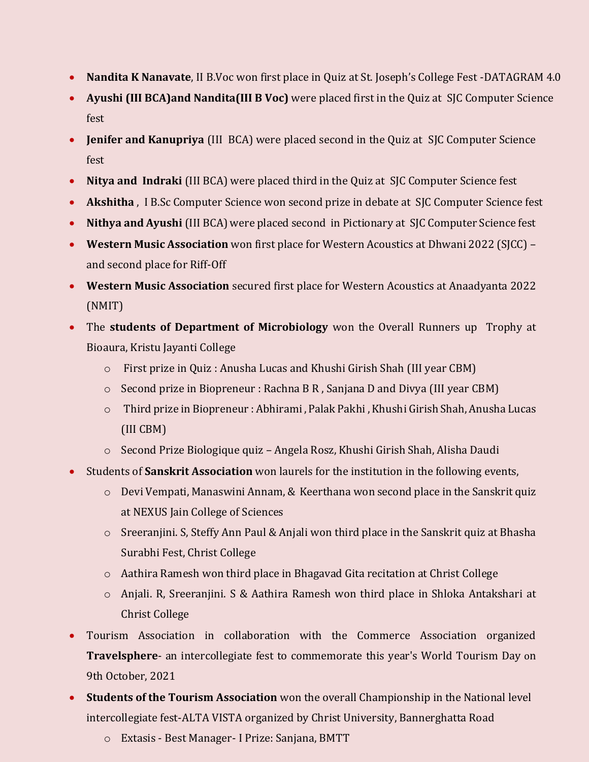- **Nandita K Nanavate**, II B.Voc won first place in Quiz at St. Joseph's College Fest -DATAGRAM 4.0
- **Ayushi (III BCA)and Nandita(III B Voc)** were placed first in the Quiz at SJC Computer Science fest
- **Jenifer and Kanupriya** (III BCA) were placed second in the Quiz at SJC Computer Science fest
- **Nitya and Indraki** (III BCA) were placed third in the Quiz at SJC Computer Science fest
- **Akshitha** , I B.Sc Computer Science won second prize in debate at SJC Computer Science fest
- **Nithya and Ayushi** (III BCA) were placed second in Pictionary at SJC Computer Science fest
- **Western Music Association** won first place for Western Acoustics at Dhwani 2022 (SJCC) and second place for Riff-Off
- **Western Music Association** secured first place for Western Acoustics at Anaadyanta 2022 (NMIT)
- The **students of Department of Microbiology** won the Overall Runners up Trophy at Bioaura, Kristu Jayanti College
	- o First prize in Quiz : Anusha Lucas and Khushi Girish Shah (III year CBM)
	- $\circ$  Second prize in Biopreneur : Rachna B R, Sanjana D and Divya (III year CBM)
	- o Third prize in Biopreneur : Abhirami , Palak Pakhi , Khushi Girish Shah, Anusha Lucas (III CBM)
	- o Second Prize Biologique quiz Angela Rosz, Khushi Girish Shah, Alisha Daudi
- Students of **Sanskrit Association** won laurels for the institution in the following events,
	- o Devi Vempati, Manaswini Annam, & Keerthana won second place in the Sanskrit quiz at NEXUS Jain College of Sciences
	- o Sreeranjini. S, Steffy Ann Paul & Anjali won third place in the Sanskrit quiz at Bhasha Surabhi Fest, Christ College
	- o Aathira Ramesh won third place in Bhagavad Gita recitation at Christ College
	- o Anjali. R, Sreeranjini. S & Aathira Ramesh won third place in Shloka Antakshari at Christ College
- Tourism Association in collaboration with the Commerce Association organized **Travelsphere**- an intercollegiate fest to commemorate this year's World Tourism Day on 9th October, 2021
- **Students of the Tourism Association** won the overall Championship in the National level intercollegiate fest-ALTA VISTA organized by Christ University, Bannerghatta Road
	- o Extasis Best Manager- I Prize: Sanjana, BMTT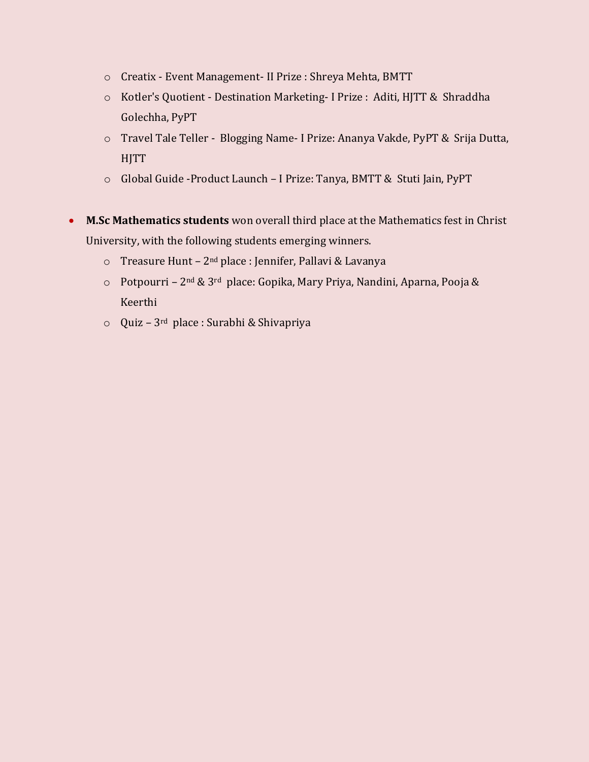- o Creatix Event Management- II Prize : Shreya Mehta, BMTT
- o Kotler's Quotient Destination Marketing- I Prize : Aditi, HJTT & Shraddha Golechha, PyPT
- o Travel Tale Teller Blogging Name- I Prize: Ananya Vakde, PyPT & Srija Dutta, **HJTT**
- o Global Guide -Product Launch I Prize: Tanya, BMTT & Stuti Jain, PyPT
- **M.Sc Mathematics students** won overall third place at the Mathematics fest in Christ University, with the following students emerging winners.
	- o Treasure Hunt 2nd place : Jennifer, Pallavi & Lavanya
	- o Potpourri 2nd & 3rd place: Gopika, Mary Priya, Nandini, Aparna, Pooja & Keerthi
	- o Quiz 3rd place : Surabhi & Shivapriya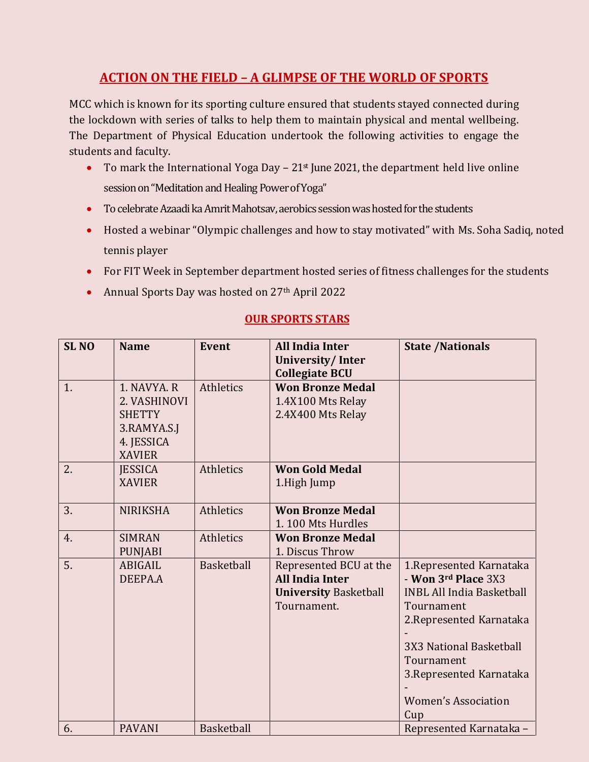# **ACTION ON THE FIELD – A GLIMPSE OF THE WORLD OF SPORTS**

MCC which is known for its sporting culture ensured that students stayed connected during the lockdown with series of talks to help them to maintain physical and mental wellbeing. The Department of Physical Education undertook the following activities to engage the students and faculty.

- To mark the International Yoga Day  $-21$ <sup>st</sup> June 2021, the department held live online session on "Meditation and Healing Power of Yoga"
- To celebrate Azaadi ka Amrit Mahotsav, aerobics session was hosted for the students
- Hosted a webinar "Olympic challenges and how to stay motivated" with Ms. Soha Sadiq, noted tennis player
- For FIT Week in September department hosted series of fitness challenges for the students
- Annual Sports Day was hosted on 27<sup>th</sup> April 2022

#### **OUR SPORTS STARS**

| <b>SLNO</b> | <b>Name</b>                                                                                | <b>Event</b>      | <b>All India Inter</b><br>University/Inter<br><b>Collegiate BCU</b>                             | <b>State /Nationals</b>                                                                                                                                                                                                                 |
|-------------|--------------------------------------------------------------------------------------------|-------------------|-------------------------------------------------------------------------------------------------|-----------------------------------------------------------------------------------------------------------------------------------------------------------------------------------------------------------------------------------------|
| 1.          | 1. NAVYA, R<br>2. VASHINOVI<br><b>SHETTY</b><br>3.RAMYA.S.J<br>4. JESSICA<br><b>XAVIER</b> | Athletics         | <b>Won Bronze Medal</b><br>1.4X100 Mts Relay<br>2.4X400 Mts Relay                               |                                                                                                                                                                                                                                         |
| 2.          | <b>JESSICA</b><br><b>XAVIER</b>                                                            | Athletics         | <b>Won Gold Medal</b><br>1.High Jump                                                            |                                                                                                                                                                                                                                         |
| 3.          | <b>NIRIKSHA</b>                                                                            | Athletics         | <b>Won Bronze Medal</b><br>1.100 Mts Hurdles                                                    |                                                                                                                                                                                                                                         |
| 4.          | <b>SIMRAN</b><br><b>PUNJABI</b>                                                            | Athletics         | <b>Won Bronze Medal</b><br>1. Discus Throw                                                      |                                                                                                                                                                                                                                         |
| 5.          | ABIGAIL<br>DEEPA.A                                                                         | Basketball        | Represented BCU at the<br><b>All India Inter</b><br><b>University Basketball</b><br>Tournament. | 1. Represented Karnataka<br>- Won 3rd Place 3X3<br><b>INBL All India Basketball</b><br>Tournament<br>2. Represented Karnataka<br>3X3 National Basketball<br>Tournament<br>3. Represented Karnataka<br><b>Women's Association</b><br>Cup |
| 6.          | <b>PAVANI</b>                                                                              | <b>Basketball</b> |                                                                                                 | Represented Karnataka -                                                                                                                                                                                                                 |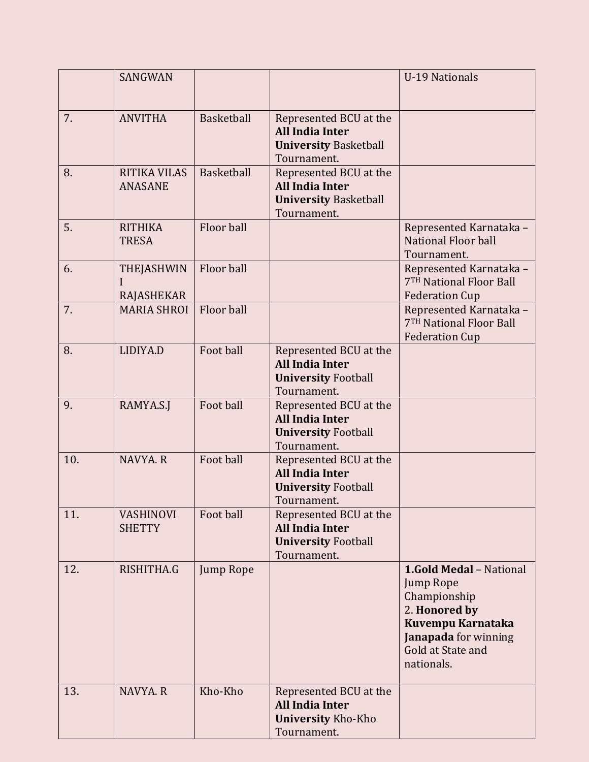|     | SANGWAN                                |            |                                                                                                 | <b>U-19 Nationals</b>                                                                                                                                               |
|-----|----------------------------------------|------------|-------------------------------------------------------------------------------------------------|---------------------------------------------------------------------------------------------------------------------------------------------------------------------|
| 7.  | <b>ANVITHA</b>                         | Basketball | Represented BCU at the<br><b>All India Inter</b><br><b>University Basketball</b><br>Tournament. |                                                                                                                                                                     |
| 8.  | <b>RITIKA VILAS</b><br><b>ANASANE</b>  | Basketball | Represented BCU at the<br><b>All India Inter</b><br><b>University Basketball</b><br>Tournament. |                                                                                                                                                                     |
| 5.  | <b>RITHIKA</b><br><b>TRESA</b>         | Floor ball |                                                                                                 | Represented Karnataka -<br>National Floor ball<br>Tournament.                                                                                                       |
| 6.  | <b>THEJASHWIN</b><br><b>RAJASHEKAR</b> | Floor ball |                                                                                                 | Represented Karnataka -<br>7TH National Floor Ball<br><b>Federation Cup</b>                                                                                         |
| 7.  | <b>MARIA SHROI</b>                     | Floor ball |                                                                                                 | Represented Karnataka -<br>7TH National Floor Ball<br><b>Federation Cup</b>                                                                                         |
| 8.  | LIDIYA.D                               | Foot ball  | Represented BCU at the<br><b>All India Inter</b><br><b>University Football</b><br>Tournament.   |                                                                                                                                                                     |
| 9.  | RAMYA.S.J                              | Foot ball  | Represented BCU at the<br><b>All India Inter</b><br><b>University Football</b><br>Tournament.   |                                                                                                                                                                     |
| 10. | NAVYA, R                               | Foot ball  | Represented BCU at the<br><b>All India Inter</b><br><b>University Football</b><br>Tournament.   |                                                                                                                                                                     |
| 11. | <b>VASHINOVI</b><br><b>SHETTY</b>      | Foot ball  | Represented BCU at the<br><b>All India Inter</b><br><b>University Football</b><br>Tournament.   |                                                                                                                                                                     |
| 12. | RISHITHA.G                             | Jump Rope  |                                                                                                 | <b>1.Gold Medal - National</b><br>Jump Rope<br>Championship<br>2. Honored by<br>Kuvempu Karnataka<br><b>Janapada</b> for winning<br>Gold at State and<br>nationals. |
| 13. | NAVYA.R                                | Kho-Kho    | Represented BCU at the<br><b>All India Inter</b><br><b>University Kho-Kho</b><br>Tournament.    |                                                                                                                                                                     |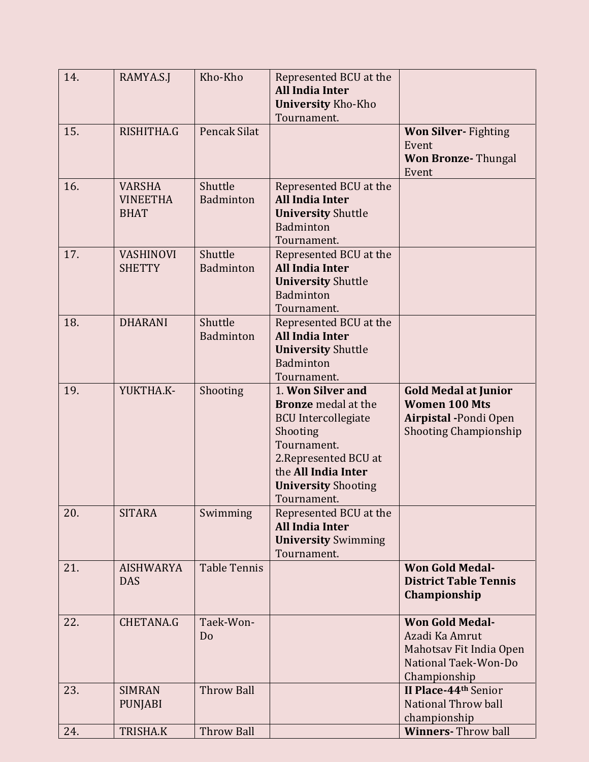| 14. | RAMYA.S.J                                       | Kho-Kho              | Represented BCU at the<br><b>All India Inter</b><br><b>University Kho-Kho</b><br>Tournament.                                                                                                          |                                                                                                               |
|-----|-------------------------------------------------|----------------------|-------------------------------------------------------------------------------------------------------------------------------------------------------------------------------------------------------|---------------------------------------------------------------------------------------------------------------|
| 15. | RISHITHA.G                                      | Pencak Silat         |                                                                                                                                                                                                       | <b>Won Silver-</b> Fighting<br>Event<br><b>Won Bronze-Thungal</b><br>Event                                    |
| 16. | <b>VARSHA</b><br><b>VINEETHA</b><br><b>BHAT</b> | Shuttle<br>Badminton | Represented BCU at the<br><b>All India Inter</b><br><b>University Shuttle</b><br>Badminton<br>Tournament.                                                                                             |                                                                                                               |
| 17. | <b>VASHINOVI</b><br><b>SHETTY</b>               | Shuttle<br>Badminton | Represented BCU at the<br><b>All India Inter</b><br><b>University Shuttle</b><br>Badminton<br>Tournament.                                                                                             |                                                                                                               |
| 18. | <b>DHARANI</b>                                  | Shuttle<br>Badminton | Represented BCU at the<br><b>All India Inter</b><br><b>University Shuttle</b><br>Badminton<br>Tournament.                                                                                             |                                                                                                               |
| 19. | YUKTHA.K-                                       | Shooting             | 1. Won Silver and<br><b>Bronze</b> medal at the<br><b>BCU</b> Intercollegiate<br>Shooting<br>Tournament.<br>2. Represented BCU at<br>the All India Inter<br><b>University Shooting</b><br>Tournament. | <b>Gold Medal at Junior</b><br><b>Women 100 Mts</b><br>Airpistal - Pondi Open<br><b>Shooting Championship</b> |
| 20. | <b>SITARA</b>                                   | Swimming             | Represented BCU at the<br><b>All India Inter</b><br><b>University Swimming</b><br>Tournament.                                                                                                         |                                                                                                               |
| 21. | <b>AISHWARYA</b><br><b>DAS</b>                  | <b>Table Tennis</b>  |                                                                                                                                                                                                       | <b>Won Gold Medal-</b><br><b>District Table Tennis</b><br>Championship                                        |
| 22. | <b>CHETANA.G</b>                                | Taek-Won-<br>Do      |                                                                                                                                                                                                       | <b>Won Gold Medal-</b><br>Azadi Ka Amrut<br>Mahotsav Fit India Open<br>National Taek-Won-Do<br>Championship   |
| 23. | <b>SIMRAN</b><br><b>PUNJABI</b>                 | <b>Throw Ball</b>    |                                                                                                                                                                                                       | II Place-44th Senior<br>National Throw ball<br>championship                                                   |
| 24. | <b>TRISHA.K</b>                                 | <b>Throw Ball</b>    |                                                                                                                                                                                                       | <b>Winners-Throw ball</b>                                                                                     |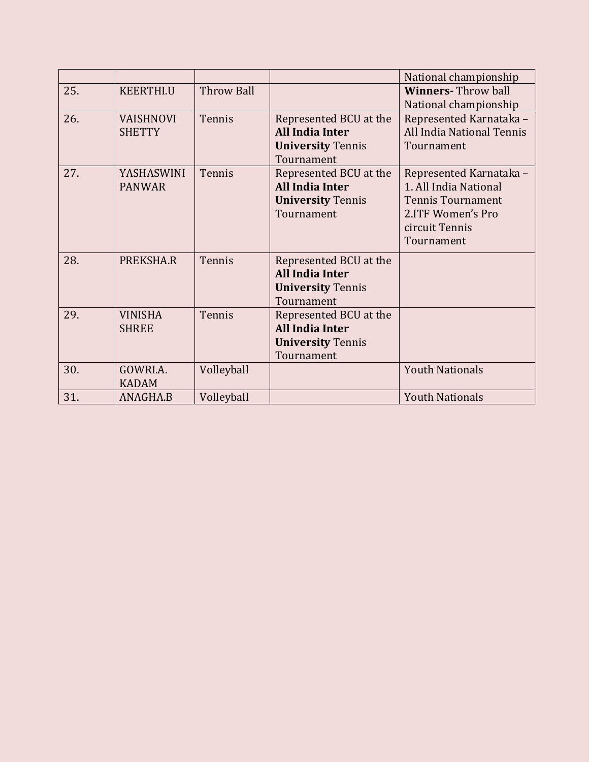|     |                  |                   |                          | National championship     |
|-----|------------------|-------------------|--------------------------|---------------------------|
| 25. | <b>KEERTHI.U</b> | <b>Throw Ball</b> |                          | <b>Winners-Throw ball</b> |
|     |                  |                   |                          | National championship     |
| 26. | <b>VAISHNOVI</b> | Tennis            | Represented BCU at the   | Represented Karnataka -   |
|     | <b>SHETTY</b>    |                   | <b>All India Inter</b>   | All India National Tennis |
|     |                  |                   | <b>University Tennis</b> | Tournament                |
|     |                  |                   | Tournament               |                           |
| 27. | YASHASWINI       | Tennis            | Represented BCU at the   | Represented Karnataka -   |
|     | <b>PANWAR</b>    |                   | <b>All India Inter</b>   | 1. All India National     |
|     |                  |                   | <b>University Tennis</b> | <b>Tennis Tournament</b>  |
|     |                  |                   | Tournament               | 2.ITF Women's Pro         |
|     |                  |                   |                          | circuit Tennis            |
|     |                  |                   |                          | Tournament                |
|     |                  |                   |                          |                           |
| 28. | PREKSHA.R        | Tennis            | Represented BCU at the   |                           |
|     |                  |                   | <b>All India Inter</b>   |                           |
|     |                  |                   | <b>University Tennis</b> |                           |
|     |                  |                   | Tournament               |                           |
| 29. | <b>VINISHA</b>   | Tennis            | Represented BCU at the   |                           |
|     | <b>SHREE</b>     |                   | <b>All India Inter</b>   |                           |
|     |                  |                   | <b>University Tennis</b> |                           |
|     |                  |                   | Tournament               |                           |
| 30. | GOWRI.A.         | Volleyball        |                          | <b>Youth Nationals</b>    |
|     | <b>KADAM</b>     |                   |                          |                           |
| 31. | ANAGHA.B         | Volleyball        |                          | <b>Youth Nationals</b>    |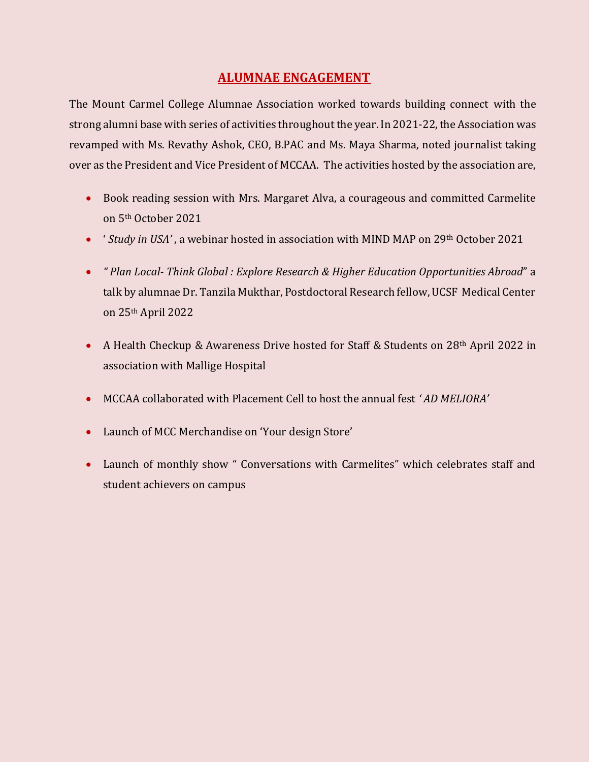## **ALUMNAE ENGAGEMENT**

The Mount Carmel College Alumnae Association worked towards building connect with the strong alumni base with series of activities throughout the year. In 2021-22, the Association was revamped with Ms. Revathy Ashok, CEO, B.PAC and Ms. Maya Sharma, noted journalist taking over as the President and Vice President of MCCAA. The activities hosted by the association are,

- Book reading session with Mrs. Margaret Alva, a courageous and committed Carmelite on 5th October 2021
- ' *Study in USA'* , a webinar hosted in association with MIND MAP on 29th October 2021
- *" Plan Local Think Global : Explore Research & Higher Education Opportunities Abroad*" a talk by alumnae Dr. Tanzila Mukthar, Postdoctoral Research fellow, UCSF Medical Center on 25th April 2022
- A Health Checkup & Awareness Drive hosted for Staff & Students on 28th April 2022 in association with Mallige Hospital
- MCCAA collaborated with Placement Cell to host the annual fest *' AD MELIORA'*
- Launch of MCC Merchandise on 'Your design Store'
- Launch of monthly show " Conversations with Carmelites" which celebrates staff and student achievers on campus